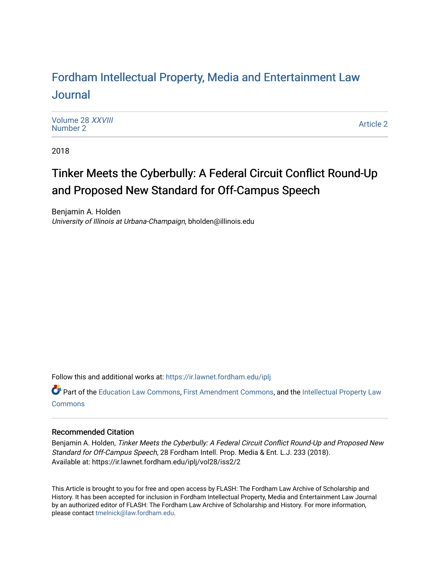# For[dham Intellectual Property, Media and Enter](https://ir.lawnet.fordham.edu/iplj)tainment Law [Journal](https://ir.lawnet.fordham.edu/iplj)

[Volume 28](https://ir.lawnet.fordham.edu/iplj/vol28) XXVIII<br>Number 2 [Number 2](https://ir.lawnet.fordham.edu/iplj/vol28/iss2) And Mathematic 2 [Article 2](https://ir.lawnet.fordham.edu/iplj/vol28/iss2/2) Article 2 Article 2 Article 2 Article 2 Article 2 Article 2 Article 2 Article 2 Article 2 Article 2 Article 2 Article 2 Article 2 Article 2 Article 2 Article 2 Article 2 Article 2 Articl

2018

# Tinker Meets the Cyberbully: A Federal Circuit Conflict Round-Up and Proposed New Standard for Off-Campus Speech

Benjamin A. Holden University of Illinois at Urbana-Champaign, bholden@illinois.edu

Follow this and additional works at: [https://ir.lawnet.fordham.edu/iplj](https://ir.lawnet.fordham.edu/iplj?utm_source=ir.lawnet.fordham.edu%2Fiplj%2Fvol28%2Fiss2%2F2&utm_medium=PDF&utm_campaign=PDFCoverPages) 

Part of the [Education Law Commons,](http://network.bepress.com/hgg/discipline/596?utm_source=ir.lawnet.fordham.edu%2Fiplj%2Fvol28%2Fiss2%2F2&utm_medium=PDF&utm_campaign=PDFCoverPages) [First Amendment Commons,](http://network.bepress.com/hgg/discipline/1115?utm_source=ir.lawnet.fordham.edu%2Fiplj%2Fvol28%2Fiss2%2F2&utm_medium=PDF&utm_campaign=PDFCoverPages) and the [Intellectual Property Law](http://network.bepress.com/hgg/discipline/896?utm_source=ir.lawnet.fordham.edu%2Fiplj%2Fvol28%2Fiss2%2F2&utm_medium=PDF&utm_campaign=PDFCoverPages)  **[Commons](http://network.bepress.com/hgg/discipline/896?utm_source=ir.lawnet.fordham.edu%2Fiplj%2Fvol28%2Fiss2%2F2&utm_medium=PDF&utm_campaign=PDFCoverPages)** 

## Recommended Citation

Benjamin A. Holden, Tinker Meets the Cyberbully: A Federal Circuit Conflict Round-Up and Proposed New Standard for Off-Campus Speech, 28 Fordham Intell. Prop. Media & Ent. L.J. 233 (2018). Available at: https://ir.lawnet.fordham.edu/iplj/vol28/iss2/2

This Article is brought to you for free and open access by FLASH: The Fordham Law Archive of Scholarship and History. It has been accepted for inclusion in Fordham Intellectual Property, Media and Entertainment Law Journal by an authorized editor of FLASH: The Fordham Law Archive of Scholarship and History. For more information, please contact [tmelnick@law.fordham.edu](mailto:tmelnick@law.fordham.edu).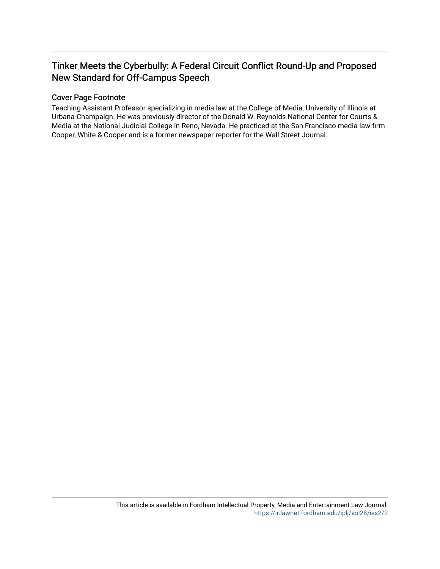# Tinker Meets the Cyberbully: A Federal Circuit Conflict Round-Up and Proposed New Standard for Off-Campus Speech

## Cover Page Footnote

Teaching Assistant Professor specializing in media law at the College of Media, University of Illinois at Urbana-Champaign. He was previously director of the Donald W. Reynolds National Center for Courts & Media at the National Judicial College in Reno, Nevada. He practiced at the San Francisco media law firm Cooper, White & Cooper and is a former newspaper reporter for the Wall Street Journal.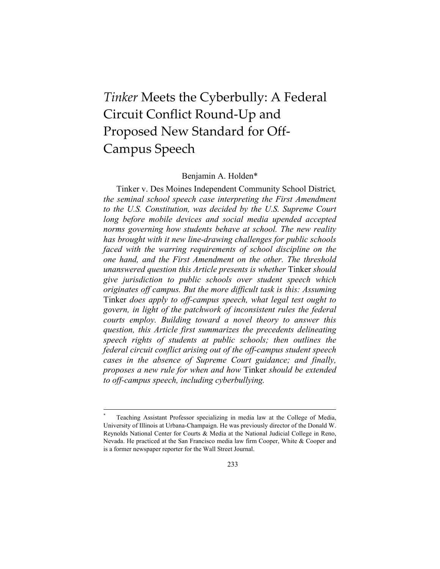# *Tinker* Meets the Cyberbully: A Federal Circuit Conflict Round-Up and Proposed New Standard for Off-Campus Speech

#### Benjamin A. Holden\*

Tinker v. Des Moines Independent Community School District*, the seminal school speech case interpreting the First Amendment to the U.S. Constitution, was decided by the U.S. Supreme Court*  long before mobile devices and social media upended accepted *norms governing how students behave at school. The new reality has brought with it new line-drawing challenges for public schools faced with the warring requirements of school discipline on the one hand, and the First Amendment on the other. The threshold unanswered question this Article presents is whether* Tinker *should give jurisdiction to public schools over student speech which originates off campus. But the more difficult task is this: Assuming*  Tinker *does apply to off-campus speech, what legal test ought to govern, in light of the patchwork of inconsistent rules the federal courts employ. Building toward a novel theory to answer this question, this Article first summarizes the precedents delineating speech rights of students at public schools; then outlines the federal circuit conflict arising out of the off-campus student speech cases in the absence of Supreme Court guidance; and finally, proposes a new rule for when and how* Tinker *should be extended to off-campus speech, including cyberbullying.*

<sup>\*</sup> Teaching Assistant Professor specializing in media law at the College of Media, University of Illinois at Urbana-Champaign. He was previously director of the Donald W. Reynolds National Center for Courts & Media at the National Judicial College in Reno, Nevada. He practiced at the San Francisco media law firm Cooper, White & Cooper and is a former newspaper reporter for the Wall Street Journal.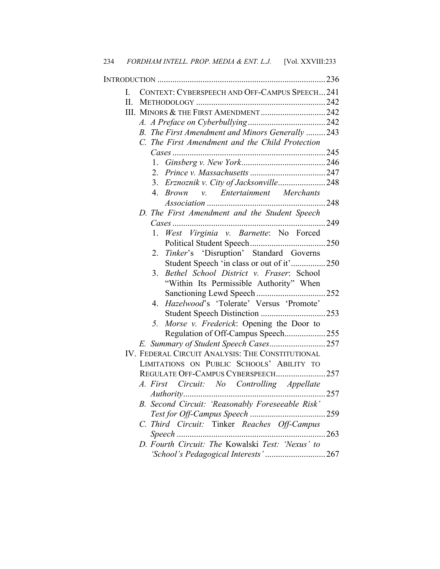| L     | CONTEXT: CYBERSPEECH AND OFF-CAMPUS SPEECH241                |       |
|-------|--------------------------------------------------------------|-------|
| $\Pi$ |                                                              |       |
|       |                                                              |       |
|       |                                                              |       |
|       | B. The First Amendment and Minors Generally 243              |       |
|       | C. The First Amendment and the Child Protection              |       |
|       |                                                              |       |
|       |                                                              |       |
|       |                                                              |       |
|       | 3. Erznoznik v. City of Jacksonville248                      |       |
|       | $\overline{4}$<br>v. Entertainment Merchants<br><i>Brown</i> | 248   |
|       | D. The First Amendment and the Student Speech                |       |
|       |                                                              | . 249 |
|       | 1. West Virginia v. Barnette: No Forced                      |       |
|       |                                                              |       |
|       | Tinker's 'Disruption' Standard Governs<br>2.                 |       |
|       | Student Speech 'in class or out of it'250                    |       |
|       | Bethel School District v. Fraser: School<br>3.               |       |
|       | "Within Its Permissible Authority" When                      |       |
|       |                                                              |       |
|       | 4. Hazelwood's 'Tolerate' Versus 'Promote'                   |       |
|       |                                                              |       |
|       | Morse v. Frederick: Opening the Door to<br>5 <sub>1</sub>    |       |
|       | Regulation of Off-Campus Speech255                           |       |
|       |                                                              |       |
|       | IV. FEDERAL CIRCUIT ANALYSIS: THE CONSTITUTIONAL             |       |
|       | LIMITATIONS ON PUBLIC SCHOOLS' ABILITY TO                    |       |
|       | REGULATE OFF-CAMPUS CYBERSPEECH257                           |       |
|       | A. First Circuit: No Controlling Appellate                   |       |
|       |                                                              |       |
|       | B. Second Circuit: 'Reasonably Foreseeable Risk'             |       |
|       |                                                              |       |
|       | C. Third Circuit: Tinker Reaches Off-Campus                  |       |
|       | D. Fourth Circuit: The Kowalski Test: 'Nexus' to             | 263   |
|       |                                                              |       |
|       | 'School's Pedagogical Interests'267                          |       |

234 *FORDHAM INTELL. PROP. MEDIA & ENT. L.J.* [Vol. XXVIII:233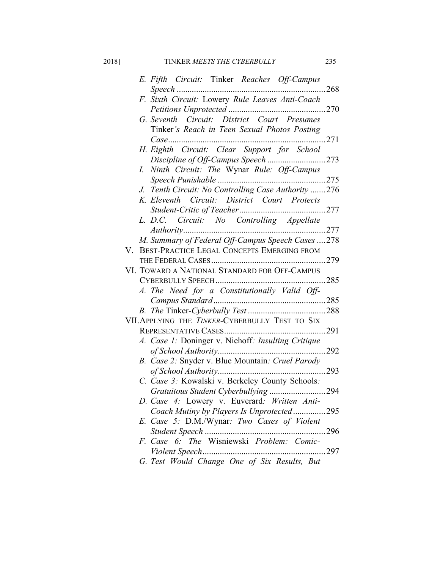## 2018] TINKER *MEETS THE CYBERBULLY* 235

|    | E. Fifth Circuit: Tinker Reaches Off-Campus         |             |
|----|-----------------------------------------------------|-------------|
|    | F. Sixth Circuit: Lowery Rule Leaves Anti-Coach     |             |
|    |                                                     |             |
|    | G. Seventh Circuit: District Court Presumes         |             |
|    | Tinker's Reach in Teen Sexual Photos Posting        |             |
|    |                                                     |             |
|    | H. Eighth Circuit: Clear Support for School         |             |
|    | Discipline of Off-Campus Speech 273                 |             |
|    | Ninth Circuit: The Wynar Rule: Off-Campus<br>I.     |             |
|    |                                                     |             |
|    | J. Tenth Circuit: No Controlling Case Authority 276 |             |
|    | K. Eleventh Circuit: District Court Protects        |             |
|    |                                                     |             |
|    | L. D.C. Circuit: No Controlling Appellate           |             |
|    |                                                     |             |
|    | M. Summary of Federal Off-Campus Speech Cases  278  |             |
| V. | BEST-PRACTICE LEGAL CONCEPTS EMERGING FROM          |             |
|    |                                                     |             |
|    | VI. TOWARD A NATIONAL STANDARD FOR OFF-CAMPUS       |             |
|    |                                                     |             |
|    | A. The Need for a Constitutionally Valid Off-       |             |
|    |                                                     |             |
|    |                                                     |             |
|    | VII. APPLYING THE TINKER-CYBERBULLY TEST TO SIX     |             |
|    |                                                     |             |
|    | A. Case 1: Doninger v. Niehoff: Insulting Critique  |             |
|    |                                                     |             |
|    | B. Case 2: Snyder v. Blue Mountain: Cruel Parody    |             |
|    |                                                     |             |
|    | C. Case 3: Kowalski v. Berkeley County Schools:     |             |
|    | Gratuitous Student Cyberbullying                    | 294         |
|    | D. Case 4: Lowery v. Euverard: Written Anti-        |             |
|    | Coach Mutiny by Players Is Unprotected295           |             |
|    | E. Case 5: D.M./Wynar: Two Cases of Violent         |             |
|    |                                                     | $\dots 296$ |
|    | F. Case 6: The Wisniewski Problem: Comic-           |             |
|    |                                                     |             |

*G. Test Would Change One of Six Results, But*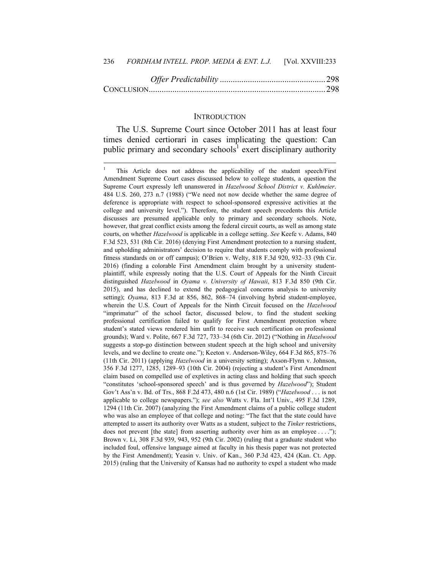#### **INTRODUCTION**

The U.S. Supreme Court since October 2011 has at least four times denied certiorari in cases implicating the question: Can public primary and secondary schools<sup>1</sup> exert disciplinary authority

<sup>1</sup> This Article does not address the applicability of the student speech/First Amendment Supreme Court cases discussed below to college students, a question the Supreme Court expressly left unanswered in *Hazelwood School District v. Kuhlmeier*. 484 U.S. 260, 273 n.7 (1988) ("We need not now decide whether the same degree of deference is appropriate with respect to school-sponsored expressive activities at the college and university level."). Therefore, the student speech precedents this Article discusses are presumed applicable only to primary and secondary schools. Note, however, that great conflict exists among the federal circuit courts, as well as among state courts, on whether *Hazelwood* is applicable in a college setting. *See* Keefe v. Adams, 840 F.3d 523, 531 (8th Cir. 2016) (denying First Amendment protection to a nursing student, and upholding administrators' decision to require that students comply with professional fitness standards on or off campus); O'Brien v. Welty, 818 F.3d 920, 932–33 (9th Cir. 2016) (finding a colorable First Amendment claim brought by a university studentplaintiff, while expressly noting that the U.S. Court of Appeals for the Ninth Circuit distinguished *Hazelwood* in *Oyama v. University of Hawaii*, 813 F.3d 850 (9th Cir. 2015), and has declined to extend the pedagogical concerns analysis to university setting); *Oyama*, 813 F.3d at 856, 862, 868–74 (involving hybrid student-employee, wherein the U.S. Court of Appeals for the Ninth Circuit focused on the *Hazelwood*  "imprimatur" of the school factor, discussed below, to find the student seeking professional certification failed to qualify for First Amendment protection where student's stated views rendered him unfit to receive such certification on professional grounds); Ward v. Polite, 667 F.3d 727, 733–34 (6th Cir. 2012) ("Nothing in *Hazelwood* suggests a stop-go distinction between student speech at the high school and university levels, and we decline to create one."); Keeton v. Anderson-Wiley, 664 F.3d 865, 875–76 (11th Cir. 2011) (applying *Hazelwood* in a university setting); Axson-Flynn v. Johnson, 356 F.3d 1277, 1285, 1289–93 (10th Cir. 2004) (rejecting a student's First Amendment claim based on compelled use of expletives in acting class and holding that such speech "constitutes 'school-sponsored speech' and is thus governed by *Hazelwood*"); Student Gov't Ass'n v. Bd. of Trs., 868 F.2d 473, 480 n.6 (1st Cir. 1989) ("*Hazelwood* . . . is not applicable to college newspapers."); *see also* Watts v. Fla. Int'l Univ., 495 F.3d 1289, 1294 (11th Cir. 2007) (analyzing the First Amendment claims of a public college student who was also an employee of that college and noting: "The fact that the state could have attempted to assert its authority over Watts as a student, subject to the *Tinker* restrictions, does not prevent [the state] from asserting authority over him as an employee  $\dots$ "); Brown v. Li, 308 F.3d 939, 943, 952 (9th Cir. 2002) (ruling that a graduate student who included foul, offensive language aimed at faculty in his thesis paper was not protected by the First Amendment); Yeasin v. Univ. of Kan., 360 P.3d 423, 424 (Kan. Ct. App. 2015) (ruling that the University of Kansas had no authority to expel a student who made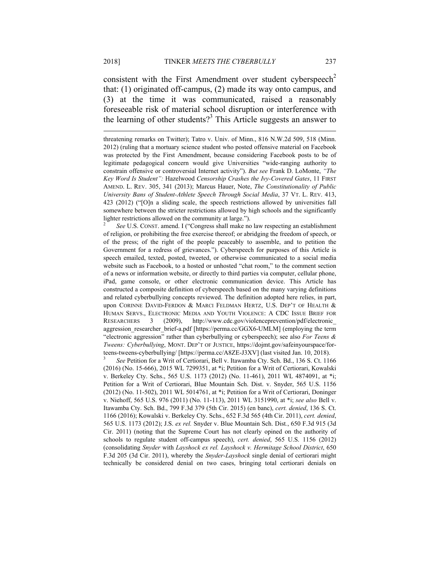consistent with the First Amendment over student cyberspeech<sup>2</sup> that: (1) originated off-campus, (2) made its way onto campus, and (3) at the time it was communicated, raised a reasonably foreseeable risk of material school disruption or interference with the learning of other students?<sup>3</sup> This Article suggests an answer to

2  *See* U.S. CONST. amend. I ("Congress shall make no law respecting an establishment of religion, or prohibiting the free exercise thereof; or abridging the freedom of speech, or of the press; of the right of the people peaceably to assemble, and to petition the Government for a redress of grievances."). Cyberspeech for purposes of this Article is speech emailed, texted, posted, tweeted, or otherwise communicated to a social media website such as Facebook, to a hosted or unhosted "chat room," to the comment section of a news or information website, or directly to third parties via computer, cellular phone, iPad, game console, or other electronic communication device. This Article has constructed a composite definition of cyberspeech based on the many varying definitions and related cyberbullying concepts reviewed. The definition adopted here relies, in part, upon CORINNE DAVID-FERDON & MARCI FELDMAN HERTZ, U.S. DEP'T OF HEALTH & HUMAN SERVS., ELECTRONIC MEDIA AND YOUTH VIOLENCE: A CDC ISSUE BRIEF FOR RESEARCHERS 3 (2009), http://www.cdc.gov/violenceprevention/pdf/electronic\_ aggression researcher brief-a.pdf [https://perma.cc/GGX6-UMLM] (employing the term "electronic aggression" rather than cyberbullying or cyberspeech); see also *For Teens & Tweens: Cyberbullying*, MONT. DEP'T OF JUSTICE, https://dojmt.gov/safeinyourspace/forteens-tweens-cyberbullying/ [https://perma.cc/A8ZE-J3XV] (last visited Jan. 10, 2018).

3  *See* Petition for a Writ of Certiorari, Bell v. Itawamba Cty. Sch. Bd., 136 S. Ct. 1166 (2016) (No. 15-666), 2015 WL 7299351, at \*i; Petition for a Writ of Certiorari, Kowalski v. Berkeley Cty. Schs., 565 U.S. 1173 (2012) (No. 11-461), 2011 WL 4874091, at \*i; Petition for a Writ of Certiorari, Blue Mountain Sch. Dist. v. Snyder, 565 U.S. 1156 (2012) (No. 11-502), 2011 WL 5014761, at \*i; Petition for a Writ of Certiorari, Doninger v. Niehoff, 565 U.S. 976 (2011) (No. 11-113), 2011 WL 3151990, at \*i; *see also* Bell v. Itawamba Cty. Sch. Bd., 799 F.3d 379 (5th Cir. 2015) (en banc), *cert. denied*, 136 S. Ct. 1166 (2016); Kowalski v. Berkeley Cty. Schs., 652 F.3d 565 (4th Cir. 2011), *cert. denied*, 565 U.S. 1173 (2012); J.S. *ex rel.* Snyder v. Blue Mountain Sch. Dist*.*, 650 F.3d 915 (3d Cir. 2011) (noting that the Supreme Court has not clearly opined on the authority of schools to regulate student off-campus speech), *cert. denied*, 565 U.S. 1156 (2012) (consolidating *Snyder* with *Layshock ex rel. Layshock v. Hermitage School District*, 650 F.3d 205 (3d Cir. 2011), whereby the *Snyder-Layshock* single denial of certiorari might technically be considered denial on two cases, bringing total certiorari denials on

threatening remarks on Twitter); Tatro v. Univ. of Minn., 816 N.W.2d 509, 518 (Minn. 2012) (ruling that a mortuary science student who posted offensive material on Facebook was protected by the First Amendment, because considering Facebook posts to be of legitimate pedagogical concern would give Universities "wide-ranging authority to constrain offensive or controversial Internet activity"). *But see* Frank D. LoMonte, *"The Key Word Is Student":* Hazelwood *Censorship Crashes the Ivy-Covered Gates*, 11 FIRST AMEND. L. REV. 305, 341 (2013); Marcus Hauer, Note, *The Constitutionality of Public University Bans of Student-Athlete Speech Through Social Media*, 37 VT. L. REV. 413, 423 (2012) ("[O]n a sliding scale, the speech restrictions allowed by universities fall somewhere between the stricter restrictions allowed by high schools and the significantly lighter restrictions allowed on the community at large.").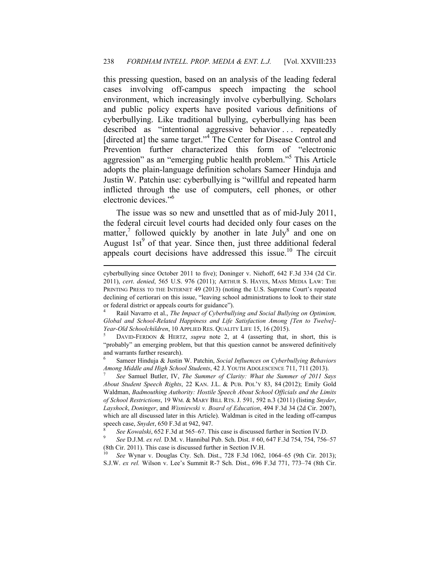this pressing question, based on an analysis of the leading federal cases involving off-campus speech impacting the school environment, which increasingly involve cyberbullying. Scholars and public policy experts have posited various definitions of cyberbullying. Like traditional bullying, cyberbullying has been described as "intentional aggressive behavior . . . repeatedly [directed at] the same target."<sup>4</sup> The Center for Disease Control and Prevention further characterized this form of "electronic aggression" as an "emerging public health problem."<sup>5</sup> This Article adopts the plain-language definition scholars Sameer Hinduja and Justin W. Patchin use: cyberbullying is "willful and repeated harm inflicted through the use of computers, cell phones, or other electronic devices."6

The issue was so new and unsettled that as of mid-July 2011, the federal circuit level courts had decided only four cases on the matter,<sup>7</sup> followed quickly by another in late July<sup>8</sup> and one on August 1st $9$  of that year. Since then, just three additional federal appeals court decisions have addressed this issue.<sup>10</sup> The circuit

1

cyberbullying since October 2011 to five); Doninger v. Niehoff, 642 F.3d 334 (2d Cir. 2011), *cert*. *denied*, 565 U.S. 976 (2011); ARTHUR S. HAYES, MASS MEDIA LAW: THE PRINTING PRESS TO THE INTERNET 49 (2013) (noting the U.S. Supreme Court's repeated declining of certiorari on this issue, "leaving school administrations to look to their state or federal district or appeals courts for guidance").

<sup>4</sup> Raúl Navarro et al., *The Impact of Cyberbullying and Social Bullying on Optimism, Global and School-Related Happiness and Life Satisfaction Among [Ten to Twelve]- Year-Old Schoolchildren*, 10 APPLIED RES. QUALITY LIFE 15, 16 (2015).

DAVID-FERDON & HERTZ, *supra* note 2, at 4 (asserting that, in short, this is "probably" an emerging problem, but that this question cannot be answered definitively and warrants further research).

<sup>6</sup> Sameer Hinduja & Justin W. Patchin, *Social Influences on Cyberbullying Behaviors Among Middle and High School Students*, 42 J. YOUTH ADOLESCENCE 711, 711 (2013). 7

*See* Samuel Butler, IV, *The Summer of Clarity: What the Summer of 2011 Says About Student Speech Rights*, 22 KAN. J.L. & PUB. POL'Y 83, 84 (2012); Emily Gold Waldman, *Badmouthing Authority: Hostile Speech About School Officials and the Limits of School Restrictions*, 19 WM. & MARY BILL RTS. J. 591, 592 n.3 (2011) (listing *Snyder*, *Layshock*, *Doninger*, and *Wisniewski v. Board of Education*, 494 F.3d 34 (2d Cir. 2007), which are all discussed later in this Article). Waldman is cited in the leading off-campus speech case, *Snyde*r, 650 F.3d at 942, 947. 8

*See Kowalski*, 652 F.3d at 565–67. This case is discussed further in Section IV.D.

*See* D.J.M. *ex rel.* D.M. v. Hannibal Pub. Sch. Dist. # 60, 647 F.3d 754, 754, 756–57 (8th Cir. 2011). This case is discussed further in Section IV.H. 10 *See* Wynar v. Douglas Cty. Sch. Dist., 728 F.3d 1062, 1064–65 (9th Cir. 2013);

S.J.W. *ex rel.* Wilson v. Lee's Summit R-7 Sch. Dist., 696 F.3d 771, 773–74 (8th Cir.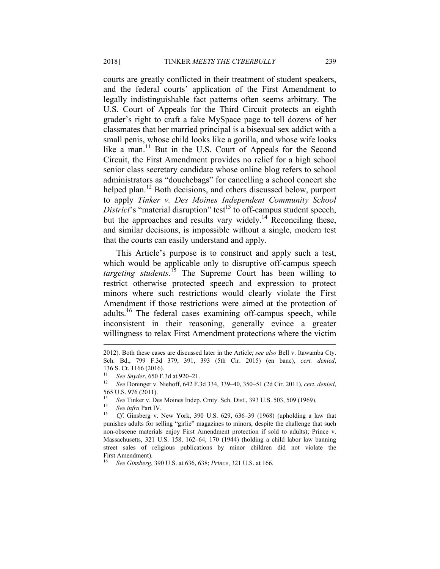courts are greatly conflicted in their treatment of student speakers, and the federal courts' application of the First Amendment to legally indistinguishable fact patterns often seems arbitrary. The U.S. Court of Appeals for the Third Circuit protects an eighth grader's right to craft a fake MySpace page to tell dozens of her classmates that her married principal is a bisexual sex addict with a small penis, whose child looks like a gorilla, and whose wife looks like a man.<sup>11</sup> But in the U.S. Court of Appeals for the Second Circuit, the First Amendment provides no relief for a high school senior class secretary candidate whose online blog refers to school administrators as "douchebags" for cancelling a school concert she helped plan.<sup>12</sup> Both decisions, and others discussed below, purport to apply *Tinker v. Des Moines Independent Community School District*'s "material disruption" test<sup>13</sup> to off-campus student speech, but the approaches and results vary widely.<sup>14</sup> Reconciling these, and similar decisions, is impossible without a single, modern test that the courts can easily understand and apply.

This Article's purpose is to construct and apply such a test, which would be applicable only to disruptive off-campus speech *targeting students*. 15 The Supreme Court has been willing to restrict otherwise protected speech and expression to protect minors where such restrictions would clearly violate the First Amendment if those restrictions were aimed at the protection of adults.<sup>16</sup> The federal cases examining off-campus speech, while inconsistent in their reasoning, generally evince a greater willingness to relax First Amendment protections where the victim

<sup>2012).</sup> Both these cases are discussed later in the Article; *see also* Bell v. Itawamba Cty. Sch. Bd., 799 F.3d 379, 391, 393 (5th Cir. 2015) (en banc), *cert. denied*, 136 S. Ct. 1166 (2016).

<sup>11</sup> *See Snyder*, 650 F.3d at 920–21. 12 *See* Doninger v. Niehoff, 642 F.3d 334, 339–40, 350–51 (2d Cir. 2011), *cert. denied*, 565 U.S. 976 (2011).

<sup>13</sup> *See* Tinker v. Des Moines Indep. Cmty. Sch. Dist., 393 U.S. 503, 509 (1969). 14 *See infra* Part IV. 15 *Cf*. Ginsberg v. New York, 390 U.S. 629, 636–39 (1968) (upholding a law that

punishes adults for selling "girlie" magazines to minors, despite the challenge that such non-obscene materials enjoy First Amendment protection if sold to adults); Prince v. Massachusetts, 321 U.S. 158, 162–64, 170 (1944) (holding a child labor law banning street sales of religious publications by minor children did not violate the First Amendment).

<sup>16</sup> *See Ginsberg*, 390 U.S. at 636, 638; *Prince*, 321 U.S. at 166.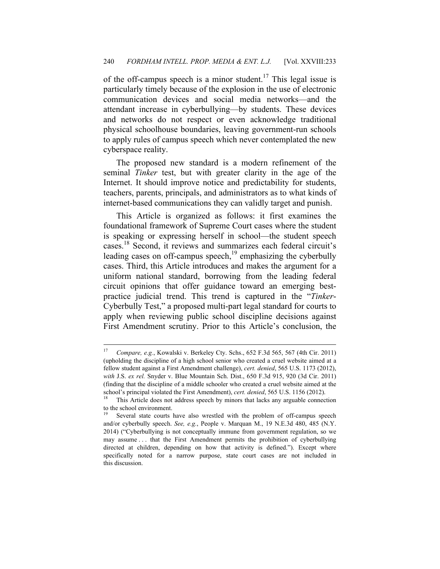of the off-campus speech is a minor student.<sup>17</sup> This legal issue is particularly timely because of the explosion in the use of electronic communication devices and social media networks—and the attendant increase in cyberbullying—by students. These devices and networks do not respect or even acknowledge traditional physical schoolhouse boundaries, leaving government-run schools to apply rules of campus speech which never contemplated the new cyberspace reality.

The proposed new standard is a modern refinement of the seminal *Tinker* test, but with greater clarity in the age of the Internet. It should improve notice and predictability for students, teachers, parents, principals, and administrators as to what kinds of internet-based communications they can validly target and punish.

This Article is organized as follows: it first examines the foundational framework of Supreme Court cases where the student is speaking or expressing herself in school—the student speech cases.18 Second, it reviews and summarizes each federal circuit's leading cases on off-campus speech, $19$  emphasizing the cyberbully cases. Third, this Article introduces and makes the argument for a uniform national standard, borrowing from the leading federal circuit opinions that offer guidance toward an emerging bestpractice judicial trend. This trend is captured in the "*Tinker*-Cyberbully Test," a proposed multi-part legal standard for courts to apply when reviewing public school discipline decisions against First Amendment scrutiny. Prior to this Article's conclusion, the

1

<sup>17</sup> *Compare, e.g.*, Kowalski v. Berkeley Cty. Schs., 652 F.3d 565, 567 (4th Cir. 2011) (upholding the discipline of a high school senior who created a cruel website aimed at a fellow student against a First Amendment challenge), *cert. denied*, 565 U.S. 1173 (2012), *with* J.S. *ex rel.* Snyder v. Blue Mountain Sch. Dist., 650 F.3d 915, 920 (3d Cir. 2011) (finding that the discipline of a middle schooler who created a cruel website aimed at the school's principal violated the First Amendment), *cert. denied*, 565 U.S. 1156 (2012).<br><sup>18</sup> This Article does not address speech by minors that lacks any arguable connection

to the school environment.

Several state courts have also wrestled with the problem of off-campus speech and/or cyberbully speech. *See, e.g.*, People v. Marquan M., 19 N.E.3d 480, 485 (N.Y. 2014) ("Cyberbullying is not conceptually immune from government regulation, so we may assume . . . that the First Amendment permits the prohibition of cyberbullying directed at children, depending on how that activity is defined."). Except where specifically noted for a narrow purpose, state court cases are not included in this discussion.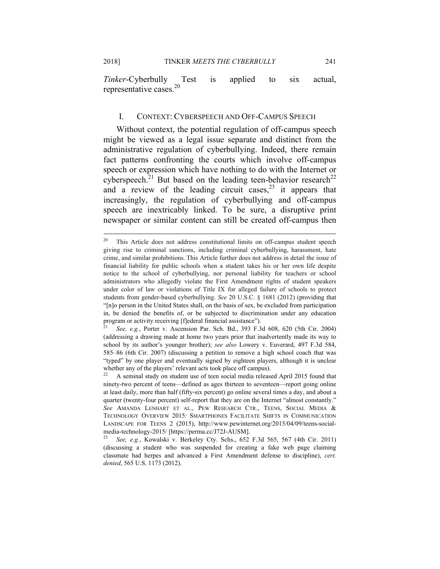2018] TINKER *MEETS THE CYBERBULLY* 241

*Tinker*-Cyberbully Test is applied to six actual, representative cases.20

#### I. CONTEXT: CYBERSPEECH AND OFF-CAMPUS SPEECH

Without context, the potential regulation of off-campus speech might be viewed as a legal issue separate and distinct from the administrative regulation of cyberbullying. Indeed, there remain fact patterns confronting the courts which involve off-campus speech or expression which have nothing to do with the Internet or cyberspeech.<sup>21</sup> But based on the leading teen-behavior research<sup>22</sup> and a review of the leading circuit cases,  $2^3$  it appears that increasingly, the regulation of cyberbullying and off-campus speech are inextricably linked. To be sure, a disruptive print newspaper or similar content can still be created off-campus then

<sup>&</sup>lt;sup>20</sup> This Article does not address constitutional limits on off-campus student speech giving rise to criminal sanctions, including criminal cyberbullying, harassment, hate crime, and similar prohibitions. This Article further does not address in detail the issue of financial liability for public schools when a student takes his or her own life despite notice to the school of cyberbullying, nor personal liability for teachers or school administrators who allegedly violate the First Amendment rights of student speakers under color of law or violations of Title IX for alleged failure of schools to protect students from gender-based cyberbullying. *See* 20 U.S.C. § 1681 (2012) (providing that "[n]o person in the United States shall, on the basis of sex, be excluded from participation in, be denied the benefits of, or be subjected to discrimination under any education program or activity receiving [f]ederal financial assistance").

<sup>21</sup> *See, e.g.*, Porter v. Ascension Par. Sch. Bd., 393 F.3d 608, 620 (5th Cir. 2004) (addressing a drawing made at home two years prior that inadvertently made its way to school by its author's younger brother); *see also* Lowery v. Euverard, 497 F.3d 584, 585–86 (6th Cir. 2007) (discussing a petition to remove a high school coach that was "typed" by one player and eventually signed by eighteen players, although it is unclear whether any of the players' relevant acts took place off campus).

<sup>22</sup> A seminal study on student use of teen social media released April 2015 found that ninety-two percent of teens—defined as ages thirteen to seventeen—report going online at least daily, more than half (fifty-six percent) go online several times a day, and about a quarter (twenty-four percent) self-report that they are on the Internet "almost constantly." *See* AMANDA LENHART ET AL., PEW RESEARCH CTR., TEENS, SOCIAL MEDIA & TECHNOLOGY OVERVIEW 2015: SMARTPHONES FACILITATE SHIFTS IN COMMUNICATION LANDSCAPE FOR TEENS 2 (2015), http://www.pewinternet.org/2015/04/09/teens-socialmedia-technology-2015/ [https://perma.cc/J72J-AUSM].

<sup>23</sup> *See, e.g.*, Kowalski v. Berkeley Cty. Schs., 652 F.3d 565, 567 (4th Cir. 2011) (discussing a student who was suspended for creating a fake web page claiming classmate had herpes and advanced a First Amendment defense to discipline), *cert. denied*, 565 U.S. 1173 (2012).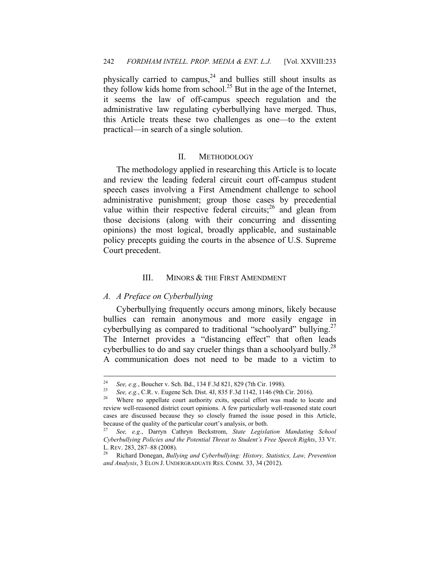physically carried to campus, $24$  and bullies still shout insults as they follow kids home from school.<sup>25</sup> But in the age of the Internet, it seems the law of off-campus speech regulation and the administrative law regulating cyberbullying have merged. Thus, this Article treats these two challenges as one—to the extent practical—in search of a single solution.

#### II. METHODOLOGY

The methodology applied in researching this Article is to locate and review the leading federal circuit court off-campus student speech cases involving a First Amendment challenge to school administrative punishment; group those cases by precedential value within their respective federal circuits;  $^{26}$  and glean from those decisions (along with their concurring and dissenting opinions) the most logical, broadly applicable, and sustainable policy precepts guiding the courts in the absence of U.S. Supreme Court precedent.

## III. MINORS & THE FIRST AMENDMENT

## *A. A Preface on Cyberbullying*

Cyberbullying frequently occurs among minors, likely because bullies can remain anonymous and more easily engage in cyberbullying as compared to traditional "schoolyard" bullying.<sup>27</sup> The Internet provides a "distancing effect" that often leads cyberbullies to do and say crueler things than a schoolyard bully.<sup>28</sup> A communication does not need to be made to a victim to

 $24$ 

<sup>&</sup>lt;sup>24</sup> *See, e.g.*, Boucher v. Sch. Bd., 134 F.3d 821, 829 (7th Cir. 1998).<br><sup>25</sup> *See, e.g.*, C.R. v. Eugene Sch. Dist. 4J, 835 F.3d 1142, 1146 (9th Cir. 2016).<br><sup>26</sup> Where no appellate court authority exits, special effort

review well-reasoned district court opinions. A few particularly well-reasoned state court cases are discussed because they so closely framed the issue posed in this Article, because of the quality of the particular court's analysis, or both.

<sup>27</sup> *See, e.g.*, Darryn Cathryn Beckstrom, *State Legislation Mandating School Cyberbullying Policies and the Potential Threat to Student's Free Speech Rights*, 33 VT. L. REV. 283, 287–88 (2008).

<sup>28</sup> Richard Donegan, *Bullying and Cyberbullying: History, Statistics, Law, Prevention and Analysis*, 3 ELON J. UNDERGRADUATE RES. COMM. 33, 34 (2012).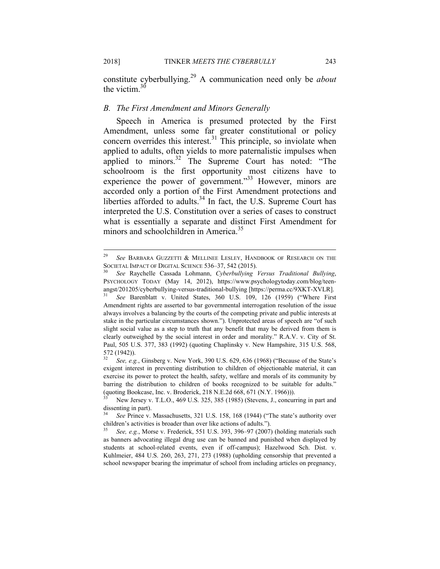constitute cyberbullying.29 A communication need only be *about* the victim  $30$ 

#### *B. The First Amendment and Minors Generally*

Speech in America is presumed protected by the First Amendment, unless some far greater constitutional or policy concern overrides this interest.<sup>31</sup> This principle, so inviolate when applied to adults, often yields to more paternalistic impulses when applied to minors.<sup>32</sup> The Supreme Court has noted: "The schoolroom is the first opportunity most citizens have to experience the power of government."<sup>33</sup> However, minors are accorded only a portion of the First Amendment protections and liberties afforded to adults.<sup>34</sup> In fact, the U.S. Supreme Court has interpreted the U.S. Constitution over a series of cases to construct what is essentially a separate and distinct First Amendment for minors and schoolchildren in America.<sup>35</sup>

1

<sup>29</sup> *See* BARBARA GUZZETTI & MELLINEE LESLEY, HANDBOOK OF RESEARCH ON THE SOCIETAL IMPACT OF DIGITAL SCIENCE 536–37, 542 (2015). 30 *See* Raychelle Cassada Lohmann, *Cyberbullying Versus Traditional Bullying*,

PSYCHOLOGY TODAY (May 14, 2012), https://www.psychologytoday.com/blog/teenangst/201205/cyberbullying-versus-traditional-bullying [https://perma.cc/9XKT-XVLR].

<sup>31</sup> *See* Barenblatt v. United States, 360 U.S. 109, 126 (1959) ("Where First Amendment rights are asserted to bar governmental interrogation resolution of the issue always involves a balancing by the courts of the competing private and public interests at stake in the particular circumstances shown."). Unprotected areas of speech are "of such slight social value as a step to truth that any benefit that may be derived from them is clearly outweighed by the social interest in order and morality." R.A.V. v. City of St. Paul, 505 U.S. 377, 383 (1992) (quoting Chaplinsky v. New Hampshire, 315 U.S. 568, 572 (1942)).

<sup>32</sup> *See, e.g.*, Ginsberg v. New York, 390 U.S. 629, 636 (1968) ("Because of the State's exigent interest in preventing distribution to children of objectionable material, it can exercise its power to protect the health, safety, welfare and morals of its community by barring the distribution to children of books recognized to be suitable for adults." (quoting Bookcase, Inc. v. Broderick, 218 N.E.2d 668, 671 (N.Y. 1966))).

New Jersey v. T.L.O., 469 U.S. 325, 385 (1985) (Stevens, J., concurring in part and dissenting in part).

<sup>34</sup> *See* Prince v. Massachusetts, 321 U.S. 158, 168 (1944) ("The state's authority over children's activities is broader than over like actions of adults.").

<sup>35</sup> *See, e.g.*, Morse v. Frederick, 551 U.S. 393, 396–97 (2007) (holding materials such as banners advocating illegal drug use can be banned and punished when displayed by students at school-related events, even if off-campus); Hazelwood Sch. Dist. v. Kuhlmeier, 484 U.S. 260, 263, 271, 273 (1988) (upholding censorship that prevented a school newspaper bearing the imprimatur of school from including articles on pregnancy,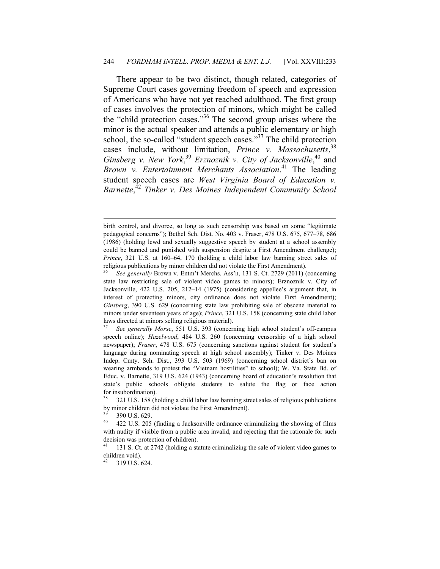There appear to be two distinct, though related, categories of Supreme Court cases governing freedom of speech and expression of Americans who have not yet reached adulthood. The first group of cases involves the protection of minors, which might be called the "child protection cases."36 The second group arises where the minor is the actual speaker and attends a public elementary or high school, the so-called "student speech cases."37 The child protection cases include, without limitation, *Prince v. Massachusetts*, 38 *Ginsberg v. New York*, <sup>39</sup> *Erznoznik v. City of Jacksonville*, 40 and *Brown v. Entertainment Merchants Association*. 41 The leading student speech cases are *West Virginia Board of Education v. Barnette*, <sup>42</sup> *Tinker v. Des Moines Independent Community School* 

birth control, and divorce, so long as such censorship was based on some "legitimate pedagogical concerns"); Bethel Sch. Dist. No. 403 v. Fraser, 478 U.S. 675, 677–78, 686 (1986) (holding lewd and sexually suggestive speech by student at a school assembly could be banned and punished with suspension despite a First Amendment challenge); *Prince*, 321 U.S. at 160–64, 170 (holding a child labor law banning street sales of religious publications by minor children did not violate the First Amendment). 36 *See generally* Brown v. Entm't Merchs. Ass'n, 131 S. Ct. 2729 (2011) (concerning

state law restricting sale of violent video games to minors); Erznoznik v. City of Jacksonville, 422 U.S. 205, 212–14 (1975) (considering appellee's argument that, in interest of protecting minors, city ordinance does not violate First Amendment); *Ginsberg*, 390 U.S. 629 (concerning state law prohibiting sale of obscene material to minors under seventeen years of age); *Prince*, 321 U.S. 158 (concerning state child labor laws directed at minors selling religious material).

<sup>37</sup> *See generally Morse*, 551 U.S. 393 (concerning high school student's off-campus speech online); *Hazelwood*, 484 U.S. 260 (concerning censorship of a high school newspaper); *Fraser*, 478 U.S. 675 (concerning sanctions against student for student's language during nominating speech at high school assembly); Tinker v. Des Moines Indep. Cmty. Sch. Dist., 393 U.S. 503 (1969) (concerning school district's ban on wearing armbands to protest the "Vietnam hostilities" to school); W. Va. State Bd. of Educ. v. Barnette, 319 U.S. 624 (1943) (concerning board of education's resolution that state's public schools obligate students to salute the flag or face action for insubordination).

<sup>38 321</sup> U.S. 158 (holding a child labor law banning street sales of religious publications by minor children did not violate the First Amendment).

 $\frac{39}{40}$  390 U.S. 629.

<sup>40 422</sup> U.S. 205 (finding a Jacksonville ordinance criminalizing the showing of films with nudity if visible from a public area invalid, and rejecting that the rationale for such decision was protection of children).

<sup>41 131</sup> S. Ct. at 2742 (holding a statute criminalizing the sale of violent video games to children void).

<sup>319</sup> U.S. 624.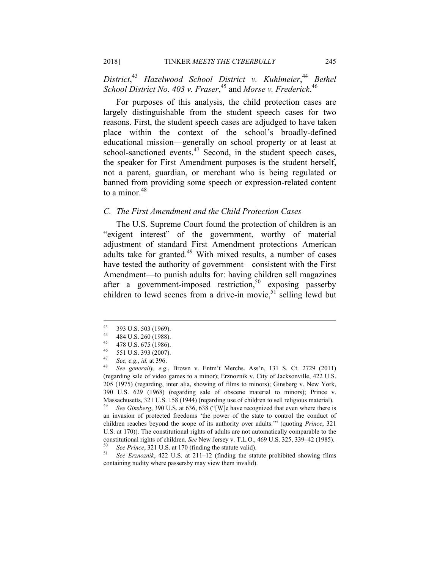*District*, <sup>43</sup> *Hazelwood School District v. Kuhlmeier*, <sup>44</sup> *Bethel School District No. 403 v. Fraser*, 45 and *Morse v. Frederick*. 46

For purposes of this analysis, the child protection cases are largely distinguishable from the student speech cases for two reasons. First, the student speech cases are adjudged to have taken place within the context of the school's broadly-defined educational mission—generally on school property or at least at school-sanctioned events.<sup>47</sup> Second, in the student speech cases, the speaker for First Amendment purposes is the student herself, not a parent, guardian, or merchant who is being regulated or banned from providing some speech or expression-related content to a minor. $48$ 

#### *C. The First Amendment and the Child Protection Cases*

The U.S. Supreme Court found the protection of children is an "exigent interest" of the government, worthy of material adjustment of standard First Amendment protections American adults take for granted.<sup>49</sup> With mixed results, a number of cases have tested the authority of government—consistent with the First Amendment—to punish adults for: having children sell magazines after a government-imposed restriction,<sup>50</sup> exposing passerby children to lewd scenes from a drive-in movie,  $51$  selling lewd but

<sup>49</sup> *See Ginsberg*, 390 U.S. at 636, 638 ("[W]e have recognized that even where there is an invasion of protected freedoms 'the power of the state to control the conduct of children reaches beyond the scope of its authority over adults.'" (quoting *Prince*, 321 U.S. at 170)). The constitutional rights of adults are not automatically comparable to the constitutional rights of children. See New Jersey v. T.L.O., 469 U.S. 325, 339–42 (1985).<br>
So See Prince, 321 U.S. at 170 (finding the statute valid).<br>
Sue Erznoznik, 422 U.S. at 211–12 (finding the statute prohibited sho

containing nudity where passersby may view them invalid).

<sup>43</sup>  $^{43}$  393 U.S. 503 (1969).

 $^{44}$  484 U.S. 260 (1988).

 $^{45}$  478 U.S. 675 (1986).

 $^{46}$  551 U.S. 393 (2007).

<sup>47</sup> *See, e.g.*, *id.* at 396. 48 *See generally, e.g.*, Brown v. Entm't Merchs. Ass'n, 131 S. Ct. 2729 (2011) (regarding sale of video games to a minor); Erznoznik v. City of Jacksonville, 422 U.S. 205 (1975) (regarding, inter alia, showing of films to minors); Ginsberg v. New York, 390 U.S. 629 (1968) (regarding sale of obscene material to minors); Prince v. Massachusetts, 321 U.S. 158 (1944) (regarding use of children to sell religious material)*.*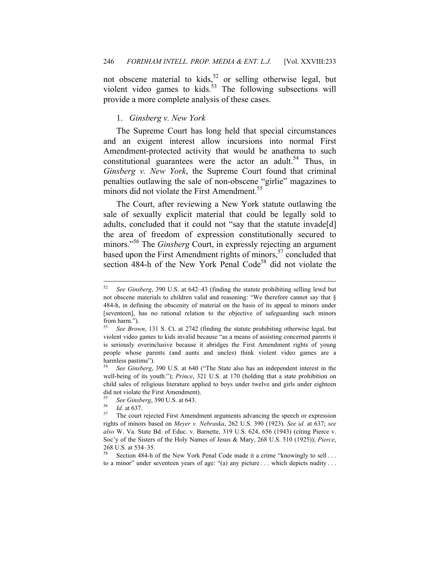not obscene material to kids,<sup>52</sup> or selling otherwise legal, but violent video games to kids. $53$  The following subsections will provide a more complete analysis of these cases.

### 1. *Ginsberg v. New York*

The Supreme Court has long held that special circumstances and an exigent interest allow incursions into normal First Amendment-protected activity that would be anathema to such constitutional guarantees were the actor an adult.<sup>54</sup> Thus, in *Ginsberg v. New York*, the Supreme Court found that criminal penalties outlawing the sale of non-obscene "girlie" magazines to minors did not violate the First Amendment.<sup>55</sup>

The Court, after reviewing a New York statute outlawing the sale of sexually explicit material that could be legally sold to adults, concluded that it could not "say that the statute invade[d] the area of freedom of expression constitutionally secured to minors."<sup>56</sup> The *Ginsberg* Court, in expressly rejecting an argument based upon the First Amendment rights of minors,<sup>57</sup> concluded that section  $484-h$  of the New York Penal Code<sup>58</sup> did not violate the

<sup>54</sup> *See Ginsberg*, 390 U.S. at 640 ("The State also has an independent interest in the well-being of its youth."); *Prince*, 321 U.S. at 170 (holding that a state prohibition on child sales of religious literature applied to boys under twelve and girls under eighteen did not violate the First Amendment).

<sup>52</sup> *See Ginsberg*, 390 U.S. at 642–43 (finding the statute prohibiting selling lewd but not obscene materials to children valid and reasoning: "We therefore cannot say that  $\S$ 484-h, in defining the obscenity of material on the basis of its appeal to minors under [seventeen], has no rational relation to the objective of safeguarding such minors from harm.").

See Brown, 131 S. Ct. at 2742 (finding the statute prohibiting otherwise legal, but violent video games to kids invalid because "as a means of assisting concerned parents it is seriously overinclusive because it abridges the First Amendment rights of young people whose parents (and aunts and uncles) think violent video games are a harmless pastime").

<sup>&</sup>lt;sup>55</sup> See Ginsberg, 390 U.S. at 643.<br><sup>56</sup> *Id.* at 637.<br><sup>57</sup> The court rejected First Amendment arguments advancing the speech or expression rights of minors based on *Meyer v. Nebraska*, 262 U.S. 390 (1923). *See id.* at 637; *see also* W. Va. State Bd. of Educ. v. Barnette, 319 U.S. 624, 656 (1943) (citing Pierce v. Soc'y of the Sisters of the Holy Names of Jesus & Mary, 268 U.S. 510 (1925)); *Pierce*, 268 U.S. at 534–35.

Section 484-h of the New York Penal Code made it a crime "knowingly to sell . . . to a minor" under seventeen years of age: "(a) any picture . . . which depicts nudity . . .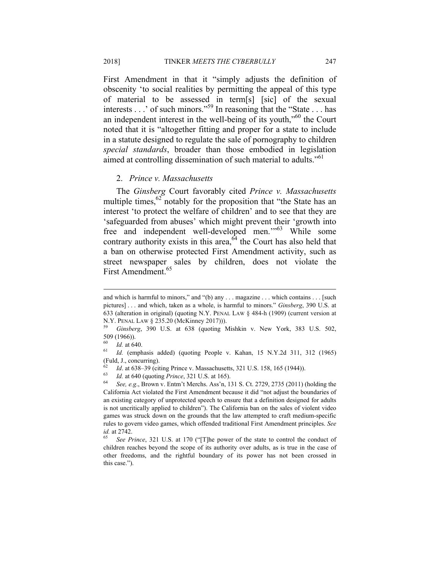First Amendment in that it "simply adjusts the definition of obscenity 'to social realities by permitting the appeal of this type of material to be assessed in term[s] [sic] of the sexual interests . . .' of such minors."59 In reasoning that the "State . . . has an independent interest in the well-being of its youth,"60 the Court noted that it is "altogether fitting and proper for a state to include in a statute designed to regulate the sale of pornography to children *special standards*, broader than those embodied in legislation aimed at controlling dissemination of such material to adults."<sup>61</sup>

#### 2. *Prince v. Massachusetts*

The *Ginsberg* Court favorably cited *Prince v. Massachusetts*  multiple times, $62$  notably for the proposition that "the State has an interest 'to protect the welfare of children' and to see that they are 'safeguarded from abuses' which might prevent their 'growth into free and independent well-developed men.'"63 While some contrary authority exists in this area, $64$  the Court has also held that a ban on otherwise protected First Amendment activity, such as street newspaper sales by children, does not violate the First Amendment.<sup>65</sup>

and which is harmful to minors," and "(b) any . . . magazine . . . which contains . . . [such pictures] . . . and which, taken as a whole, is harmful to minors." *Ginsberg*, 390 U.S. at 633 (alteration in original) (quoting N.Y. PENAL LAW § 484-h (1909) (current version at N.Y. PENAL LAW § 235.20 (McKinney 2017))).

<sup>59</sup> *Ginsberg*, 390 U.S. at 638 (quoting Mishkin v. New York, 383 U.S. 502, 509 (1966)).

*Id.* at 640. *Id.* (emphasis added) (quoting People v. Kahan, 15 N.Y.2d 311, 312 (1965) (Fuld, J., concurring).

<sup>&</sup>lt;sup>62</sup> *Id.* at 638–39 (citing Prince v. Massachusetts, 321 U.S. 158, 165 (1944)).<br><sup>63</sup> *Id.* at 640 (quoting *Prince*, 321 U.S. at 165).<br><sup>64</sup> *See, e.g.*, Brown v. Entm't Merchs. Ass'n, 131 S. Ct. 2729, 2735 (2011) (holdin

California Act violated the First Amendment because it did "not adjust the boundaries of an existing category of unprotected speech to ensure that a definition designed for adults is not uncritically applied to children"). The California ban on the sales of violent video games was struck down on the grounds that the law attempted to craft medium-specific rules to govern video games, which offended traditional First Amendment principles. *See id.* at 2742.<br><sup>65</sup> See Prince, 321 U.S. at 170 ("[T]he power of the state to control the conduct of

children reaches beyond the scope of its authority over adults, as is true in the case of other freedoms, and the rightful boundary of its power has not been crossed in this case.").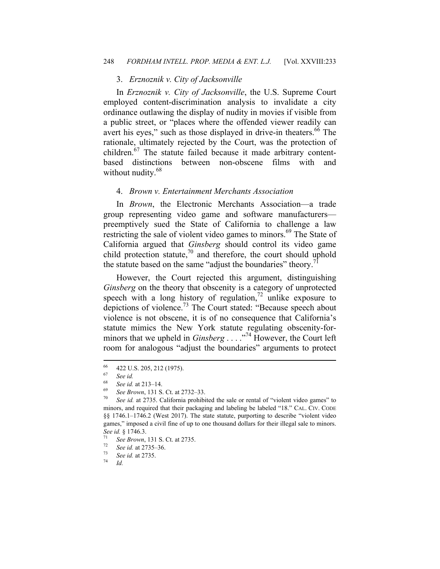#### 3. *Erznoznik v. City of Jacksonville*

In *Erznoznik v. City of Jacksonville*, the U.S. Supreme Court employed content-discrimination analysis to invalidate a city ordinance outlawing the display of nudity in movies if visible from a public street, or "places where the offended viewer readily can avert his eyes," such as those displayed in drive-in theaters.<sup>66</sup> The rationale, ultimately rejected by the Court, was the protection of children.<sup>67</sup> The statute failed because it made arbitrary contentbased distinctions between non-obscene films with and without nudity.<sup>68</sup>

#### 4. *Brown v. Entertainment Merchants Association*

In *Brown*, the Electronic Merchants Association—a trade group representing video game and software manufacturers preemptively sued the State of California to challenge a law restricting the sale of violent video games to minors.<sup>69</sup> The State of California argued that *Ginsberg* should control its video game child protection statute, $70$  and therefore, the court should uphold the statute based on the same "adjust the boundaries" theory.<sup>7</sup>

However, the Court rejected this argument, distinguishing *Ginsberg* on the theory that obscenity is a category of unprotected speech with a long history of regulation,<sup>72</sup> unlike exposure to depictions of violence.73 The Court stated: "Because speech about violence is not obscene, it is of no consequence that California's statute mimics the New York statute regulating obscenity-forminors that we upheld in *Ginsberg* . . . . .<sup>74</sup> However, the Court left room for analogous "adjust the boundaries" arguments to protect

<sup>66</sup>  $^{66}$  422 U.S. 205, 212 (1975).

 $\begin{array}{cc} 67 & \text{See} \text{ id.} \\ 68 & \text{S.} \end{array}$ 

 $^{68}$  *See id.* at 213–14.

See Brown, 131 S. Ct. at 2732–33.<br>See id. at 2735. California prohibited the sale or rental of "violent video games" to minors, and required that their packaging and labeling be labeled "18." CAL. CIV. CODE §§ 1746.1-1746.2 (West 2017). The state statute, purporting to describe "violent video games," imposed a civil fine of up to one thousand dollars for their illegal sale to minors. *See id.* § 1746.3.<br><sup>71</sup> *See Brown*, 131 S. Ct. at 2735.<br><sup>72</sup> *See id.* at 2735–36.<br><sup>73</sup> *See id.* at 2735.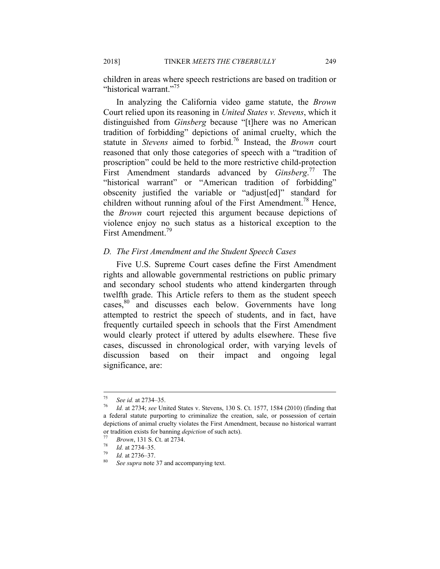children in areas where speech restrictions are based on tradition or "historical warrant."<sup>75</sup>

In analyzing the California video game statute, the *Brown* Court relied upon its reasoning in *United States v. Stevens*, which it distinguished from *Ginsberg* because "[t]here was no American tradition of forbidding" depictions of animal cruelty, which the statute in *Stevens* aimed to forbid.76 Instead, the *Brown* court reasoned that only those categories of speech with a "tradition of proscription" could be held to the more restrictive child-protection First Amendment standards advanced by *Ginsberg*. 77 The "historical warrant" or "American tradition of forbidding" obscenity justified the variable or "adjust[ed]" standard for children without running afoul of the First Amendment.<sup>78</sup> Hence, the *Brown* court rejected this argument because depictions of violence enjoy no such status as a historical exception to the First Amendment.<sup>79</sup>

#### *D. The First Amendment and the Student Speech Cases*

Five U.S. Supreme Court cases define the First Amendment rights and allowable governmental restrictions on public primary and secondary school students who attend kindergarten through twelfth grade. This Article refers to them as the student speech cases,<sup>80</sup> and discusses each below. Governments have long attempted to restrict the speech of students, and in fact, have frequently curtailed speech in schools that the First Amendment would clearly protect if uttered by adults elsewhere. These five cases, discussed in chronological order, with varying levels of discussion based on their impact and ongoing legal significance, are:

<sup>75</sup> 

<sup>75</sup> *See id.* at 2734–35. 76 *Id.* at 2734; *see* United States v. Stevens, 130 S. Ct. 1577, 1584 (2010) (finding that a federal statute purporting to criminalize the creation, sale, or possession of certain depictions of animal cruelty violates the First Amendment, because no historical warrant or tradition exists for banning *depiction* of such acts).<br>
<sup>77</sup> Brown, 131 S. Ct. at 2734.<br>
<sup>78</sup> *Id.* at 2734–35.<br>
<sup>80</sup> See supra note 37 and accompanying text.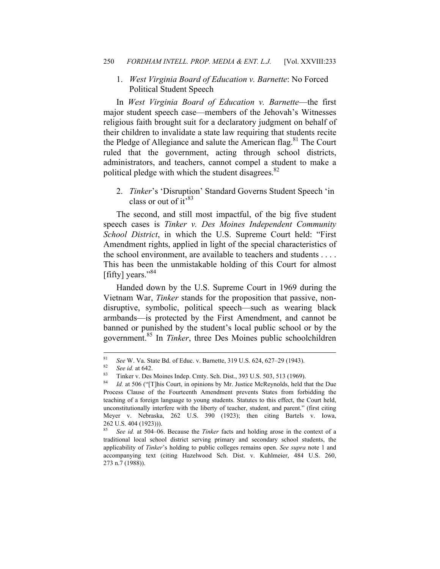## 1. *West Virginia Board of Education v. Barnette*: No Forced Political Student Speech

In *West Virginia Board of Education v. Barnette*—the first major student speech case—members of the Jehovah's Witnesses religious faith brought suit for a declaratory judgment on behalf of their children to invalidate a state law requiring that students recite the Pledge of Allegiance and salute the American flag.<sup>81</sup> The Court ruled that the government, acting through school districts, administrators, and teachers, cannot compel a student to make a political pledge with which the student disagrees. $82$ 

2. *Tinker*'s 'Disruption' Standard Governs Student Speech 'in class or out of  $it''^{83}$ 

The second, and still most impactful, of the big five student speech cases is *Tinker v. Des Moines Independent Community School District*, in which the U.S. Supreme Court held: "First Amendment rights, applied in light of the special characteristics of the school environment, are available to teachers and students . . . . This has been the unmistakable holding of this Court for almost [fifty] years." $84$ 

Handed down by the U.S. Supreme Court in 1969 during the Vietnam War, *Tinker* stands for the proposition that passive, nondisruptive, symbolic, political speech—such as wearing black armbands—is protected by the First Amendment, and cannot be banned or punished by the student's local public school or by the government.85 In *Tinker*, three Des Moines public schoolchildren

<sup>&</sup>lt;sup>81</sup> See W. Va. State Bd. of Educ. v. Barnette, 319 U.S. 624, 627–29 (1943).<br><sup>82</sup> See id. at 642.<br><sup>83</sup> Tinker v. Des Moines Indep. Cmty. Sch. Dist., 393 U.S. 503, 513 (1969).<br><sup>84</sup> Let 506 ("Tilbis Court, in opinions by Mr

<sup>84</sup> *Id.* at 506 ("[T]his Court, in opinions by Mr. Justice McReynolds, held that the Due Process Clause of the Fourteenth Amendment prevents States from forbidding the teaching of a foreign language to young students. Statutes to this effect, the Court held, unconstitutionally interfere with the liberty of teacher, student, and parent." (first citing Meyer v. Nebraska, 262 U.S. 390 (1923); then citing Bartels v. Iowa, 262 U.S. 404 (1923))).

See id. at 504–06. Because the *Tinker* facts and holding arose in the context of a traditional local school district serving primary and secondary school students, the applicability of *Tinker*'s holding to public colleges remains open. *See supra* note 1 and accompanying text (citing Hazelwood Sch. Dist. v. Kuhlmeier, 484 U.S. 260, 273 n.7 (1988)).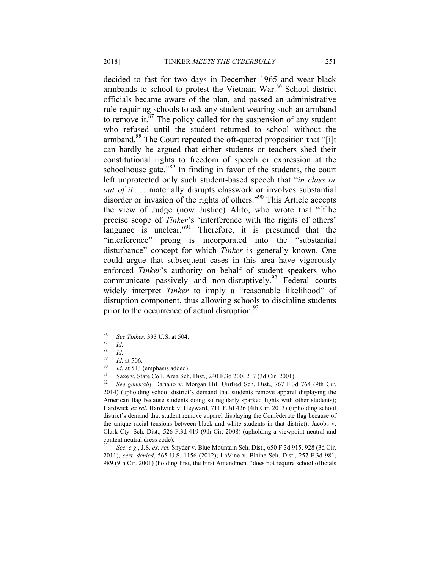decided to fast for two days in December 1965 and wear black armbands to school to protest the Vietnam War.<sup>86</sup> School district officials became aware of the plan, and passed an administrative rule requiring schools to ask any student wearing such an armband to remove it. $87$  The policy called for the suspension of any student who refused until the student returned to school without the armband.<sup>88</sup> The Court repeated the oft-quoted proposition that "[i]t can hardly be argued that either students or teachers shed their constitutional rights to freedom of speech or expression at the schoolhouse gate.<sup>89</sup> In finding in favor of the students, the court left unprotected only such student-based speech that "*in class or out of it* ... materially disrupts classwork or involves substantial disorder or invasion of the rights of others."<sup>90</sup> This Article accepts the view of Judge (now Justice) Alito, who wrote that "[t]he precise scope of *Tinker*'s 'interference with the rights of others' language is unclear."<sup>91</sup> Therefore, it is presumed that the "interference" prong is incorporated into the "substantial disturbance" concept for which *Tinker* is generally known. One could argue that subsequent cases in this area have vigorously enforced *Tinker*'s authority on behalf of student speakers who communicate passively and non-disruptively.<sup>92</sup> Federal courts widely interpret *Tinker* to imply a "reasonable likelihood" of disruption component, thus allowing schools to discipline students prior to the occurrence of actual disruption.<sup>93</sup>

<sup>86</sup> <sup>86</sup> *See Tinker*, 393 U.S. at 504. 87 *Id.*

 $\frac{88}{89}$  *Id.* 

<sup>&</sup>lt;sup>89</sup> *Id.* at 506.<br>
<sup>90</sup> *Id.* at 513 (emphasis added).<br>
<sup>91</sup> Saxe v. State Coll. Area Sch. Dist., 240 F.3d 200, 217 (3d Cir. 2001).<br>
<sup>92</sup> See generally Derinne v. Morgen Hill Unified Sch. Dist. 767 F.3d

<sup>92</sup> *See generally* Dariano v. Morgan Hill Unified Sch. Dist., 767 F.3d 764 (9th Cir. 2014) (upholding school district's demand that students remove apparel displaying the American flag because students doing so regularly sparked fights with other students); Hardwick *ex rel*. Hardwick v. Heyward, 711 F.3d 426 (4th Cir. 2013) (upholding school district's demand that student remove apparel displaying the Confederate flag because of the unique racial tensions between black and white students in that district); Jacobs v. Clark Cty. Sch. Dist., 526 F.3d 419 (9th Cir. 2008) (upholding a viewpoint neutral and content neutral dress code).

<sup>93</sup> *See, e.g.*, J.S. *ex. rel.* Snyder v. Blue Mountain Sch. Dist., 650 F.3d 915, 928 (3d Cir. 2011), *cert. denied*, 565 U.S. 1156 (2012); LaVine v. Blaine Sch. Dist., 257 F.3d 981, 989 (9th Cir. 2001) (holding first, the First Amendment "does not require school officials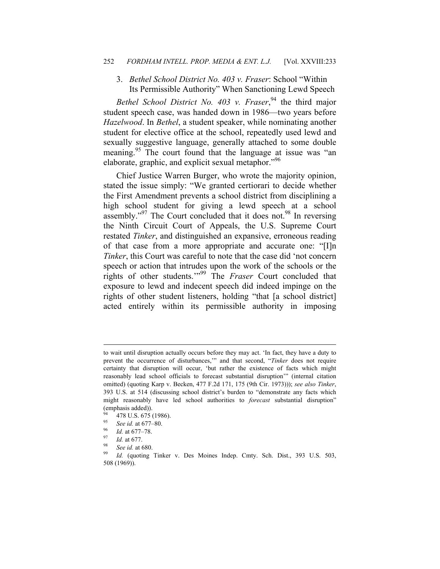#### 252 *FORDHAM INTELL. PROP. MEDIA & ENT. L.J.* [Vol. XXVIII:233

## 3. *Bethel School District No. 403 v. Fraser*: School "Within Its Permissible Authority" When Sanctioning Lewd Speech

*Bethel School District No. 403 v. Fraser*, 94 the third major student speech case, was handed down in 1986—two years before *Hazelwood*. In *Bethel*, a student speaker, while nominating another student for elective office at the school, repeatedly used lewd and sexually suggestive language, generally attached to some double meaning.<sup>95</sup> The court found that the language at issue was "an elaborate, graphic, and explicit sexual metaphor.<sup>"96</sup>

Chief Justice Warren Burger, who wrote the majority opinion, stated the issue simply: "We granted certiorari to decide whether the First Amendment prevents a school district from disciplining a high school student for giving a lewd speech at a school assembly."<sup>97</sup> The Court concluded that it does not.<sup>98</sup> In reversing the Ninth Circuit Court of Appeals, the U.S. Supreme Court restated *Tinker*, and distinguished an expansive, erroneous reading of that case from a more appropriate and accurate one: "[I]n *Tinker*, this Court was careful to note that the case did 'not concern speech or action that intrudes upon the work of the schools or the rights of other students.'"99 The *Fraser* Court concluded that exposure to lewd and indecent speech did indeed impinge on the rights of other student listeners, holding "that [a school district] acted entirely within its permissible authority in imposing

1

to wait until disruption actually occurs before they may act. 'In fact, they have a duty to prevent the occurrence of disturbances,'" and that second, "*Tinker* does not require certainty that disruption will occur, 'but rather the existence of facts which might reasonably lead school officials to forecast substantial disruption'" (internal citation omitted) (quoting Karp v. Becken, 477 F.2d 171, 175 (9th Cir. 1973))); *see also Tinker*, 393 U.S. at 514 (discussing school district's burden to "demonstrate any facts which might reasonably have led school authorities to *forecast* substantial disruption" (emphasis added)).

 $^{94}$  478 U.S. 675 (1986).

<sup>&</sup>lt;sup>95</sup> See id. at 677–80.<br><sup>96</sup> *Id.* at 677–78.<br><sup>97</sup> *Id.* at 677.<br><sup>98</sup> *See id.* at 680.<br><sup>99</sup> *Id.* (quoting Tinker v. Des Moines Indep. Cmty. Sch. Dist., 393 U.S. 503, 508 (1969)).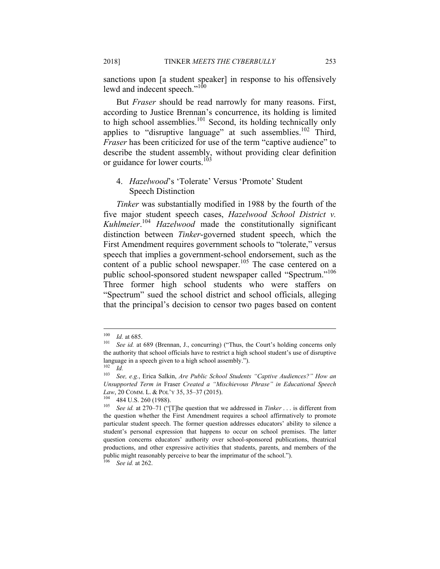sanctions upon [a student speaker] in response to his offensively lewd and indecent speech."<sup>100</sup>

But *Fraser* should be read narrowly for many reasons. First, according to Justice Brennan's concurrence, its holding is limited to high school assemblies.<sup>101</sup> Second, its holding technically only applies to "disruptive language" at such assemblies.<sup>102</sup> Third, *Fraser* has been criticized for use of the term "captive audience" to describe the student assembly, without providing clear definition or guidance for lower courts.<sup>103</sup>

## 4. *Hazelwood*'s 'Tolerate' Versus 'Promote' Student Speech Distinction

*Tinker* was substantially modified in 1988 by the fourth of the five major student speech cases, *Hazelwood School District v. Kuhlmeier*. <sup>104</sup> *Hazelwood* made the constitutionally significant distinction between *Tinker*-governed student speech, which the First Amendment requires government schools to "tolerate," versus speech that implies a government-school endorsement, such as the content of a public school newspaper.<sup>105</sup> The case centered on a public school-sponsored student newspaper called "Spectrum."<sup>106</sup> Three former high school students who were staffers on "Spectrum" sued the school district and school officials, alleging that the principal's decision to censor two pages based on content

<sup>100</sup> 

<sup>&</sup>lt;sup>100</sup> *Id.* at 685.<br><sup>101</sup> *See id.* at 689 (Brennan, J., concurring) ("Thus, the Court's holding concerns only the authority that school officials have to restrict a high school student's use of disruptive language in a speech given to a high school assembly.").

 $\frac{102}{103}$  *Id.* 

<sup>103</sup> *See, e.g.*, Erica Salkin, *Are Public School Students "Captive Audiences?" How an Unsupported Term in* Fraser *Created a "Mischievous Phrase" in Educational Speech Law*, 20 COMM. L. & POL'Y 35, 35–37 (2015).<br><sup>104</sup> 484 U.S. 260 (1988).<br><sup>105</sup> *See id.* at 270–71 ("[T]he question that we addressed in *Tinker* . . . is different from

the question whether the First Amendment requires a school affirmatively to promote particular student speech. The former question addresses educators' ability to silence a student's personal expression that happens to occur on school premises. The latter question concerns educators' authority over school-sponsored publications, theatrical productions, and other expressive activities that students, parents, and members of the public might reasonably perceive to bear the imprimatur of the school.").

See id. at 262.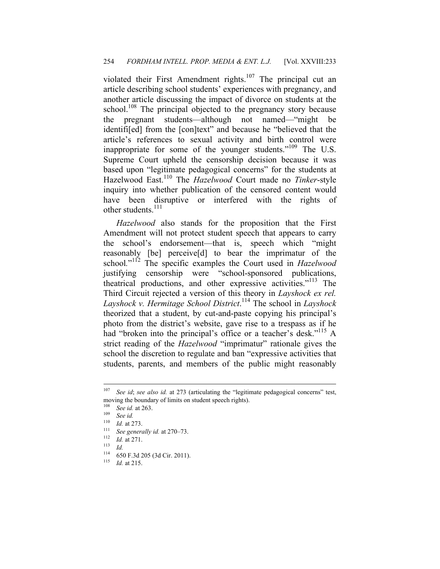violated their First Amendment rights.<sup>107</sup> The principal cut an article describing school students' experiences with pregnancy, and another article discussing the impact of divorce on students at the school.<sup>108</sup> The principal objected to the pregnancy story because the pregnant students—although not named—"might be identifi[ed] from the [con]text" and because he "believed that the article's references to sexual activity and birth control were inappropriate for some of the younger students."<sup>109</sup> The U.S. Supreme Court upheld the censorship decision because it was based upon "legitimate pedagogical concerns" for the students at Hazelwood East.110 The *Hazelwood* Court made no *Tinker*-style inquiry into whether publication of the censored content would have been disruptive or interfered with the rights of other students. $^{111}$ 

*Hazelwood* also stands for the proposition that the First Amendment will not protect student speech that appears to carry the school's endorsement—that is, speech which "might reasonably [be] perceive[d] to bear the imprimatur of the school."<sup>112</sup> The specific examples the Court used in *Hazelwood* justifying censorship were "school-sponsored publications, theatrical productions, and other expressive activities."<sup>113</sup> The Third Circuit rejected a version of this theory in *Layshock ex rel. Layshock v. Hermitage School District*. 114 The school in *Layshock* theorized that a student, by cut-and-paste copying his principal's photo from the district's website, gave rise to a trespass as if he had "broken into the principal's office or a teacher's desk."<sup>115</sup> A strict reading of the *Hazelwood* "imprimatur" rationale gives the school the discretion to regulate and ban "expressive activities that students, parents, and members of the public might reasonably

<sup>107</sup> See id; see also id. at 273 (articulating the "legitimate pedagogical concerns" test, moving the boundary of limits on student speech rights).<br> $\frac{108}{256}$  S as ident 262.

<sup>108</sup> *See id.* at 263. 109 *See id.*

<sup>110</sup> *Id.* at 273.<br>
<sup>111</sup> See generally *id.* at 270–73.<br> *Id.* at 271.<br>
<sup>113</sup> *Id.* (50.5.24.205.(24.Cir. 2011)

<sup>114 650</sup> F.3d 205 (3d Cir. 2011). 115 *Id.* at 215.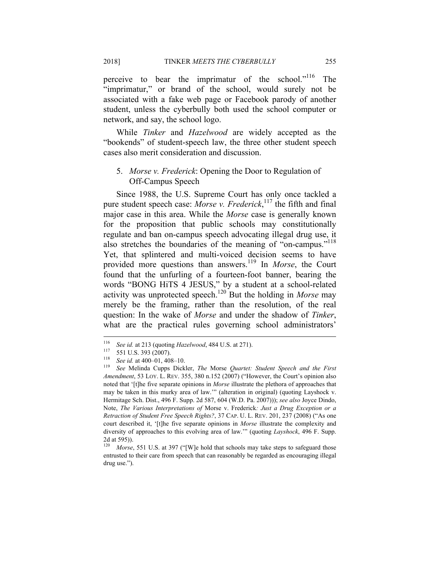perceive to bear the imprimatur of the school."<sup>116</sup> The "imprimatur," or brand of the school, would surely not be associated with a fake web page or Facebook parody of another student, unless the cyberbully both used the school computer or network, and say, the school logo.

While *Tinker* and *Hazelwood* are widely accepted as the "bookends" of student-speech law, the three other student speech cases also merit consideration and discussion.

## 5. *Morse v. Frederick*: Opening the Door to Regulation of Off-Campus Speech

Since 1988, the U.S. Supreme Court has only once tackled a pure student speech case: *Morse v. Frederick*, 117 the fifth and final major case in this area. While the *Morse* case is generally known for the proposition that public schools may constitutionally regulate and ban on-campus speech advocating illegal drug use, it also stretches the boundaries of the meaning of "on-campus."<sup>118</sup> Yet, that splintered and multi-voiced decision seems to have provided more questions than answers.<sup>119</sup> In *Morse*, the Court found that the unfurling of a fourteen-foot banner, bearing the words "BONG HiTS 4 JESUS," by a student at a school-related activity was unprotected speech.<sup>120</sup> But the holding in *Morse* may merely be the framing, rather than the resolution, of the real question: In the wake of *Morse* and under the shadow of *Tinker*, what are the practical rules governing school administrators'

<sup>116</sup> 

<sup>&</sup>lt;sup>116</sup> See id. at 213 (quoting *Hazelwood*, 484 U.S. at 271).<br><sup>117</sup> 551 U.S. 393 (2007).<br><sup>118</sup> See id. at 400–01, 408–10.<br><sup>119</sup> See Melinda Cupps Dickler, *The Morse Quartet: Student Speech and the First Amendment*, 53 LOY. L. REV. 355, 380 n.152 (2007) ("However, the Court's opinion also noted that '[t]he five separate opinions in *Morse* illustrate the plethora of approaches that may be taken in this murky area of law.'" (alteration in original) (quoting Layshock v. Hermitage Sch. Dist., 496 F. Supp. 2d 587, 604 (W.D. Pa. 2007))); *see also* Joyce Dindo, Note, *The Various Interpretations of* Morse v. Frederick*: Just a Drug Exception or a Retraction of Student Free Speech Rights?*, 37 CAP. U. L. REV. 201, 237 (2008) ("As one court described it, '[t]he five separate opinions in *Morse* illustrate the complexity and diversity of approaches to this evolving area of law.'" (quoting *Layshock*, 496 F. Supp. 2d at 595)).

<sup>&</sup>lt;sup>120</sup> Morse, 551 U.S. at 397 ("[W]e hold that schools may take steps to safeguard those entrusted to their care from speech that can reasonably be regarded as encouraging illegal drug use.").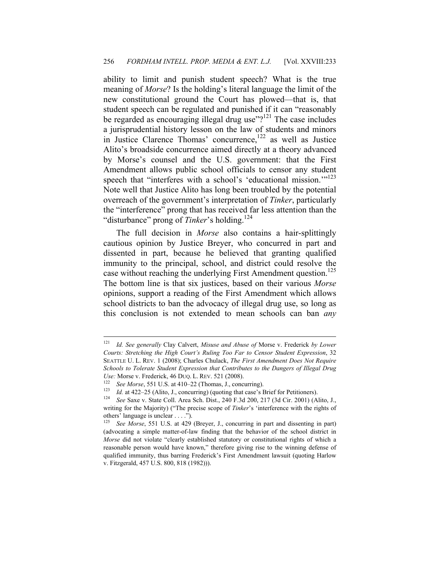ability to limit and punish student speech? What is the true meaning of *Morse*? Is the holding's literal language the limit of the new constitutional ground the Court has plowed—that is, that student speech can be regulated and punished if it can "reasonably be regarded as encouraging illegal drug use"? $121$  The case includes a jurisprudential history lesson on the law of students and minors in Justice Clarence Thomas' concurrence,<sup>122</sup> as well as Justice Alito's broadside concurrence aimed directly at a theory advanced by Morse's counsel and the U.S. government: that the First Amendment allows public school officials to censor any student speech that "interferes with a school's 'educational mission."<sup>123</sup> Note well that Justice Alito has long been troubled by the potential overreach of the government's interpretation of *Tinker*, particularly the "interference" prong that has received far less attention than the "disturbance" prong of *Tinker*'s holding.<sup>124</sup>

The full decision in *Morse* also contains a hair-splittingly cautious opinion by Justice Breyer, who concurred in part and dissented in part, because he believed that granting qualified immunity to the principal, school, and district could resolve the case without reaching the underlying First Amendment question.<sup>125</sup> The bottom line is that six justices, based on their various *Morse* opinions, support a reading of the First Amendment which allows school districts to ban the advocacy of illegal drug use, so long as this conclusion is not extended to mean schools can ban *any* 

<sup>121</sup> <sup>121</sup> *Id. See generally* Clay Calvert, *Misuse and Abuse of* Morse v. Frederick *by Lower Courts: Stretching the High Court's Ruling Too Far to Censor Student Expression*, 32 SEATTLE U. L. REV. 1 (2008); Charles Chulack, *The First Amendment Does Not Require Schools to Tolerate Student Expression that Contributes to the Dangers of Illegal Drug Use:* Morse v. Frederick, 46 DUQ. L. REV. 521 (2008).<br>
<sup>122</sup> *See Morse*, 551 U.S. at 410–22 (Thomas, J., concurring).<br>
<sup>123</sup> *Id.* at 422–25 (Alito, J., concurring) (quoting that case's Brief for Petitioners).<br>
<sup>124</sup> *Se* 

writing for the Majority) ("The precise scope of *Tinker*'s 'interference with the rights of others' language is unclear . . . .").

See Morse, 551 U.S. at 429 (Breyer, J., concurring in part and dissenting in part) (advocating a simple matter-of-law finding that the behavior of the school district in *Morse* did not violate "clearly established statutory or constitutional rights of which a reasonable person would have known," therefore giving rise to the winning defense of qualified immunity, thus barring Frederick's First Amendment lawsuit (quoting Harlow v. Fitzgerald, 457 U.S. 800, 818 (1982))).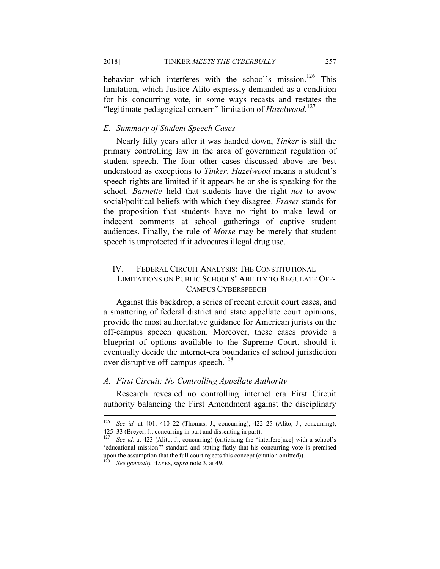behavior which interferes with the school's mission.<sup>126</sup> This limitation, which Justice Alito expressly demanded as a condition for his concurring vote, in some ways recasts and restates the "legitimate pedagogical concern" limitation of *Hazelwood*. 127

## *E. Summary of Student Speech Cases*

Nearly fifty years after it was handed down, *Tinker* is still the primary controlling law in the area of government regulation of student speech. The four other cases discussed above are best understood as exceptions to *Tinker*. *Hazelwood* means a student's speech rights are limited if it appears he or she is speaking for the school. *Barnette* held that students have the right *not* to avow social/political beliefs with which they disagree. *Fraser* stands for the proposition that students have no right to make lewd or indecent comments at school gatherings of captive student audiences. Finally, the rule of *Morse* may be merely that student speech is unprotected if it advocates illegal drug use.

## IV. FEDERAL CIRCUIT ANALYSIS: THE CONSTITUTIONAL LIMITATIONS ON PUBLIC SCHOOLS' ABILITY TO REGULATE OFF-CAMPUS CYBERSPEECH

Against this backdrop, a series of recent circuit court cases, and a smattering of federal district and state appellate court opinions, provide the most authoritative guidance for American jurists on the off-campus speech question. Moreover, these cases provide a blueprint of options available to the Supreme Court, should it eventually decide the internet-era boundaries of school jurisdiction over disruptive off-campus speech.<sup>128</sup>

### *A. First Circuit: No Controlling Appellate Authority*

Research revealed no controlling internet era First Circuit authority balancing the First Amendment against the disciplinary

<sup>126</sup> <sup>126</sup> *See id.* at 401, 410–22 (Thomas, J., concurring), 422–25 (Alito, J., concurring), 425–33 (Breyer, J., concurring in part and dissenting in part).

<sup>&</sup>lt;sup>127</sup> See id. at 423 (Alito, J., concurring) (criticizing the "interfere[nce] with a school's 'educational mission'" standard and stating flatly that his concurring vote is premised upon the assumption that the full court rejects this concept (citation omitted)). 128 *See generally* HAYES,*supra* note 3, at 49.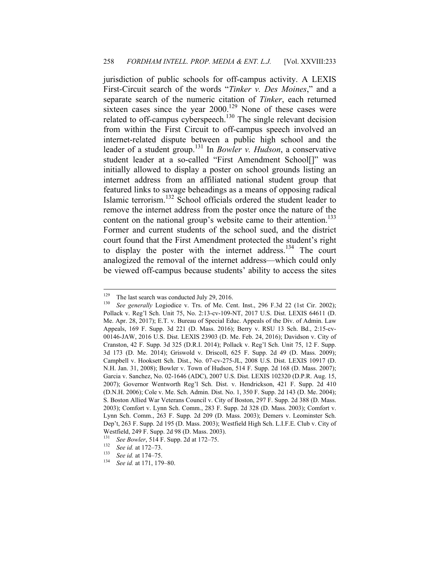jurisdiction of public schools for off-campus activity. A LEXIS First-Circuit search of the words "*Tinker v. Des Moines*," and a separate search of the numeric citation of *Tinker*, each returned sixteen cases since the year  $2000$ .<sup>129</sup> None of these cases were related to off-campus cyberspeech.<sup>130</sup> The single relevant decision from within the First Circuit to off-campus speech involved an internet-related dispute between a public high school and the leader of a student group.131 In *Bowler v. Hudson*, a conservative student leader at a so-called "First Amendment School[]" was initially allowed to display a poster on school grounds listing an internet address from an affiliated national student group that featured links to savage beheadings as a means of opposing radical Islamic terrorism.132 School officials ordered the student leader to remove the internet address from the poster once the nature of the content on the national group's website came to their attention.<sup>133</sup> Former and current students of the school sued, and the district court found that the First Amendment protected the student's right to display the poster with the internet address.<sup>134</sup> The court analogized the removal of the internet address—which could only be viewed off-campus because students' ability to access the sites

<sup>129</sup> 

<sup>&</sup>lt;sup>129</sup> The last search was conducted July 29, 2016.<br><sup>130</sup> See generally Logiodice v. Trs. of Me. Cent. Inst., 296 F.3d 22 (1st Cir. 2002); Pollack v. Reg'l Sch. Unit 75, No. 2:13-cv-109-NT, 2017 U.S. Dist. LEXIS 64611 (D. Me. Apr. 28, 2017); E.T. v. Bureau of Special Educ. Appeals of the Div. of Admin. Law Appeals, 169 F. Supp. 3d 221 (D. Mass. 2016); Berry v. RSU 13 Sch. Bd., 2:15-cv-00146-JAW, 2016 U.S. Dist. LEXIS 23903 (D. Me. Feb. 24, 2016); Davidson v. City of Cranston, 42 F. Supp. 3d 325 (D.R.I. 2014); Pollack v. Reg'l Sch. Unit 75, 12 F. Supp. 3d 173 (D. Me. 2014); Griswold v. Driscoll, 625 F. Supp. 2d 49 (D. Mass. 2009); Campbell v. Hooksett Sch. Dist., No. 07-cv-275-JL, 2008 U.S. Dist. LEXIS 10917 (D. N.H. Jan. 31, 2008); Bowler v. Town of Hudson, 514 F. Supp. 2d 168 (D. Mass. 2007); Garcia v. Sanchez, No. 02-1646 (ADC), 2007 U.S. Dist. LEXIS 102320 (D.P.R. Aug. 15, 2007); Governor Wentworth Reg'l Sch. Dist. v. Hendrickson, 421 F. Supp. 2d 410 (D.N.H. 2006); Cole v. Me. Sch. Admin. Dist. No. 1, 350 F. Supp. 2d 143 (D. Me. 2004); S. Boston Allied War Veterans Council v. City of Boston, 297 F. Supp. 2d 388 (D. Mass. 2003); Comfort v. Lynn Sch. Comm., 283 F. Supp. 2d 328 (D. Mass. 2003); Comfort v. Lynn Sch. Comm., 263 F. Supp. 2d 209 (D. Mass. 2003); Demers v. Leominster Sch. Dep't, 263 F. Supp. 2d 195 (D. Mass. 2003); Westfield High Sch. L.I.F.E. Club v. City of Westfield, 249 F. Supp. 2d 98 (D. Mass. 2003).

<sup>1&</sup>lt;sup>31</sup> See Bowler, 514 F. Supp. 2d at 172–75.<br>
<sup>132</sup> See id. at 172–73.<br>
<sup>133</sup> See id. at 174–75.<br>
<sup>134</sup> See id. at 171, 179–80.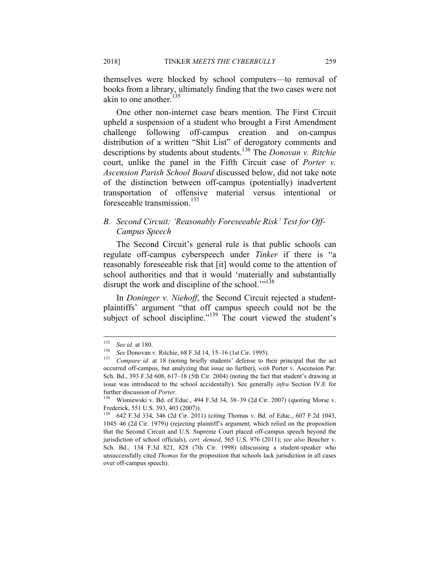themselves were blocked by school computers—to removal of books from a library, ultimately finding that the two cases were not akin to one another. $135$ 

One other non-internet case bears mention. The First Circuit upheld a suspension of a student who brought a First Amendment challenge following off-campus creation and on-campus distribution of a written "Shit List" of derogatory comments and descriptions by students about students.136 The *Donovan v. Ritchie* court, unlike the panel in the Fifth Circuit case of *Porter v. Ascension Parish School Board* discussed below, did not take note of the distinction between off-campus (potentially) inadvertent transportation of offensive material versus intentional or foreseeable transmission.<sup>137</sup>

## *B. Second Circuit: 'Reasonably Foreseeable Risk' Test for Off-Campus Speech*

The Second Circuit's general rule is that public schools can regulate off-campus cyberspeech under *Tinker* if there is "a reasonably foreseeable risk that [it] would come to the attention of school authorities and that it would 'materially and substantially disrupt the work and discipline of the school."<sup>138</sup>

In *Doninger v. Niehoff*, the Second Circuit rejected a studentplaintiffs' argument "that off campus speech could not be the subject of school discipline."<sup>139</sup> The court viewed the student's

<sup>135</sup> 

<sup>&</sup>lt;sup>135</sup> See id. at 180.<br><sup>136</sup> See Donovan v. Ritchie, 68 F.3d 14, 15–16 (1st Cir. 1995).<br><sup>137</sup> Compare id. at 18 (noting briefly students' defense to their principal that the act occurred off-campus, but analyzing that issue no further), *with* Porter v. Ascension Par. Sch. Bd., 393 F.3d 608, 617–18 (5th Cir. 2004) (noting the fact that student's drawing at issue was introduced to the school accidentally). See generally *infra* Section IV.E for further discussion of *Porter*.<br><sup>138</sup> Wisniewski v. Bd. of Educ., 494 F.3d 34, 38–39 (2d Cir. 2007) (quoting Morse v.

Frederick, 551 U.S. 393, 403 (2007)).<br><sup>139</sup> 642 E 34 334 346 (2d Cir. 201)

<sup>139 642</sup> F.3d 334, 346 (2d Cir. 2011) (citing Thomas v. Bd. of Educ., 607 F.2d 1043, 1045–46 (2d Cir. 1979)) (rejecting plaintiff's argument, which relied on the proposition that the Second Circuit and U.S. Supreme Court placed off-campus speech beyond the jurisdiction of school officials), *cert. denied*, 565 U.S. 976 (2011); *see also* Boucher v. Sch. Bd., 134 F.3d 821, 828 (7th Cir. 1998) (discussing a student-speaker who unsuccessfully cited *Thomas* for the proposition that schools lack jurisdiction in all cases over off-campus speech).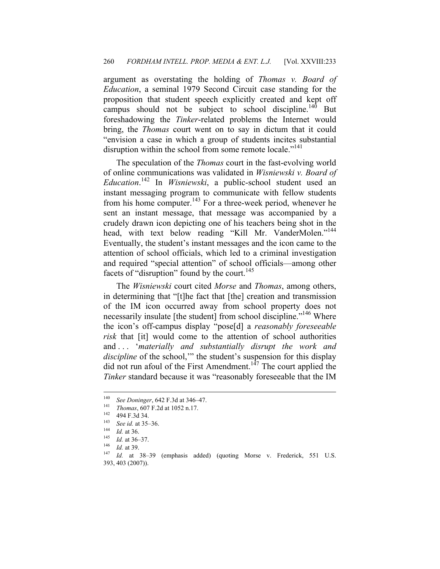argument as overstating the holding of *Thomas v. Board of Education*, a seminal 1979 Second Circuit case standing for the proposition that student speech explicitly created and kept off campus should not be subject to school discipline.<sup>140</sup> But foreshadowing the *Tinker*-related problems the Internet would bring, the *Thomas* court went on to say in dictum that it could "envision a case in which a group of students incites substantial disruption within the school from some remote locale."<sup>141</sup>

The speculation of the *Thomas* court in the fast-evolving world of online communications was validated in *Wisniewski v. Board of Education*. 142 In *Wisniewski*, a public-school student used an instant messaging program to communicate with fellow students from his home computer.<sup>143</sup> For a three-week period, whenever he sent an instant message, that message was accompanied by a crudely drawn icon depicting one of his teachers being shot in the head, with text below reading "Kill Mr. VanderMolen."<sup>144</sup> Eventually, the student's instant messages and the icon came to the attention of school officials, which led to a criminal investigation and required "special attention" of school officials—among other facets of "disruption" found by the court.<sup>145</sup>

The *Wisniewski* court cited *Morse* and *Thomas*, among others, in determining that "[t]he fact that [the] creation and transmission of the IM icon occurred away from school property does not necessarily insulate [the student] from school discipline."<sup>146</sup> Where the icon's off-campus display "pose[d] a *reasonably foreseeable risk* that [it] would come to the attention of school authorities and . . . '*materially and substantially disrupt the work and discipline* of the school,'" the student's suspension for this display did not run afoul of the First Amendment.<sup>147</sup> The court applied the *Tinker* standard because it was "reasonably foreseeable that the IM

<sup>140</sup> 

<sup>&</sup>lt;sup>140</sup> See Doninger, 642 F.3d at 346-47.<br>
<sup>141</sup> Thomas, 607 F.2d at 1052 n.17.<br>
<sup>142</sup> 494 F.3d 34.<br> *La* 36 *La* at 35-36.<br> *La* 143 *La* at 36.<br> *La* 145 *La* at 36-37.<br>
<sup>146</sup> *La* at 39.<br>
<sup>147</sup> *La* at 38-39 (emphasis ad 393, 403 (2007)).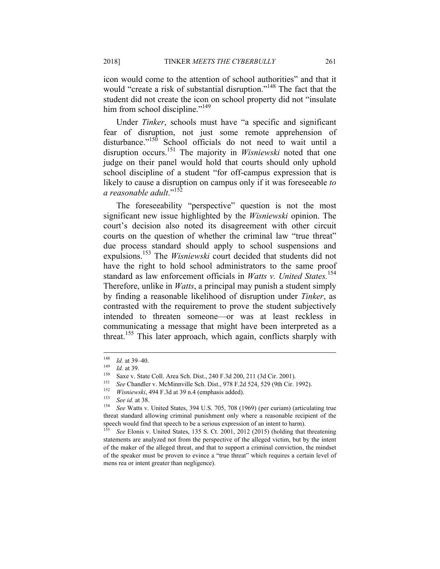icon would come to the attention of school authorities" and that it

would "create a risk of substantial disruption."<sup>148</sup> The fact that the student did not create the icon on school property did not "insulate him from school discipline."<sup>149</sup>

Under *Tinker*, schools must have "a specific and significant fear of disruption, not just some remote apprehension of disturbance."<sup>150</sup> School officials do not need to wait until a disruption occurs.<sup>151</sup> The majority in *Wisniewski* noted that one judge on their panel would hold that courts should only uphold school discipline of a student "for off-campus expression that is likely to cause a disruption on campus only if it was foreseeable *to a reasonable adult*."<sup>152</sup>

The foreseeability "perspective" question is not the most significant new issue highlighted by the *Wisniewski* opinion. The court's decision also noted its disagreement with other circuit courts on the question of whether the criminal law "true threat" due process standard should apply to school suspensions and expulsions.153 The *Wisniewski* court decided that students did not have the right to hold school administrators to the same proof standard as law enforcement officials in *Watts v. United States.*<sup>154</sup> Therefore, unlike in *Watts*, a principal may punish a student simply by finding a reasonable likelihood of disruption under *Tinker*, as contrasted with the requirement to prove the student subjectively intended to threaten someone—or was at least reckless in communicating a message that might have been interpreted as a threat.155 This later approach, which again, conflicts sharply with

<sup>148</sup> 

<sup>&</sup>lt;sup>148</sup> *Id.* at 39–40.<br>
<sup>149</sup> *Id.* at 39.<br>
Saxe v. State Coll. Area Sch. Dist., 240 F.3d 200, 211 (3d Cir. 2001).<br>
<sup>151</sup> *See* Chandler v. McMinnville Sch. Dist., 978 F.2d 524, 529 (9th Cir. 1992).<br> *Wisniewski*, 494 F.3d

threat standard allowing criminal punishment only where a reasonable recipient of the speech would find that speech to be a serious expression of an intent to harm).

<sup>155</sup> *See* Elonis v. United States, 135 S. Ct. 2001, 2012 (2015) (holding that threatening statements are analyzed not from the perspective of the alleged victim, but by the intent of the maker of the alleged threat, and that to support a criminal conviction, the mindset of the speaker must be proven to evince a "true threat" which requires a certain level of mens rea or intent greater than negligence).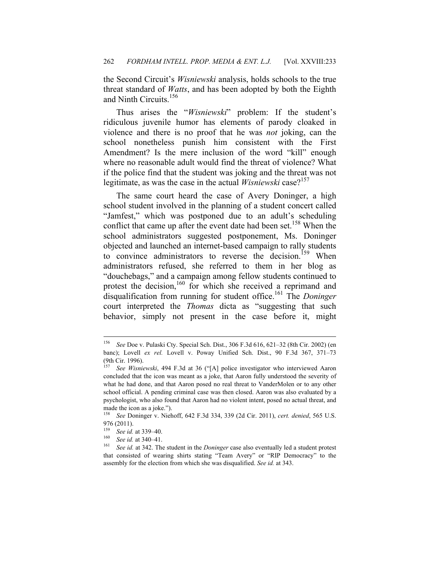the Second Circuit's *Wisniewski* analysis, holds schools to the true threat standard of *Watts*, and has been adopted by both the Eighth and Ninth Circuits.156

Thus arises the "*Wisniewski*" problem: If the student's ridiculous juvenile humor has elements of parody cloaked in violence and there is no proof that he was *not* joking, can the school nonetheless punish him consistent with the First Amendment? Is the mere inclusion of the word "kill" enough where no reasonable adult would find the threat of violence? What if the police find that the student was joking and the threat was not legitimate, as was the case in the actual *Wisniewski* case?<sup>157</sup>

The same court heard the case of Avery Doninger, a high school student involved in the planning of a student concert called "Jamfest," which was postponed due to an adult's scheduling conflict that came up after the event date had been set.<sup>158</sup> When the school administrators suggested postponement, Ms. Doninger objected and launched an internet-based campaign to rally students to convince administrators to reverse the decision.<sup>159</sup> When administrators refused, she referred to them in her blog as "douchebags," and a campaign among fellow students continued to protest the decision,<sup>160</sup> for which she received a reprimand and disqualification from running for student office.161 The *Doninger* court interpreted the *Thomas* dicta as "suggesting that such behavior, simply not present in the case before it, might

<sup>156</sup> <sup>156</sup> *See* Doe v. Pulaski Cty. Special Sch. Dist., 306 F.3d 616, 621–32 (8th Cir. 2002) (en banc); Lovell *ex rel.* Lovell v. Poway Unified Sch. Dist., 90 F.3d 367, 371–73 (9th Cir. 1996).<br><sup>157</sup> See Wisnis

See Wisniewski, 494 F.3d at 36 ("[A] police investigator who interviewed Aaron concluded that the icon was meant as a joke, that Aaron fully understood the severity of what he had done, and that Aaron posed no real threat to VanderMolen or to any other school official. A pending criminal case was then closed. Aaron was also evaluated by a psychologist, who also found that Aaron had no violent intent, posed no actual threat, and made the icon as a joke.").

<sup>158</sup> *See* Doninger v. Niehoff, 642 F.3d 334, 339 (2d Cir. 2011), *cert. denied*, 565 U.S. 976 (2011).

<sup>&</sup>lt;sup>159</sup> See id. at 339–40.<br><sup>160</sup> See id. at 340–41.<br><sup>161</sup> See id. at 342. The student in the *Doninger* case also eventually led a student protest that consisted of wearing shirts stating "Team Avery" or "RIP Democracy" to the assembly for the election from which she was disqualified. *See id.* at 343.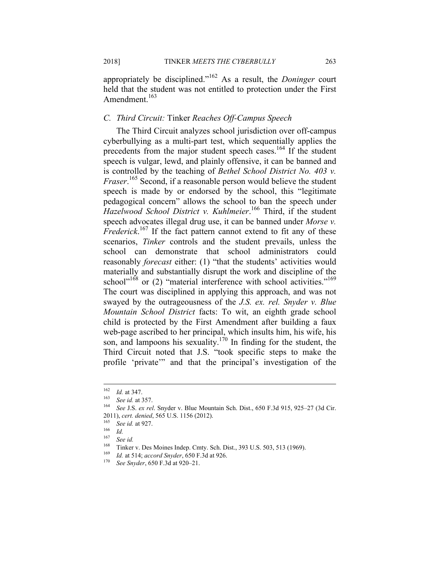appropriately be disciplined."162 As a result, the *Doninger* court held that the student was not entitled to protection under the First Amendment.<sup>163</sup>

## *C. Third Circuit:* Tinker *Reaches Off-Campus Speech*

The Third Circuit analyzes school jurisdiction over off-campus cyberbullying as a multi-part test, which sequentially applies the precedents from the major student speech cases.<sup>164</sup> If the student speech is vulgar, lewd, and plainly offensive, it can be banned and is controlled by the teaching of *Bethel School District No. 403 v. Fraser*. 165 Second, if a reasonable person would believe the student speech is made by or endorsed by the school, this "legitimate pedagogical concern" allows the school to ban the speech under *Hazelwood School District v. Kuhlmeier*. 166 Third, if the student speech advocates illegal drug use, it can be banned under *Morse v. Frederick*. 167 If the fact pattern cannot extend to fit any of these scenarios, *Tinker* controls and the student prevails, unless the school can demonstrate that school administrators could reasonably *forecast* either: (1) "that the students' activities would materially and substantially disrupt the work and discipline of the school<sup>"168</sup> or (2) "material interference with school activities."<sup>169</sup> The court was disciplined in applying this approach, and was not swayed by the outrageousness of the *J.S. ex. rel. Snyder v. Blue Mountain School District* facts: To wit, an eighth grade school child is protected by the First Amendment after building a faux web-page ascribed to her principal, which insults him, his wife, his son, and lampoons his sexuality.<sup>170</sup> In finding for the student, the Third Circuit noted that J.S. "took specific steps to make the profile 'private'" and that the principal's investigation of the

<sup>162</sup> 

<sup>162</sup> *Id.* at 347. 163 *See id.* at 357. 164 *See* J.S. *ex rel*. Snyder v. Blue Mountain Sch. Dist., 650 F.3d 915, 925–27 (3d Cir. 2011), *cert. denied*, 565 U.S. 1156 (2012).<br><sup>165</sup> *See id.* at 927.<br><sup>166</sup> *Id.* 

 $\frac{167}{168}$  See id.

<sup>168</sup> Tinker v. Des Moines Indep. Cmty. Sch. Dist., 393 U.S. 503, 513 (1969). 169 *Id.* at 514; *accord Snyder*, 650 F.3d at 926. 170 *See Snyder*, 650 F.3d at 920–21.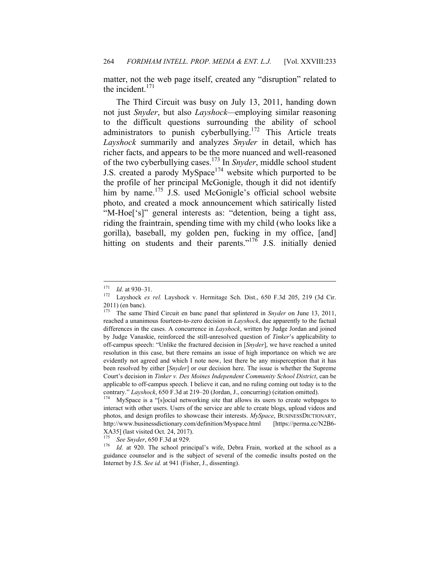matter, not the web page itself, created any "disruption" related to the incident. $171$ 

The Third Circuit was busy on July 13, 2011, handing down not just *Snyder*, but also *Layshock—*employing similar reasoning to the difficult questions surrounding the ability of school administrators to punish cyberbullying.<sup>172</sup> This Article treats *Layshock* summarily and analyzes *Snyder* in detail, which has richer facts, and appears to be the more nuanced and well-reasoned of the two cyberbullying cases.173 In *Snyder*, middle school student J.S. created a parody MySpace<sup>174</sup> website which purported to be the profile of her principal McGonigle, though it did not identify him by name.<sup>175</sup> J.S. used McGonigle's official school website photo, and created a mock announcement which satirically listed "M-Hoe['s]" general interests as: "detention, being a tight ass, riding the fraintrain, spending time with my child (who looks like a gorilla), baseball, my golden pen, fucking in my office, [and] hitting on students and their parents."<sup>176</sup> J.S. initially denied

<sup>171</sup> 

<sup>171</sup> *Id.* at 930–31. 172 Layshock *ex rel.* Layshock v. Hermitage Sch. Dist., 650 F.3d 205, 219 (3d Cir.  $2011$ ) (en banc).<br><sup>173</sup> The same J

<sup>173</sup> The same Third Circuit en banc panel that splintered in *Snyder* on June 13, 2011, reached a unanimous fourteen-to-zero decision in *Layshock*, due apparently to the factual differences in the cases. A concurrence in *Layshock*, written by Judge Jordan and joined by Judge Vanaskie, reinforced the still-unresolved question of *Tinker*'s applicability to off-campus speech: "Unlike the fractured decision in [*Snyder*], we have reached a united resolution in this case, but there remains an issue of high importance on which we are evidently not agreed and which I note now, lest there be any misperception that it has been resolved by either [*Snyder*] or our decision here. The issue is whether the Supreme Court's decision in *Tinker v. Des Moines Independent Community School District*, can be applicable to off-campus speech. I believe it can, and no ruling coming out today is to the contrary." *Layshock*, 650 F.3d at 219–20 (Jordan, J., concurring) (citation omitted). 174 MySpace is a "[s]ocial networking site that allows its users to create webpages to

interact with other users. Users of the service are able to create blogs, upload videos and photos, and design profiles to showcase their interests. *MySpace*, BUSINESSDICTIONARY, http://www.businessdictionary.com/definition/Myspace.html [https://perma.cc/N2B6- XA35] (last visited Oct. 24, 2017).

<sup>&</sup>lt;sup>175</sup> See Snyder, 650 F.3d at 929.<br><sup>176</sup> *Id.* at 920. The school principal's wife, Debra Frain, worked at the school as a guidance counselor and is the subject of several of the comedic insults posted on the Internet by J.S. *See id.* at 941 (Fisher, J., dissenting).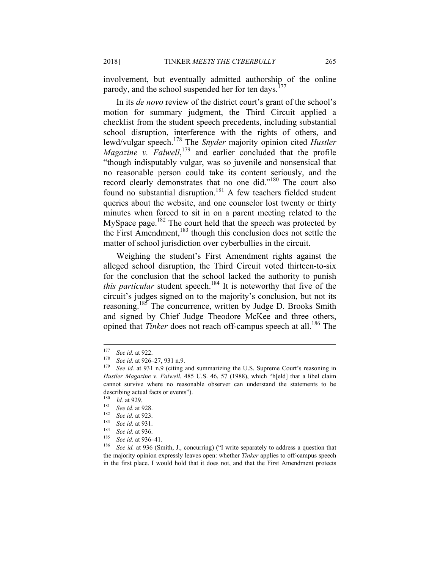involvement, but eventually admitted authorship of the online parody, and the school suspended her for ten days.<sup>177</sup>

In its *de novo* review of the district court's grant of the school's motion for summary judgment, the Third Circuit applied a checklist from the student speech precedents, including substantial school disruption, interference with the rights of others, and lewd/vulgar speech.178 The *Snyder* majority opinion cited *Hustler*  Magazine v. Falwell,<sup>179</sup> and earlier concluded that the profile "though indisputably vulgar, was so juvenile and nonsensical that no reasonable person could take its content seriously, and the record clearly demonstrates that no one did."180 The court also found no substantial disruption.<sup>181</sup> A few teachers fielded student queries about the website, and one counselor lost twenty or thirty minutes when forced to sit in on a parent meeting related to the MySpace page.<sup>182</sup> The court held that the speech was protected by the First Amendment,<sup>183</sup> though this conclusion does not settle the matter of school jurisdiction over cyberbullies in the circuit.

Weighing the student's First Amendment rights against the alleged school disruption, the Third Circuit voted thirteen-to-six for the conclusion that the school lacked the authority to punish *this particular* student speech.<sup>184</sup> It is noteworthy that five of the circuit's judges signed on to the majority's conclusion, but not its reasoning.185 The concurrence, written by Judge D. Brooks Smith and signed by Chief Judge Theodore McKee and three others, opined that *Tinker* does not reach off-campus speech at all.<sup>186</sup> The

<sup>177</sup> 

<sup>&</sup>lt;sup>177</sup> See id. at 922.<br><sup>178</sup> See id. at 926–27, 931 n.9.<br><sup>179</sup> See id. at 931 n.9 (citing and summarizing the U.S. Supreme Court's reasoning in *Hustler Magazine v. Falwell*, 485 U.S. 46, 57 (1988), which "h[eld] that a libel claim cannot survive where no reasonable observer can understand the statements to be describing actual facts or events").<br> $\frac{180}{180}$   $I_{\text{d}}$  (4.020)

<sup>&</sup>lt;sup>180</sup> *Id.* at 929.<br>
<sup>181</sup> *See id.* at 928.<br>
<sup>182</sup> *See id.* at 923.<br>
<sup>183</sup> *See id.* at 931.<br>
<sup>184</sup> *See id.* at 936.<br>
<sup>184</sup> *See id.* at 936.<br>
<sup>185</sup> *See id.* at 936–41.<br>
<sup>186</sup> *See id.* at 936 (Smith, J., concurring) the majority opinion expressly leaves open: whether *Tinker* applies to off-campus speech in the first place. I would hold that it does not, and that the First Amendment protects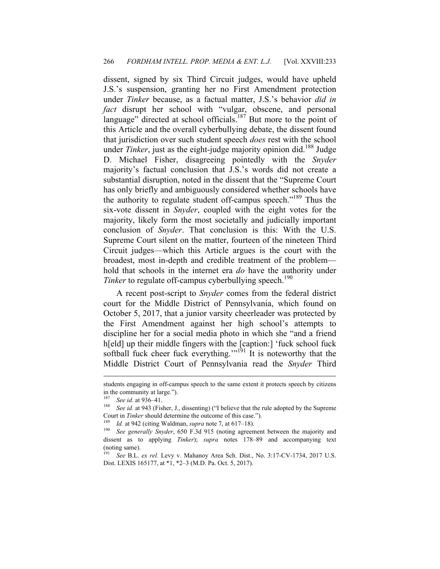dissent, signed by six Third Circuit judges, would have upheld J.S.'s suspension, granting her no First Amendment protection under *Tinker* because, as a factual matter, J.S.'s behavior *did in fact* disrupt her school with "vulgar, obscene, and personal language" directed at school officials.<sup>187</sup> But more to the point of this Article and the overall cyberbullying debate, the dissent found that jurisdiction over such student speech *does* rest with the school under *Tinker*, just as the eight-judge majority opinion did.<sup>188</sup> Judge D. Michael Fisher, disagreeing pointedly with the *Snyder* majority's factual conclusion that J.S.'s words did not create a substantial disruption, noted in the dissent that the "Supreme Court has only briefly and ambiguously considered whether schools have the authority to regulate student off-campus speech."<sup>189</sup> Thus the six-vote dissent in *Snyder*, coupled with the eight votes for the majority, likely form the most societally and judicially important conclusion of *Snyder*. That conclusion is this: With the U.S. Supreme Court silent on the matter, fourteen of the nineteen Third Circuit judges—which this Article argues is the court with the broadest, most in-depth and credible treatment of the problem hold that schools in the internet era *do* have the authority under *Tinker* to regulate off-campus cyberbullying speech.<sup>190</sup>

A recent post-script to *Snyder* comes from the federal district court for the Middle District of Pennsylvania, which found on October 5, 2017, that a junior varsity cheerleader was protected by the First Amendment against her high school's attempts to discipline her for a social media photo in which she "and a friend h[eld] up their middle fingers with the [caption:] 'fuck school fuck softball fuck cheer fuck everything." $\frac{1}{1}$  It is noteworthy that the Middle District Court of Pennsylvania read the *Snyder* Third

students engaging in off-campus speech to the same extent it protects speech by citizens in the community at large.").

<sup>&</sup>lt;sup>187</sup> See id. at 936–41.<br><sup>188</sup> See id. at 943 (Fisher, J., dissenting) ("I believe that the rule adopted by the Supreme Court in *Tinker* should determine the outcome of this case.").<br><sup>189</sup> *Id.* at 942 (citing Waldman, *supra* note 7, at 617–18).<br><sup>190</sup> *See generally Snyder*, 650 F.3d 915 (noting agreement between the majority and

dissent as to applying *Tinker*); *supra* notes 178–89 and accompanying text (noting same).

<sup>191</sup> *See* B.L. *ex rel.* Levy v. Mahanoy Area Sch. Dist., No. 3:17-CV-1734, 2017 U.S. Dist. LEXIS 165177, at \*1, \*2–3 (M.D. Pa. Oct. 5, 2017).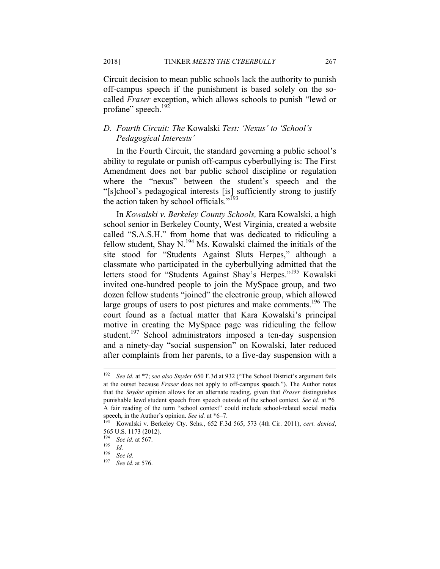Circuit decision to mean public schools lack the authority to punish off-campus speech if the punishment is based solely on the socalled *Fraser* exception, which allows schools to punish "lewd or profane" speech.<sup>192</sup>

## *D. Fourth Circuit: The* Kowalski *Test: 'Nexus' to 'School's Pedagogical Interests'*

In the Fourth Circuit, the standard governing a public school's ability to regulate or punish off-campus cyberbullying is: The First Amendment does not bar public school discipline or regulation where the "nexus" between the student's speech and the "[s]chool's pedagogical interests [is] sufficiently strong to justify the action taken by school officials."<sup>193</sup>

In *Kowalski v. Berkeley County Schools,* Kara Kowalski, a high school senior in Berkeley County, West Virginia, created a website called "S.A.S.H." from home that was dedicated to ridiculing a fellow student, Shay N.<sup>194</sup> Ms. Kowalski claimed the initials of the site stood for "Students Against Sluts Herpes," although a classmate who participated in the cyberbullying admitted that the letters stood for "Students Against Shay's Herpes."<sup>195</sup> Kowalski invited one-hundred people to join the MySpace group, and two dozen fellow students "joined" the electronic group, which allowed large groups of users to post pictures and make comments.<sup>196</sup> The court found as a factual matter that Kara Kowalski's principal motive in creating the MySpace page was ridiculing the fellow student.<sup>197</sup> School administrators imposed a ten-day suspension and a ninety-day "social suspension" on Kowalski, later reduced after complaints from her parents, to a five-day suspension with a

 $192\,$ <sup>192</sup> *See id.* at \*7; *see also Snyder* 650 F.3d at 932 ("The School District's argument fails at the outset because *Fraser* does not apply to off-campus speech."). The Author notes that the *Snyder* opinion allows for an alternate reading, given that *Fraser* distinguishes punishable lewd student speech from speech outside of the school context*. See id.* at \*6*.* A fair reading of the term "school context" could include school-related social media<br>speech, in the Author's opinion. See id. at  $*6-7$ .

Kowalski v. Berkeley Cty. Schs., 652 F.3d 565, 573 (4th Cir. 2011), *cert. denied*, 565 U.S. 1173 (2012).

<sup>194</sup> *See id.* at 567. 195 *Id.*

<sup>196</sup> *See id.*

<sup>197</sup> *See id.* at 576.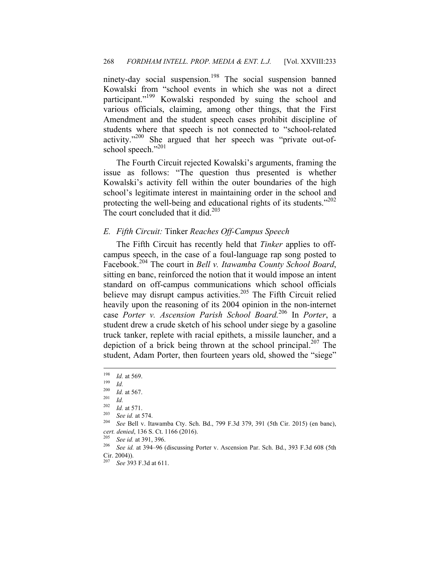ninety-day social suspension.<sup>198</sup> The social suspension banned Kowalski from "school events in which she was not a direct participant."<sup>199</sup> Kowalski responded by suing the school and various officials, claiming, among other things, that the First Amendment and the student speech cases prohibit discipline of students where that speech is not connected to "school-related activity."200 She argued that her speech was "private out-ofschool speech."201

The Fourth Circuit rejected Kowalski's arguments, framing the issue as follows: "The question thus presented is whether Kowalski's activity fell within the outer boundaries of the high school's legitimate interest in maintaining order in the school and protecting the well-being and educational rights of its students."<sup>202</sup> The court concluded that it did. $203$ 

#### *E. Fifth Circuit:* Tinker *Reaches Off-Campus Speech*

The Fifth Circuit has recently held that *Tinker* applies to offcampus speech, in the case of a foul-language rap song posted to Facebook.204 The court in *Bell v. Itawamba County School Board*, sitting en banc, reinforced the notion that it would impose an intent standard on off-campus communications which school officials believe may disrupt campus activities.<sup>205</sup> The Fifth Circuit relied heavily upon the reasoning of its 2004 opinion in the non-internet case *Porter v. Ascension Parish School Board.*206 In *Porter*, a student drew a crude sketch of his school under siege by a gasoline truck tanker, replete with racial epithets, a missile launcher, and a depiction of a brick being thrown at the school principal.<sup>207</sup> The student, Adam Porter, then fourteen years old, showed the "siege"

<sup>198</sup> <sup>198</sup> *Id.* at 569. 199 *Id.*

 $\frac{200}{201}$  *Id.* at 567.<br>  $\frac{202}{100}$  *Id.* 

<sup>202</sup> *Id.* at 571. 203 *See id.* at 574. 204 *See* Bell v. Itawamba Cty. Sch. Bd., 799 F.3d 379, 391 (5th Cir. 2015) (en banc),

*cert. denied*, 136 S. Ct. 1166 (2016). 205 *See id.* at 391, 396. 206 *See id.* at 394–96 (discussing Porter v. Ascension Par. Sch. Bd., 393 F.3d 608 (5th Cir. 2004)).

<sup>207</sup> *See* 393 F.3d at 611.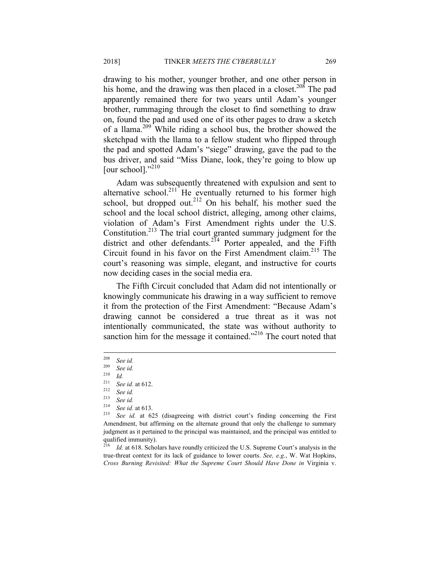drawing to his mother, younger brother, and one other person in his home, and the drawing was then placed in a closet.<sup>208</sup> The pad apparently remained there for two years until Adam's younger brother, rummaging through the closet to find something to draw on, found the pad and used one of its other pages to draw a sketch of a llama.209 While riding a school bus, the brother showed the sketchpad with the llama to a fellow student who flipped through the pad and spotted Adam's "siege" drawing, gave the pad to the bus driver, and said "Miss Diane, look, they're going to blow up [our school]." $^{210}$ 

Adam was subsequently threatened with expulsion and sent to alternative school.<sup>211</sup> He eventually returned to his former high school, but dropped out.<sup>212</sup> On his behalf, his mother sued the school and the local school district, alleging, among other claims, violation of Adam's First Amendment rights under the U.S. Constitution.213 The trial court granted summary judgment for the district and other defendants.<sup>214</sup> Porter appealed, and the Fifth Circuit found in his favor on the First Amendment claim.<sup>215</sup> The court's reasoning was simple, elegant, and instructive for courts now deciding cases in the social media era.

The Fifth Circuit concluded that Adam did not intentionally or knowingly communicate his drawing in a way sufficient to remove it from the protection of the First Amendment: "Because Adam's drawing cannot be considered a true threat as it was not intentionally communicated, the state was without authority to sanction him for the message it contained."<sup>216</sup> The court noted that

<sup>216</sup> *Id.* at 618. Scholars have roundly criticized the U.S. Supreme Court's analysis in the true-threat context for its lack of guidance to lower courts. *See, e.g.*, W. Wat Hopkins, *Cross Burning Revisited: What the Supreme Court Should Have Done in* Virginia v.

<sup>208</sup> <sup>208</sup> *See id.*

<sup>209</sup> *See id.*

 $\frac{210}{211}$  *Id.* 

<sup>211</sup> *See id.* at 612. 212 *See id.*

<sup>213</sup> *See id.*

<sup>214</sup> *See id.* at 613. 215 *See id.* at 625 (disagreeing with district court's finding concerning the First Amendment, but affirming on the alternate ground that only the challenge to summary judgment as it pertained to the principal was maintained, and the principal was entitled to qualified immunity).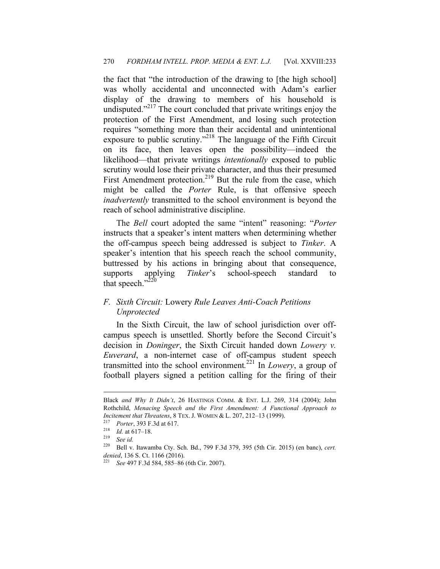the fact that "the introduction of the drawing to [the high school] was wholly accidental and unconnected with Adam's earlier display of the drawing to members of his household is undisputed."<sup>217</sup> The court concluded that private writings enjoy the protection of the First Amendment, and losing such protection requires "something more than their accidental and unintentional exposure to public scrutiny."218 The language of the Fifth Circuit on its face, then leaves open the possibility—indeed the likelihood—that private writings *intentionally* exposed to public scrutiny would lose their private character, and thus their presumed First Amendment protection.<sup>219</sup> But the rule from the case, which might be called the *Porter* Rule, is that offensive speech *inadvertently* transmitted to the school environment is beyond the reach of school administrative discipline.

The *Bell* court adopted the same "intent" reasoning: "*Porter* instructs that a speaker's intent matters when determining whether the off-campus speech being addressed is subject to *Tinker*. A speaker's intention that his speech reach the school community, buttressed by his actions in bringing about that consequence, supports applying *Tinker*'s school-speech standard to that speech." $220$ 

## *F. Sixth Circuit:* Lowery *Rule Leaves Anti-Coach Petitions Unprotected*

In the Sixth Circuit, the law of school jurisdiction over offcampus speech is unsettled. Shortly before the Second Circuit's decision in *Doninger*, the Sixth Circuit handed down *Lowery v. Euverard*, a non-internet case of off-campus student speech transmitted into the school environment*.* 221 In *Lowery*, a group of football players signed a petition calling for the firing of their

1

Black *and Why It Didn't*, 26 HASTINGS COMM. & ENT. L.J. 269, 314 (2004); John Rothchild, *Menacing Speech and the First Amendment: A Functional Approach to Incitement that Threatens*, 8 TEX. J. WOMEN & L. 207, 212–13 (1999).<br>
<sup>217</sup> *Porter*, 393 F.3d at 617.<br>
<sup>218</sup> *Id.* at 617–18.<br>
<sup>219</sup> *See id.*<br>
<sup>220</sup> Bell.y. Jtowembe Cty. Sch. Bd. 700 E.3d 370, 305 (5th Cir. 20)

<sup>220</sup> Bell v. Itawamba Cty. Sch. Bd., 799 F.3d 379, 395 (5th Cir. 2015) (en banc), *cert. denied*, 136 S. Ct. 1166 (2016). 221 *See* 497 F.3d 584, 585–86 (6th Cir. 2007).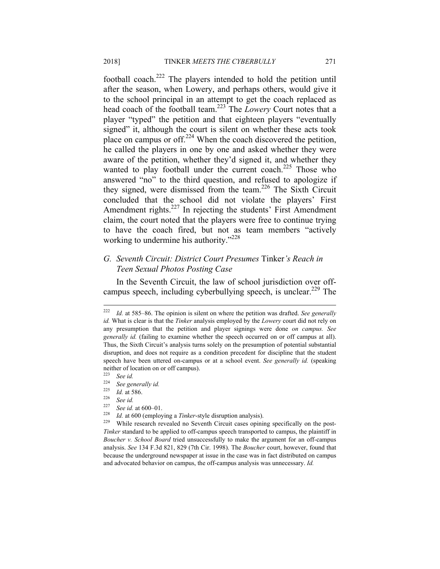football coach.<sup>222</sup> The players intended to hold the petition until after the season, when Lowery, and perhaps others, would give it to the school principal in an attempt to get the coach replaced as head coach of the football team.223 The *Lowery* Court notes that a player "typed" the petition and that eighteen players "eventually signed" it, although the court is silent on whether these acts took place on campus or off.<sup>224</sup> When the coach discovered the petition, he called the players in one by one and asked whether they were aware of the petition, whether they'd signed it, and whether they wanted to play football under the current coach.<sup>225</sup> Those who answered "no" to the third question, and refused to apologize if they signed, were dismissed from the team.226 The Sixth Circuit concluded that the school did not violate the players' First Amendment rights.<sup>227</sup> In rejecting the students' First Amendment claim, the court noted that the players were free to continue trying to have the coach fired, but not as team members "actively working to undermine his authority."<sup>228</sup>

## *G. Seventh Circuit: District Court Presumes* Tinker*'s Reach in Teen Sexual Photos Posting Case*

In the Seventh Circuit, the law of school jurisdiction over offcampus speech, including cyberbullying speech, is unclear.<sup>229</sup> The

 $222\,$ Id. at 585–86. The opinion is silent on where the petition was drafted. *See generally id.* What is clear is that the *Tinker* analysis employed by the *Lowery* court did not rely on any presumption that the petition and player signings were done *on campus. See generally id.* (failing to examine whether the speech occurred on or off campus at all). Thus, the Sixth Circuit's analysis turns solely on the presumption of potential substantial disruption, and does not require as a condition precedent for discipline that the student speech have been uttered on-campus or at a school event. *See generally id.* (speaking neither of location on or off campus).

<sup>223</sup> *See id.*

<sup>224</sup> *See generally id.*

<sup>225</sup> *Id.* at 586. 226 *See id.* 

<sup>&</sup>lt;sup>227</sup> See id. at 600–01.<br><sup>228</sup> *Id.* at 600 (employing a *Tinker*-style disruption analysis).<br><sup>229</sup> While research revealed no Seventh Circuit cases opining specifically on the post-*Tinker* standard to be applied to off-campus speech transported to campus, the plaintiff in *Boucher v. School Board* tried unsuccessfully to make the argument for an off-campus analysis. *See* 134 F.3d 821, 829 (7th Cir. 1998). The *Boucher* court, however, found that because the underground newspaper at issue in the case was in fact distributed on campus and advocated behavior on campus, the off-campus analysis was unnecessary. *Id.*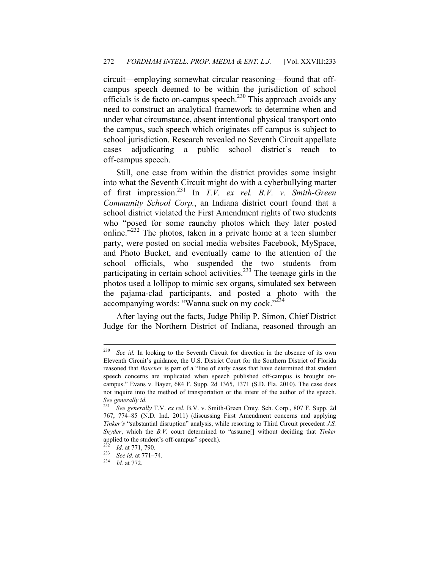circuit—employing somewhat circular reasoning—found that offcampus speech deemed to be within the jurisdiction of school officials is de facto on-campus speech.230 This approach avoids any need to construct an analytical framework to determine when and under what circumstance, absent intentional physical transport onto the campus, such speech which originates off campus is subject to school jurisdiction. Research revealed no Seventh Circuit appellate cases adjudicating a public school district's reach to off-campus speech.

Still, one case from within the district provides some insight into what the Seventh Circuit might do with a cyberbullying matter of first impression.231 In *T.V. ex rel. B.V. v. Smith-Green Community School Corp.*, an Indiana district court found that a school district violated the First Amendment rights of two students who "posed for some raunchy photos which they later posted online."<sup>232</sup> The photos, taken in a private home at a teen slumber party, were posted on social media websites Facebook, MySpace, and Photo Bucket, and eventually came to the attention of the school officials, who suspended the two students from participating in certain school activities.<sup>233</sup> The teenage girls in the photos used a lollipop to mimic sex organs, simulated sex between the pajama-clad participants, and posted a photo with the accompanying words: "Wanna suck on my cock."<sup>234</sup>

After laying out the facts, Judge Philip P. Simon, Chief District Judge for the Northern District of Indiana, reasoned through an

1

<sup>&</sup>lt;sup>230</sup> See id. In looking to the Seventh Circuit for direction in the absence of its own Eleventh Circuit's guidance, the U.S. District Court for the Southern District of Florida reasoned that *Boucher* is part of a "line of early cases that have determined that student speech concerns are implicated when speech published off-campus is brought oncampus." Evans v. Bayer, 684 F. Supp. 2d 1365, 1371 (S.D. Fla. 2010). The case does not inquire into the method of transportation or the intent of the author of the speech. *See generally id.* 

<sup>231</sup> *See generally* T.V. *ex rel.* B.V. v. Smith-Green Cmty. Sch. Corp., 807 F. Supp. 2d 767, 774–85 (N.D. Ind. 2011) (discussing First Amendment concerns and applying *Tinker's* "substantial disruption" analysis, while resorting to Third Circuit precedent *J.S. Snyder*, which the *B.V.* court determined to "assume[] without deciding that *Tinker* applied to the student's off-campus" speech).

<sup>232</sup> *Id.* at 771, 790. 233 *See id.* at 771–74. 234 *Id.* at 772.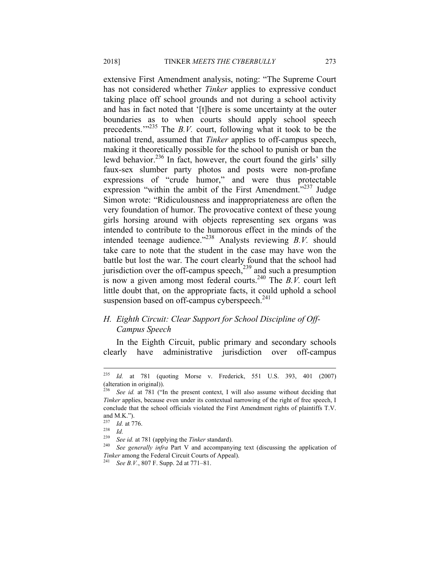extensive First Amendment analysis, noting: "The Supreme Court has not considered whether *Tinker* applies to expressive conduct taking place off school grounds and not during a school activity and has in fact noted that '[t]here is some uncertainty at the outer boundaries as to when courts should apply school speech precedents.<sup>"235</sup> The *B.V.* court, following what it took to be the national trend, assumed that *Tinker* applies to off-campus speech, making it theoretically possible for the school to punish or ban the lewd behavior.<sup>236</sup> In fact, however, the court found the girls' silly faux-sex slumber party photos and posts were non-profane expressions of "crude humor," and were thus protectable expression "within the ambit of the First Amendment."<sup>237</sup> Judge Simon wrote: "Ridiculousness and inappropriateness are often the very foundation of humor. The provocative context of these young girls horsing around with objects representing sex organs was intended to contribute to the humorous effect in the minds of the intended teenage audience."238 Analysts reviewing *B.V.* should take care to note that the student in the case may have won the battle but lost the war. The court clearly found that the school had jurisdiction over the off-campus speech, $^{239}$  and such a presumption is now a given among most federal courts.<sup>240</sup> The  $B.V.$  court left little doubt that, on the appropriate facts, it could uphold a school suspension based on off-campus cyberspeech.<sup>241</sup>

## *H. Eighth Circuit: Clear Support for School Discipline of Off-Campus Speech*

In the Eighth Circuit, public primary and secondary schools clearly have administrative jurisdiction over off-campus

<sup>235</sup> <sup>235</sup> *Id.* at 781 (quoting Morse v. Frederick, 551 U.S. 393, 401 (2007) (alteration in original)).

See id. at 781 ("In the present context, I will also assume without deciding that *Tinker* applies, because even under its contextual narrowing of the right of free speech, I conclude that the school officials violated the First Amendment rights of plaintiffs T.V. and M.K.").

<sup>237</sup> *Id.* at 776. 238 *Id.*

<sup>239</sup> *See id.* at 781 (applying the *Tinker* standard). 240 *See generally infra* Part V and accompanying text (discussing the application of *Tinker* among the Federal Circuit Courts of Appeal). 241 *See B.V.*, 807 F. Supp. 2d at 771–81.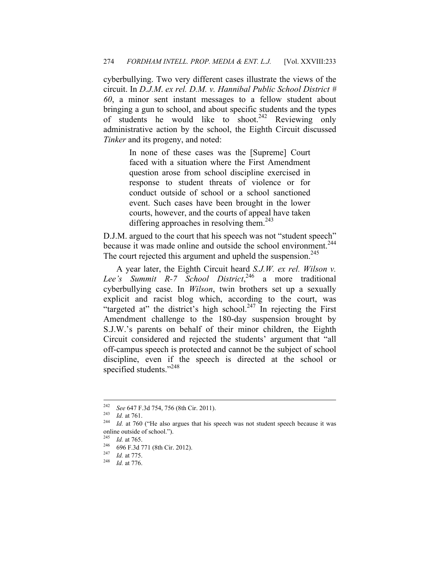cyberbullying. Two very different cases illustrate the views of the circuit. In *D.J.M*. *ex rel. D.M. v. Hannibal Public School District # 60*, a minor sent instant messages to a fellow student about bringing a gun to school, and about specific students and the types of students he would like to shoot.<sup>242</sup> Reviewing only administrative action by the school, the Eighth Circuit discussed *Tinker* and its progeny, and noted:

> In none of these cases was the [Supreme] Court faced with a situation where the First Amendment question arose from school discipline exercised in response to student threats of violence or for conduct outside of school or a school sanctioned event. Such cases have been brought in the lower courts, however, and the courts of appeal have taken differing approaches in resolving them.<sup>243</sup>

D.J.M. argued to the court that his speech was not "student speech" because it was made online and outside the school environment.<sup>244</sup> The court rejected this argument and upheld the suspension.<sup>245</sup>

A year later, the Eighth Circuit heard *S.J.W. ex rel. Wilson v. Lee's Summit R-7 School District*, 246 a more traditional cyberbullying case. In *Wilson*, twin brothers set up a sexually explicit and racist blog which, according to the court, was "targeted at" the district's high school. $247$  In rejecting the First Amendment challenge to the 180-day suspension brought by S.J.W.'s parents on behalf of their minor children, the Eighth Circuit considered and rejected the students' argument that "all off-campus speech is protected and cannot be the subject of school discipline, even if the speech is directed at the school or specified students."<sup>248</sup>

<sup>242</sup> 

<sup>242</sup> *See* 647 F.3d 754, 756 (8th Cir. 2011). 243 *Id.* at 761. 244 *Id.* at 760 ("He also argues that his speech was not student speech because it was online outside of school.").

<sup>245</sup> *Id.* at 765. 246 696 F.3d 771 (8th Cir. 2012). 247 *Id.* at 775. 248 *Id.* at 776.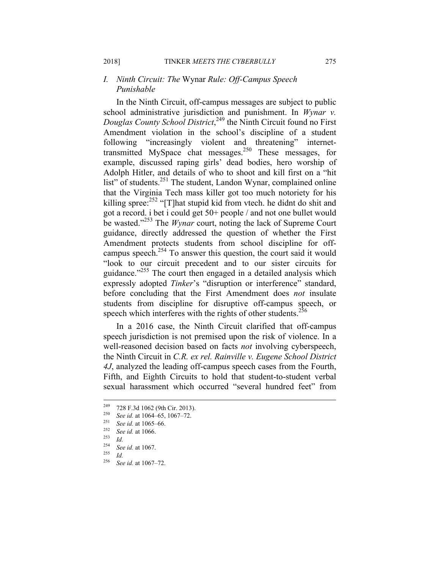## *I. Ninth Circuit: The* Wynar *Rule: Off-Campus Speech Punishable*

In the Ninth Circuit, off-campus messages are subject to public school administrative jurisdiction and punishment. In *Wynar v. Douglas County School District*, 249 the Ninth Circuit found no First Amendment violation in the school's discipline of a student following "increasingly violent and threatening" internettransmitted MySpace chat messages.250 These messages, for example, discussed raping girls' dead bodies, hero worship of Adolph Hitler, and details of who to shoot and kill first on a "hit list" of students.<sup>251</sup> The student, Landon Wynar, complained online that the Virginia Tech mass killer got too much notoriety for his killing spree:<sup>252</sup> "[T]hat stupid kid from vtech. he didnt do shit and got a record. i bet i could get 50+ people / and not one bullet would be wasted."253 The *Wynar* court, noting the lack of Supreme Court guidance, directly addressed the question of whether the First Amendment protects students from school discipline for offcampus speech. $254$  To answer this question, the court said it would "look to our circuit precedent and to our sister circuits for guidance."<sup>255</sup> The court then engaged in a detailed analysis which expressly adopted *Tinker*'s "disruption or interference" standard, before concluding that the First Amendment does *not* insulate students from discipline for disruptive off-campus speech, or speech which interferes with the rights of other students.<sup>256</sup>

In a 2016 case, the Ninth Circuit clarified that off-campus speech jurisdiction is not premised upon the risk of violence. In a well-reasoned decision based on facts *not* involving cyberspeech, the Ninth Circuit in *C.R. ex rel. Rainville v. Eugene School District 4J*, analyzed the leading off-campus speech cases from the Fourth, Fifth, and Eighth Circuits to hold that student-to-student verbal sexual harassment which occurred "several hundred feet" from

<sup>249</sup> 249 728 F.3d 1062 (9th Cir. 2013). 250 *See id.* at 1064–65, 1067–72. 251 *See id.* at 1065–66. 252 *See id.* at 1066. 253 *Id.*

<sup>254</sup> *See id.* at 1067. 255 *Id.*

<sup>256</sup> *See id.* at 1067–72.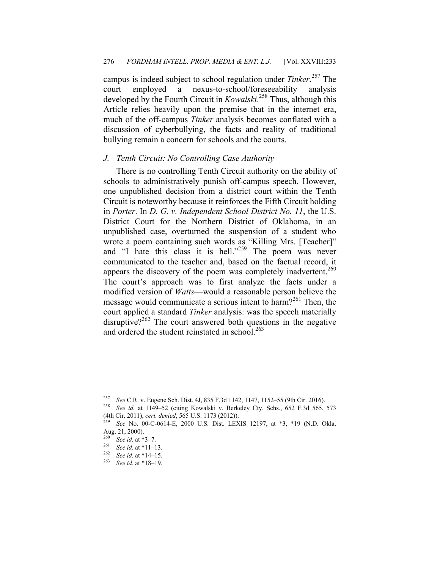campus is indeed subject to school regulation under *Tinker*. 257 The court employed a nexus-to-school/foreseeability analysis developed by the Fourth Circuit in *Kowalski*. 258 Thus, although this Article relies heavily upon the premise that in the internet era, much of the off-campus *Tinker* analysis becomes conflated with a discussion of cyberbullying, the facts and reality of traditional bullying remain a concern for schools and the courts.

### *J. Tenth Circuit: No Controlling Case Authority*

There is no controlling Tenth Circuit authority on the ability of schools to administratively punish off-campus speech. However, one unpublished decision from a district court within the Tenth Circuit is noteworthy because it reinforces the Fifth Circuit holding in *Porter*. In *D. G. v. Independent School District No. 11*, the U.S. District Court for the Northern District of Oklahoma, in an unpublished case, overturned the suspension of a student who wrote a poem containing such words as "Killing Mrs. [Teacher]" and "I hate this class it is hell."<sup>259</sup> The poem was never communicated to the teacher and, based on the factual record, it appears the discovery of the poem was completely inadvertent.<sup>260</sup> The court's approach was to first analyze the facts under a modified version of *Watts*—would a reasonable person believe the message would communicate a serious intent to harm?261 Then, the court applied a standard *Tinker* analysis: was the speech materially disruptive?<sup>262</sup> The court answered both questions in the negative and ordered the student reinstated in school.<sup>263</sup>

1

<sup>257</sup> *See* C.R. v. Eugene Sch. Dist. 4J, 835 F.3d 1142, 1147, 1152–55 (9th Cir. 2016). 258 *See id.* at 1149–52 (citing Kowalski v. Berkeley Cty. Schs., 652 F.3d 565, 573

<sup>(4</sup>th Cir. 2011), *cert. denied*, 565 U.S. 1173 (2012)). 259 *See* No. 00-C-0614-E, 2000 U.S. Dist. LEXIS 12197, at \*3, \*19 (N.D. Okla.

Aug. 21, 2000).

<sup>260</sup> *See id.* at \*3–7. 261 *See id.* at \*11–13. 262 *See id.* at \*14–15. 263 *See id.* at \*18–19.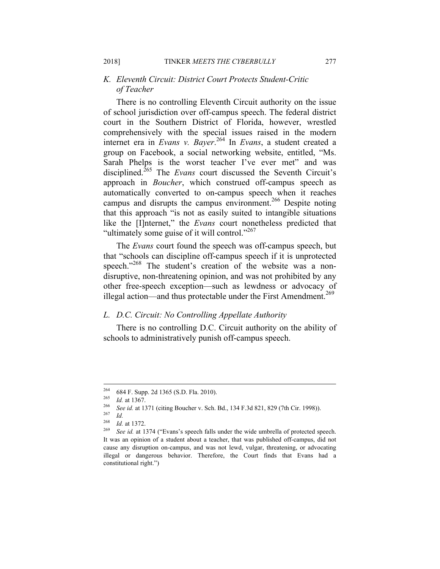## *K. Eleventh Circuit: District Court Protects Student-Critic of Teacher*

There is no controlling Eleventh Circuit authority on the issue of school jurisdiction over off-campus speech. The federal district court in the Southern District of Florida, however, wrestled comprehensively with the special issues raised in the modern internet era in *Evans v. Bayer*. 264 In *Evans*, a student created a group on Facebook, a social networking website, entitled, "Ms. Sarah Phelps is the worst teacher I've ever met" and was disciplined.<sup>265</sup> The *Evans* court discussed the Seventh Circuit's approach in *Boucher*, which construed off-campus speech as automatically converted to on-campus speech when it reaches campus and disrupts the campus environment.<sup>266</sup> Despite noting that this approach "is not as easily suited to intangible situations like the [I]nternet," the *Evans* court nonetheless predicted that "ultimately some guise of it will control."<sup>267</sup>

The *Evans* court found the speech was off-campus speech, but that "schools can discipline off-campus speech if it is unprotected speech."<sup>268</sup> The student's creation of the website was a nondisruptive, non-threatening opinion, and was not prohibited by any other free-speech exception—such as lewdness or advocacy of illegal action—and thus protectable under the First Amendment.<sup>269</sup>

#### *L. D.C. Circuit: No Controlling Appellate Authority*

There is no controlling D.C. Circuit authority on the ability of schools to administratively punish off-campus speech.

<sup>264</sup> 

<sup>264 684</sup> F. Supp. 2d 1365 (S.D. Fla. 2010).<br>
265 *Id.* at 1367.<br>
266 See id. at 1371 (citing Boucher v. Sch. Bd., 134 F.3d 821, 829 (7th Cir. 1998)).<br>
267 *Id.*  $268$  *I.*  $1 \times 1372$ .

<sup>&</sup>lt;sup>268</sup> *Id.* at 1372.<br><sup>269</sup> See id. at 1374 ("Evans's speech falls under the wide umbrella of protected speech. It was an opinion of a student about a teacher, that was published off-campus, did not cause any disruption on-campus, and was not lewd, vulgar, threatening, or advocating illegal or dangerous behavior. Therefore, the Court finds that Evans had a constitutional right.")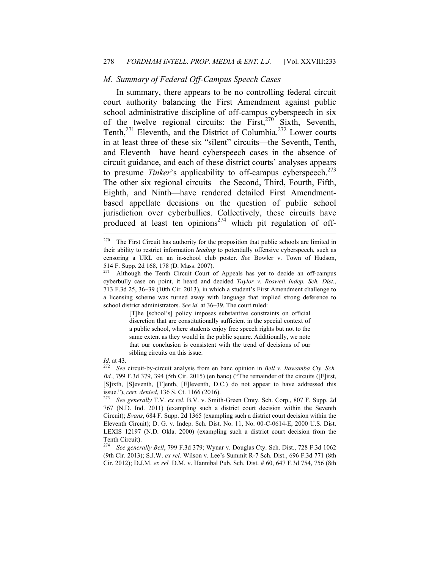#### *M. Summary of Federal Off-Campus Speech Cases*

In summary, there appears to be no controlling federal circuit court authority balancing the First Amendment against public school administrative discipline of off-campus cyberspeech in six of the twelve regional circuits: the First,<sup>270</sup> Sixth, Seventh, Tenth,<sup>271</sup> Eleventh, and the District of Columbia.<sup>272</sup> Lower courts in at least three of these six "silent" circuits—the Seventh, Tenth, and Eleventh—have heard cyberspeech cases in the absence of circuit guidance, and each of these district courts' analyses appears to presume *Tinker*'s applicability to off-campus cyberspeech.<sup>273</sup> The other six regional circuits—the Second, Third, Fourth, Fifth, Eighth, and Ninth—have rendered detailed First Amendmentbased appellate decisions on the question of public school jurisdiction over cyberbullies. Collectively, these circuits have produced at least ten opinions<sup>274</sup> which pit regulation of off-

[T]he [school's] policy imposes substantive constraints on official discretion that are constitutionally sufficient in the special context of a public school, where students enjoy free speech rights but not to the same extent as they would in the public square. Additionally, we note that our conclusion is consistent with the trend of decisions of our sibling circuits on this issue.

 $\overline{a}$ 

*Id.* at 43. 272 *See* circuit-by-circuit analysis from en banc opinion in *Bell v. Itawamba Cty. Sch. Bd.*, 799 F.3d 379, 394 (5th Cir. 2015) (en banc) ("The remainder of the circuits ([F]irst, [S]ixth, [S]eventh, [T]enth, [E]leventh, D.C.) do not appear to have addressed this issue."), *cert. denied*, 136 S. Ct. 1166 (2016). 273 *See generally* T.V. *ex rel.* B.V. v. Smith-Green Cmty. Sch. Corp., 807 F. Supp. 2d

767 (N.D. Ind. 2011) (exampling such a district court decision within the Seventh Circuit); *Evans*, 684 F. Supp. 2d 1365 (exampling such a district court decision within the Eleventh Circuit); D. G. v. Indep. Sch. Dist. No. 11, No. 00-C-0614-E, 2000 U.S. Dist. LEXIS 12197 (N.D. Okla. 2000) (exampling such a district court decision from the Tenth Circuit).

<sup>274</sup> *See generally Bell*, 799 F.3d 379; Wynar v. Douglas Cty. Sch. Dist., 728 F.3d 1062 (9th Cir. 2013); S.J.W. *ex rel.* Wilson v. Lee's Summit R-7 Sch. Dist., 696 F.3d 771 (8th Cir. 2012); D.J.M. *ex rel.* D.M. v. Hannibal Pub. Sch. Dist. # 60, 647 F.3d 754, 756 (8th

The First Circuit has authority for the proposition that public schools are limited in their ability to restrict information *leading* to potentially offensive cyberspeech, such as censoring a URL on an in-school club poster. *See* Bowler v. Town of Hudson, 514 F. Supp. 2d 168, 178 (D. Mass. 2007).

Although the Tenth Circuit Court of Appeals has yet to decide an off-campus cyberbully case on point, it heard and decided *Taylor v. Roswell Indep. Sch. Dist.*, 713 F.3d 25, 36–39 (10th Cir. 2013), in which a student's First Amendment challenge to a licensing scheme was turned away with language that implied strong deference to school district administrators. *See id.* at 36–39. The court ruled: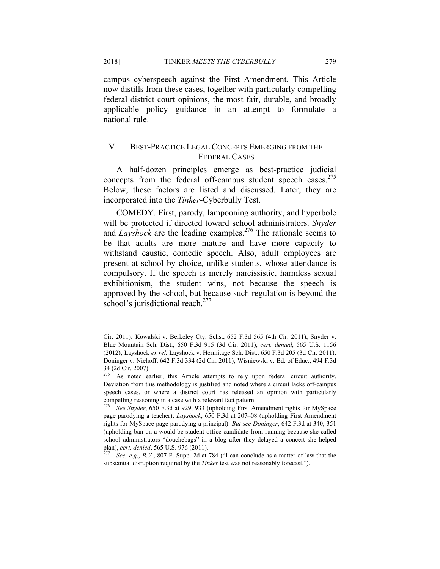campus cyberspeech against the First Amendment. This Article now distills from these cases, together with particularly compelling federal district court opinions, the most fair, durable, and broadly applicable policy guidance in an attempt to formulate a national rule.

## V. BEST-PRACTICE LEGAL CONCEPTS EMERGING FROM THE FEDERAL CASES

A half-dozen principles emerge as best-practice judicial concepts from the federal off-campus student speech cases.<sup>275</sup> Below, these factors are listed and discussed. Later, they are incorporated into the *Tinker*-Cyberbully Test.

COMEDY. First, parody, lampooning authority, and hyperbole will be protected if directed toward school administrators. *Snyder* and *Layshock* are the leading examples.<sup>276</sup> The rationale seems to be that adults are more mature and have more capacity to withstand caustic, comedic speech. Also, adult employees are present at school by choice, unlike students, whose attendance is compulsory. If the speech is merely narcissistic, harmless sexual exhibitionism, the student wins, not because the speech is approved by the school, but because such regulation is beyond the school's jurisdictional reach.<sup>277</sup>

<u>.</u>

Cir. 2011); Kowalski v. Berkeley Cty. Schs., 652 F.3d 565 (4th Cir. 2011); Snyder v. Blue Mountain Sch. Dist., 650 F.3d 915 (3d Cir. 2011), *cert. denied*, 565 U.S. 1156 (2012); Layshock *ex rel.* Layshock v. Hermitage Sch. Dist., 650 F.3d 205 (3d Cir. 2011); Doninger v. Niehoff, 642 F.3d 334 (2d Cir. 2011); Wisniewski v. Bd. of Educ., 494 F.3d  $34$  (2d Cir. 2007).

As noted earlier, this Article attempts to rely upon federal circuit authority. Deviation from this methodology is justified and noted where a circuit lacks off-campus speech cases, or where a district court has released an opinion with particularly compelling reasoning in a case with a relevant fact pattern.

<sup>276</sup> *See Snyder*, 650 F.3d at 929, 933 (upholding First Amendment rights for MySpace page parodying a teacher); *Layshock*, 650 F.3d at 207–08 (upholding First Amendment rights for MySpace page parodying a principal). *But see Doninger*, 642 F.3d at 340, 351 (upholding ban on a would-be student office candidate from running because she called school administrators "douchebags" in a blog after they delayed a concert she helped

plan), *cert. denied*, 565 U.S. 976 (2011). 277 *See, e.g*., *B.V.*, 807 F. Supp. 2d at 784 ("I can conclude as a matter of law that the substantial disruption required by the *Tinker* test was not reasonably forecast.").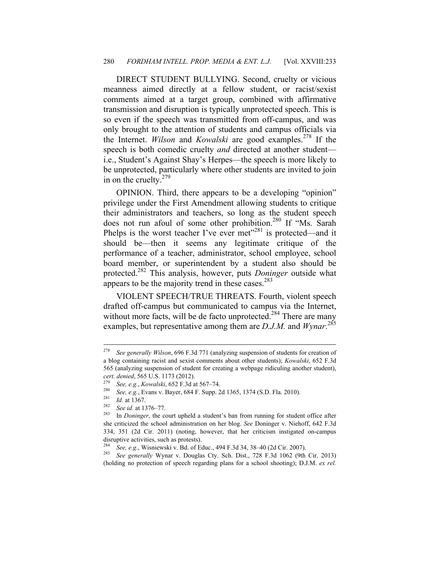DIRECT STUDENT BULLYING. Second, cruelty or vicious meanness aimed directly at a fellow student, or racist/sexist comments aimed at a target group, combined with affirmative transmission and disruption is typically unprotected speech. This is so even if the speech was transmitted from off-campus, and was only brought to the attention of students and campus officials via the Internet. *Wilson* and *Kowalski* are good examples.<sup>278</sup> If the speech is both comedic cruelty *and* directed at another student i.e., Student's Against Shay's Herpes—the speech is more likely to be unprotected, particularly where other students are invited to join in on the cruelty. $279$ 

OPINION. Third, there appears to be a developing "opinion" privilege under the First Amendment allowing students to critique their administrators and teachers, so long as the student speech does not run afoul of some other prohibition.<sup>280</sup> If "Ms. Sarah Phelps is the worst teacher I've ever met"281 is protected—and it should be—then it seems any legitimate critique of the performance of a teacher, administrator, school employee, school board member, or superintendent by a student also should be protected.282 This analysis, however, puts *Doninger* outside what appears to be the majority trend in these cases. $283$ 

VIOLENT SPEECH/TRUE THREATS. Fourth, violent speech drafted off-campus but communicated to campus via the Internet, without more facts, will be de facto unprotected.<sup>284</sup> There are many examples, but representative among them are *D.J.M.* and *Wynar*.<sup>285</sup>

<sup>278</sup> <sup>278</sup> *See generally Wilson*, 696 F.3d 771 (analyzing suspension of students for creation of a blog containing racist and sexist comments about other students); *Kowalski*, 652 F.3d 565 (analyzing suspension of student for creating a webpage ridiculing another student), cert. denied, 565 U.S. 1173 (2012).<br>
<sup>279</sup> See, e.g., Kowalski, 652 F.3d at 567–74.<br>
<sup>280</sup> See, e.g., Evans v. Bayer, 684 F. Supp. 2d 1365, 1374 (S.D. Fla. 2010).<br>
<sup>281</sup> Id. at 1367.<br>
<sup>282</sup> See id. at 1376–77.<br>
In *Doning* 

she criticized the school administration on her blog. *See* Doninger v. Niehoff, 642 F.3d 334, 351 (2d Cir. 2011) (noting, however, that her criticism instigated on-campus disruptive activities, such as protests).

<sup>284</sup> *See, e.g*., Wisniewski v. Bd. of Educ., 494 F.3d 34, 38–40 (2d Cir. 2007). 285 *See generally* Wynar v. Douglas Cty. Sch. Dist., 728 F.3d 1062 (9th Cir. 2013) (holding no protection of speech regarding plans for a school shooting); D.J.M. *ex rel.*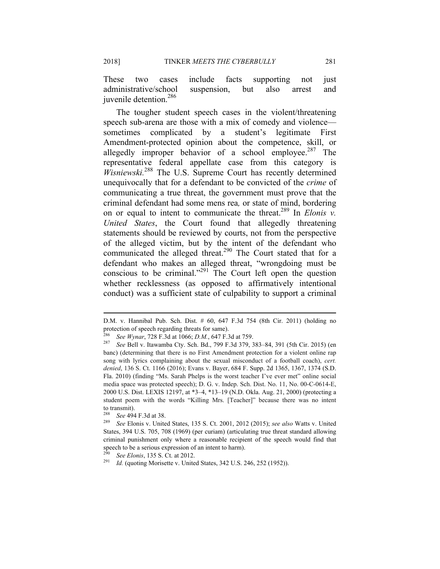These two cases include facts supporting not just administrative/school suspension, but also arrest and juvenile detention.286

The tougher student speech cases in the violent/threatening speech sub-arena are those with a mix of comedy and violence sometimes complicated by a student's legitimate First Amendment-protected opinion about the competence, skill, or allegedly improper behavior of a school employee. $287$  The representative federal appellate case from this category is *Wisniewski.*288 The U.S. Supreme Court has recently determined unequivocally that for a defendant to be convicted of the *crime* of communicating a true threat, the government must prove that the criminal defendant had some mens rea*,* or state of mind, bordering on or equal to intent to communicate the threat.289 In *Elonis v. United States*, the Court found that allegedly threatening statements should be reviewed by courts, not from the perspective of the alleged victim, but by the intent of the defendant who communicated the alleged threat.<sup>290</sup> The Court stated that for a defendant who makes an alleged threat, "wrongdoing must be conscious to be criminal."291 The Court left open the question whether recklessness (as opposed to affirmatively intentional conduct) was a sufficient state of culpability to support a criminal

D.M. v. Hannibal Pub. Sch. Dist. # 60, 647 F.3d 754 (8th Cir. 2011) (holding no protection of speech regarding threats for same).

<sup>&</sup>lt;sup>286</sup> See Wynar, 728 F.3d at 1066; *D.M.*, 647 F.3d at 759.<br><sup>287</sup> See Bell v. Itawamba Cty. Sch. Bd., 799 F.3d 379, 383–84, 391 (5th Cir. 2015) (en banc) (determining that there is no First Amendment protection for a violent online rap song with lyrics complaining about the sexual misconduct of a football coach), *cert. denied*, 136 S. Ct. 1166 (2016); Evans v. Bayer, 684 F. Supp. 2d 1365, 1367, 1374 (S.D. Fla. 2010) (finding "Ms. Sarah Phelps is the worst teacher I've ever met" online social media space was protected speech); D. G. v. Indep. Sch. Dist. No. 11, No. 00-C-0614-E, 2000 U.S. Dist. LEXIS 12197, at \*3–4, \*13–19 (N.D. Okla. Aug. 21, 2000) (protecting a student poem with the words "Killing Mrs. [Teacher]" because there was no intent to transmit).<br> $288 \tC = 404$ 

<sup>288</sup> *See* 494 F.3d at 38. 289 *See* Elonis v. United States, 135 S. Ct. 2001, 2012 (2015); *see also* Watts v. United States, 394 U.S. 705, 708 (1969) (per curiam) (articulating true threat standard allowing criminal punishment only where a reasonable recipient of the speech would find that speech to be a serious expression of an intent to harm).

<sup>&</sup>lt;sup>290</sup> *See Elonis*, 135 S. Ct. at 2012.

*Id.* (quoting Morisette v. United States, 342 U.S. 246, 252 (1952)).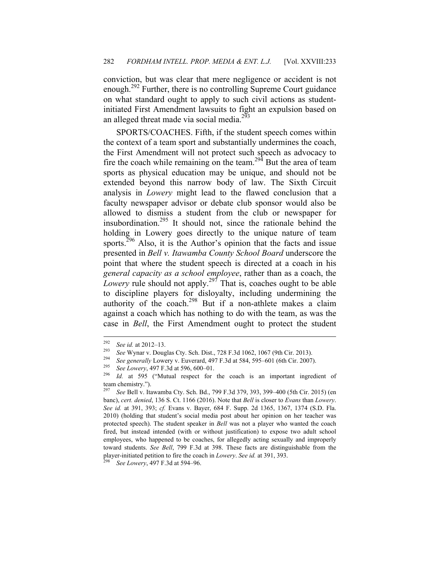conviction, but was clear that mere negligence or accident is not enough.<sup>292</sup> Further, there is no controlling Supreme Court guidance on what standard ought to apply to such civil actions as studentinitiated First Amendment lawsuits to fight an expulsion based on an alleged threat made via social media.<sup>293</sup>

SPORTS/COACHES. Fifth, if the student speech comes within the context of a team sport and substantially undermines the coach, the First Amendment will not protect such speech as advocacy to fire the coach while remaining on the team.<sup>294</sup> But the area of team sports as physical education may be unique, and should not be extended beyond this narrow body of law. The Sixth Circuit analysis in *Lowery* might lead to the flawed conclusion that a faculty newspaper advisor or debate club sponsor would also be allowed to dismiss a student from the club or newspaper for insubordination.295 It should not, since the rationale behind the holding in Lowery goes directly to the unique nature of team sports. $296$  Also, it is the Author's opinion that the facts and issue presented in *Bell v. Itawamba County School Board* underscore the point that where the student speech is directed at a coach in his *general capacity as a school employee*, rather than as a coach, the *Lowery* rule should not apply.<sup>297</sup> That is, coaches ought to be able to discipline players for disloyalty, including undermining the authority of the coach.298 But if a non-athlete makes a claim against a coach which has nothing to do with the team, as was the case in *Bell*, the First Amendment ought to protect the student

<sup>292</sup> 

<sup>&</sup>lt;sup>292</sup> See id. at 2012–13.<br>
<sup>293</sup> See Wynar v. Douglas Cty. Sch. Dist., 728 F.3d 1062, 1067 (9th Cir. 2013).<br>
<sup>294</sup> See generally Lowery v. Euverard, 497 F.3d at 584, 595–601 (6th Cir. 2007).<br> *See Lowery*, 497 F.3d at 596 team chemistry.").

<sup>297</sup> *See* Bell v. Itawamba Cty. Sch. Bd., 799 F.3d 379, 393, 399–400 (5th Cir. 2015) (en banc), *cert. denied*, 136 S. Ct. 1166 (2016). Note that *Bell* is closer to *Evans* than *Lowery*. *See id.* at 391, 393; *cf.* Evans v. Bayer, 684 F. Supp. 2d 1365, 1367, 1374 (S.D. Fla. 2010) (holding that student's social media post about her opinion on her teacher was protected speech). The student speaker in *Bell* was not a player who wanted the coach fired, but instead intended (with or without justification) to expose two adult school employees, who happened to be coaches, for allegedly acting sexually and improperly toward students. *See Bell*, 799 F.3d at 398. These facts are distinguishable from the player-initiated petition to fire the coach in *Lowery*. *See id.* at 391, 393. 298 *See Lowery*, 497 F.3d at 594–96.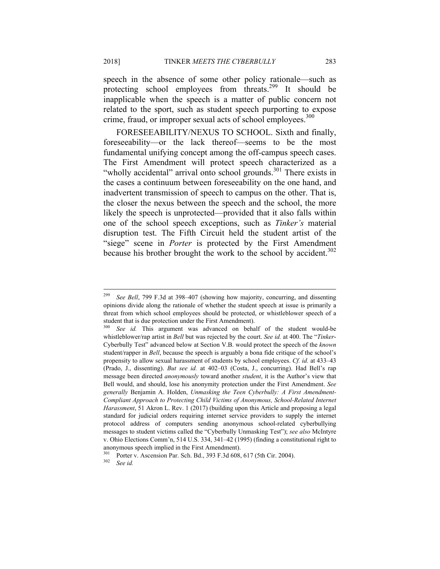speech in the absence of some other policy rationale—such as protecting school employees from threats.299 It should be inapplicable when the speech is a matter of public concern not related to the sport, such as student speech purporting to expose crime, fraud, or improper sexual acts of school employees.<sup>300</sup>

FORESEEABILITY/NEXUS TO SCHOOL. Sixth and finally, foreseeability—or the lack thereof—seems to be the most fundamental unifying concept among the off-campus speech cases. The First Amendment will protect speech characterized as a "wholly accidental" arrival onto school grounds.<sup>301</sup> There exists in the cases a continuum between foreseeability on the one hand, and inadvertent transmission of speech to campus on the other. That is, the closer the nexus between the speech and the school, the more likely the speech is unprotected—provided that it also falls within one of the school speech exceptions, such as *Tinker's* material disruption test. The Fifth Circuit held the student artist of the "siege" scene in *Porter* is protected by the First Amendment because his brother brought the work to the school by accident.<sup>302</sup>

<sup>299</sup> <sup>299</sup> *See Bell*, 799 F.3d at 398–407 (showing how majority, concurring, and dissenting opinions divide along the rationale of whether the student speech at issue is primarily a threat from which school employees should be protected, or whistleblower speech of a student that is due protection under the First Amendment).

See id. This argument was advanced on behalf of the student would-be whistleblower/rap artist in *Bell* but was rejected by the court. *See id.* at 400. The "*Tinker*-Cyberbully Test" advanced below at Section V.B. would protect the speech of the *known* student/rapper in *Bell*, because the speech is arguably a bona fide critique of the school's propensity to allow sexual harassment of students by school employees. *Cf. id.* at 433–43 (Prado, J., dissenting). *But see id.* at 402–03 (Costa, J., concurring). Had Bell's rap message been directed *anonymously* toward another *student*, it is the Author's view that Bell would, and should, lose his anonymity protection under the First Amendment. *See generally* Benjamin A. Holden, *Unmasking the Teen Cyberbully: A First Amendment-Compliant Approach to Protecting Child Victims of Anonymous, School-Related Internet Harassment*, 51 Akron L. Rev. 1 (2017) (building upon this Article and proposing a legal standard for judicial orders requiring internet service providers to supply the internet protocol address of computers sending anonymous school-related cyberbullying messages to student victims called the "Cyberbully Unmasking Test"); *see also* McIntyre v. Ohio Elections Comm'n, 514 U.S. 334, 341–42 (1995) (finding a constitutional right to anonymous speech implied in the First Amendment).

<sup>301</sup> Porter v. Ascension Par. Sch. Bd., 393 F.3d 608, 617 (5th Cir. 2004). 302 *See id.*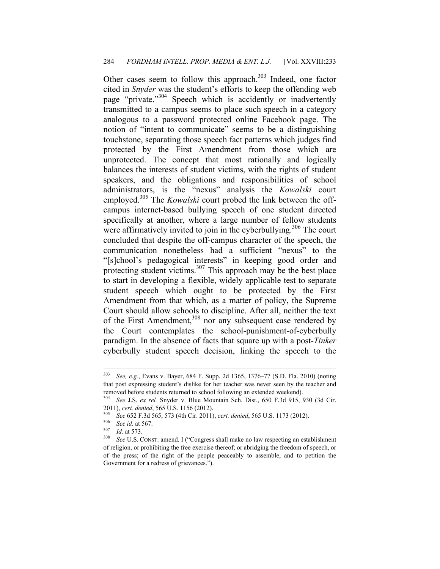Other cases seem to follow this approach. $303$  Indeed, one factor cited in *Snyder* was the student's efforts to keep the offending web page "private."304 Speech which is accidently or inadvertently transmitted to a campus seems to place such speech in a category analogous to a password protected online Facebook page. The notion of "intent to communicate" seems to be a distinguishing touchstone, separating those speech fact patterns which judges find protected by the First Amendment from those which are unprotected. The concept that most rationally and logically balances the interests of student victims, with the rights of student speakers, and the obligations and responsibilities of school administrators, is the "nexus" analysis the *Kowalski* court employed.<sup>305</sup> The *Kowalski* court probed the link between the offcampus internet-based bullying speech of one student directed specifically at another, where a large number of fellow students were affirmatively invited to join in the cyberbullying.<sup>306</sup> The court concluded that despite the off-campus character of the speech, the communication nonetheless had a sufficient "nexus" to the "[s]chool's pedagogical interests" in keeping good order and protecting student victims. $307$  This approach may be the best place to start in developing a flexible, widely applicable test to separate student speech which ought to be protected by the First Amendment from that which, as a matter of policy, the Supreme Court should allow schools to discipline. After all, neither the text of the First Amendment, $308$  nor any subsequent case rendered by the Court contemplates the school-punishment-of-cyberbully paradigm. In the absence of facts that square up with a post-*Tinker* cyberbully student speech decision, linking the speech to the

 $303\,$ <sup>303</sup> *See, e.g.*, Evans v. Bayer, 684 F. Supp. 2d 1365, 1376–77 (S.D. Fla. 2010) (noting that post expressing student's dislike for her teacher was never seen by the teacher and removed before students returned to school following an extended weekend).

<sup>304</sup> *See* J.S. *ex rel.* Snyder v. Blue Mountain Sch. Dist*.*, 650 F.3d 915, 930 (3d Cir. 2011), cert. denied, 565 U.S. 1156 (2012).<br>
<sup>305</sup> See 652 F.3d 565, 573 (4th Cir. 2011), cert. denied, 565 U.S. 1173 (2012).<br>
<sup>306</sup> See id. at 567.<br>
<sup>307</sup> Id. at 573.<br>
<sup>308</sup> See U.S. CONST. amend. I ("Congress shall make

of religion, or prohibiting the free exercise thereof; or abridging the freedom of speech, or of the press; of the right of the people peaceably to assemble, and to petition the Government for a redress of grievances.").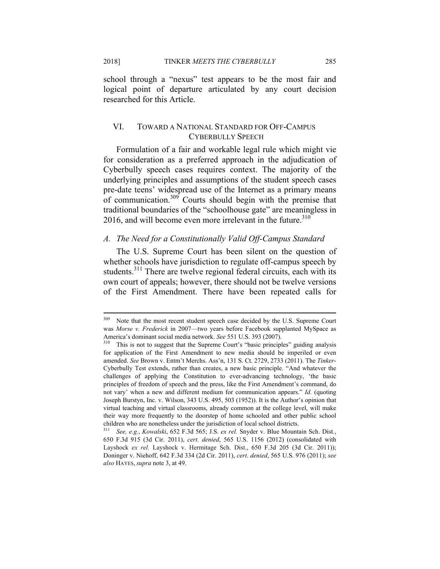2018] TINKER *MEETS THE CYBERBULLY* 285

school through a "nexus" test appears to be the most fair and logical point of departure articulated by any court decision researched for this Article.

## VI. TOWARD A NATIONAL STANDARD FOR OFF-CAMPUS CYBERBULLY SPEECH

Formulation of a fair and workable legal rule which might vie for consideration as a preferred approach in the adjudication of Cyberbully speech cases requires context. The majority of the underlying principles and assumptions of the student speech cases pre-date teens' widespread use of the Internet as a primary means of communication.309 Courts should begin with the premise that traditional boundaries of the "schoolhouse gate" are meaningless in 2016, and will become even more irrelevant in the future. $310$ 

## *A. The Need for a Constitutionally Valid Off-Campus Standard*

The U.S. Supreme Court has been silent on the question of whether schools have jurisdiction to regulate off-campus speech by students.<sup>311</sup> There are twelve regional federal circuits, each with its own court of appeals; however, there should not be twelve versions of the First Amendment. There have been repeated calls for

 $309\,$ Note that the most recent student speech case decided by the U.S. Supreme Court was *Morse v. Frederick* in 2007—two years before Facebook supplanted MySpace as America's dominant social media network. *See* 551 U.S. 393 (2007).<br><sup>310</sup> This is not to suggest that the Supreme Court's "basic principles" guiding analysis

for application of the First Amendment to new media should be imperiled or even amended. *See* Brown v. Entm't Merchs. Ass'n, 131 S. Ct. 2729, 2733 (2011). The *Tinker*-Cyberbully Test extends, rather than creates, a new basic principle. "And whatever the challenges of applying the Constitution to ever-advancing technology, 'the basic principles of freedom of speech and the press, like the First Amendment's command, do not vary' when a new and different medium for communication appears." *Id.* (quoting Joseph Burstyn, Inc. v. Wilson, 343 U.S. 495, 503 (1952)). It is the Author's opinion that virtual teaching and virtual classrooms, already common at the college level, will make their way more frequently to the doorstep of home schooled and other public school children who are nonetheless under the jurisdiction of local school districts.

<sup>311</sup> *See, e.g.*, *Kowalski*, 652 F.3d 565; J.S. *ex rel.* Snyder v. Blue Mountain Sch. Dist*.*, 650 F.3d 915 (3d Cir. 2011), *cert. denied*, 565 U.S. 1156 (2012) (consolidated with Layshock *ex rel.* Layshock v. Hermitage Sch. Dist., 650 F.3d 205 (3d Cir. 2011)); Doninger v. Niehoff, 642 F.3d 334 (2d Cir. 2011), *cert*. *denied*, 565 U.S. 976 (2011); *see also* HAYES,*supra* note 3, at 49.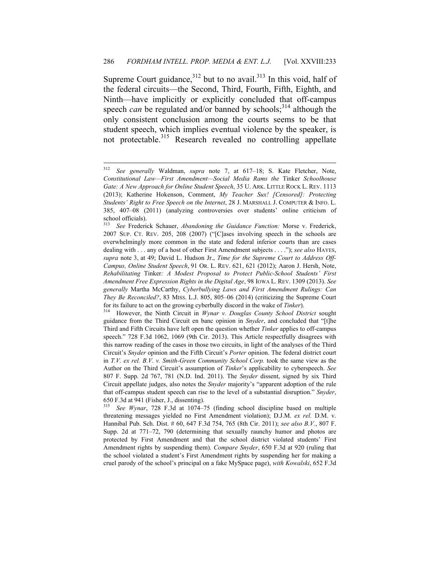Supreme Court guidance,  $312$  but to no avail.  $313$  In this void, half of the federal circuits—the Second, Third, Fourth, Fifth, Eighth, and Ninth—have implicitly or explicitly concluded that off-campus speech *can* be regulated and/or banned by schools;<sup>314</sup> although the only consistent conclusion among the courts seems to be that student speech, which implies eventual violence by the speaker, is not protectable.<sup>315</sup> Research revealed no controlling appellate

<sup>312</sup> <sup>312</sup> *See generally* Waldman, *supra* note 7, at 617–18; S. Kate Fletcher, Note, *Constitutional Law—First Amendment—Social Media Rams the* Tinker *Schoolhouse Gate: A New Approach for Online Student Speech*, 35 U. ARK. LITTLE ROCK L. REV. 1113 (2013); Katherine Hokenson, Comment, *My Teacher Sux! [Censored]: Protecting Students' Right to Free Speech on the Internet*, 28 J. MARSHALL J. COMPUTER & INFO. L. 385, 407–08 (2011) (analyzing controversies over students' online criticism of school officials).<br> $\frac{313}{200}$  Erederi

<sup>313</sup> *See* Frederick Schauer, *Abandoning the Guidance Function:* Morse v. Frederick, 2007 SUP. CT. REV. 205, 208 (2007) ("[C]ases involving speech in the schools are overwhelmingly more common in the state and federal inferior courts than are cases dealing with . . . any of a host of other First Amendment subjects . . . ."); *see also* HAYES, *supra* note 3, at 49; David L. Hudson Jr., *Time for the Supreme Court to Address Off-Campus, Online Student Speech*, 91 OR. L. REV. 621, 621 (2012); Aaron J. Hersh, Note, *Rehabilitating* Tinker*: A Modest Proposal to Protect Public-School Students' First Amendment Free Expression Rights in the Digital Age*, 98 IOWA L. REV. 1309 (2013). *See generally* Martha McCarthy, *Cyberbullying Laws and First Amendment Rulings: Can They Be Reconciled?*, 83 MISS. L.J. 805, 805–06 (2014) (criticizing the Supreme Court for its failure to act on the growing cyberbully discord in the wake of *Tinker*). 314 However, the Ninth Circuit in *Wynar v. Douglas County School District* sought

guidance from the Third Circuit en banc opinion in *Snyder*, and concluded that "[t]he Third and Fifth Circuits have left open the question whether *Tinker* applies to off-campus speech." 728 F.3d 1062, 1069 (9th Cir. 2013). This Article respectfully disagrees with this narrow reading of the cases in those two circuits, in light of the analyses of the Third Circuit's *Snyder* opinion and the Fifth Circuit's *Porter* opinion. The federal district court in *T.V. ex rel. B.V. v. Smith-Green Community School Corp.* took the same view as the Author on the Third Circuit's assumption of *Tinker*'s applicability to cyberspeech. *See*  807 F. Supp. 2d 767, 781 (N.D. Ind. 2011). The *Snyder* dissent, signed by six Third Circuit appellate judges, also notes the *Snyder* majority's "apparent adoption of the rule that off-campus student speech can rise to the level of a substantial disruption." *Snyder*, 650 F.3d at 941 (Fisher, J., dissenting).<br><sup>315</sup> See Wynar, 728 F.3d at 1074–

<sup>315</sup> *See Wynar*, 728 F.3d at 1074–75 (finding school discipline based on multiple threatening messages yielded no First Amendment violation); D.J.M. *ex rel.* D.M. v. Hannibal Pub. Sch. Dist. # 60, 647 F.3d 754, 765 (8th Cir. 2011); *see also B.V.*, 807 F. Supp. 2d at 771–72, 790 (determining that sexually raunchy humor and photos are protected by First Amendment and that the school district violated students' First Amendment rights by suspending them). *Compare Snyder*, 650 F.3d at 920 (ruling that the school violated a student's First Amendment rights by suspending her for making a cruel parody of the school's principal on a fake MySpace page), *with Kowalski*, 652 F.3d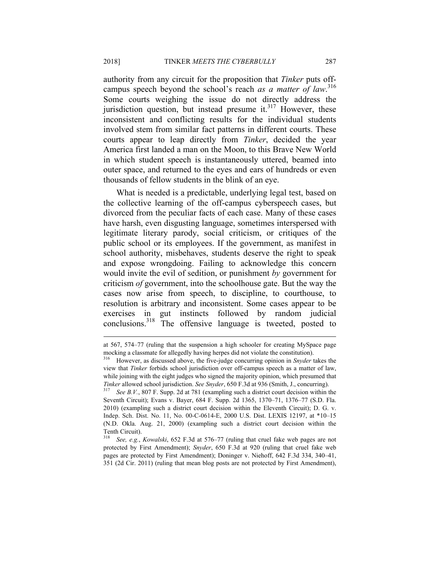authority from any circuit for the proposition that *Tinker* puts offcampus speech beyond the school's reach *as a matter of law*. 316 Some courts weighing the issue do not directly address the jurisdiction question, but instead presume it. $317$  However, these inconsistent and conflicting results for the individual students involved stem from similar fact patterns in different courts. These courts appear to leap directly from *Tinker*, decided the year America first landed a man on the Moon, to this Brave New World in which student speech is instantaneously uttered, beamed into outer space, and returned to the eyes and ears of hundreds or even thousands of fellow students in the blink of an eye.

What is needed is a predictable, underlying legal test, based on the collective learning of the off-campus cyberspeech cases, but divorced from the peculiar facts of each case. Many of these cases have harsh, even disgusting language, sometimes interspersed with legitimate literary parody, social criticism, or critiques of the public school or its employees. If the government, as manifest in school authority, misbehaves, students deserve the right to speak and expose wrongdoing. Failing to acknowledge this concern would invite the evil of sedition, or punishment *by* government for criticism *of* government, into the schoolhouse gate. But the way the cases now arise from speech, to discipline, to courthouse, to resolution is arbitrary and inconsistent. Some cases appear to be exercises in gut instincts followed by random judicial conclusions.318 The offensive language is tweeted, posted to

at 567, 574–77 (ruling that the suspension a high schooler for creating MySpace page mocking a classmate for allegedly having herpes did not violate the constitution).<br><sup>316</sup> However, as discussed above, the five-judge concurring opinion in *Snyder* takes the

view that *Tinker* forbids school jurisdiction over off-campus speech as a matter of law, while joining with the eight judges who signed the majority opinion, which presumed that *Tinker* allowed school jurisdiction. *See Snyder*, 650 F.3d at 936 (Smith, J., concurring).<br><sup>317</sup> *See B.V.*, 807 F. Supp. 2d at 781 (exampling such a district court decision within the

Seventh Circuit); Evans v. Bayer, 684 F. Supp. 2d 1365, 1370–71, 1376–77 (S.D. Fla. 2010) (exampling such a district court decision within the Eleventh Circuit); D. G. v. Indep. Sch. Dist. No. 11, No. 00-C-0614-E, 2000 U.S. Dist. LEXIS 12197, at \*10–15 (N.D. Okla. Aug. 21, 2000) (exampling such a district court decision within the Tenth Circuit).

See, e.g., *Kowalski*, 652 F.3d at 576–77 (ruling that cruel fake web pages are not protected by First Amendment); *Snyder*, 650 F.3d at 920 (ruling that cruel fake web pages are protected by First Amendment); Doninger v. Niehoff, 642 F.3d 334, 340–41, 351 (2d Cir. 2011) (ruling that mean blog posts are not protected by First Amendment),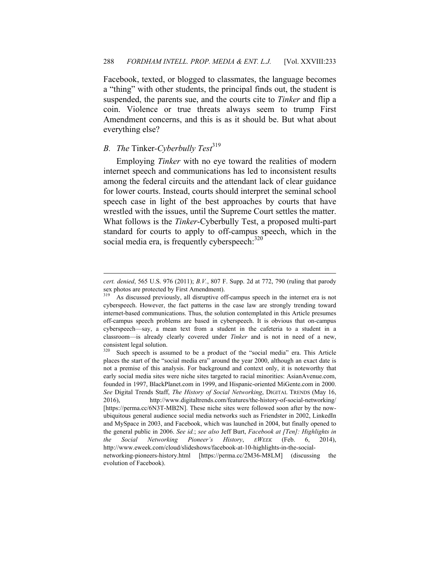Facebook, texted, or blogged to classmates, the language becomes a "thing" with other students, the principal finds out, the student is suspended, the parents sue, and the courts cite to *Tinker* and flip a coin. Violence or true threats always seem to trump First Amendment concerns, and this is as it should be. But what about everything else?

# *B. The Tinker-Cyberbully Test*<sup>319</sup>

 $\overline{a}$ 

Employing *Tinker* with no eye toward the realities of modern internet speech and communications has led to inconsistent results among the federal circuits and the attendant lack of clear guidance for lower courts. Instead, courts should interpret the seminal school speech case in light of the best approaches by courts that have wrestled with the issues, until the Supreme Court settles the matter. What follows is the *Tinker*-Cyberbully Test, a proposed multi-part standard for courts to apply to off-campus speech, which in the social media era, is frequently cyberspeech:  $320$ 

*cert. denied*, 565 U.S. 976 (2011); *B.V.*, 807 F. Supp. 2d at 772, 790 (ruling that parody sex photos are protected by First Amendment).

As discussed previously, all disruptive off-campus speech in the internet era is not cyberspeech. However, the fact patterns in the case law are strongly trending toward internet-based communications. Thus, the solution contemplated in this Article presumes off-campus speech problems are based in cyberspeech. It is obvious that on-campus cyberspeech—say, a mean text from a student in the cafeteria to a student in a classroom—is already clearly covered under *Tinker* and is not in need of a new, consistent legal solution.<br> $320 \text{ Such}$  speech is ass

Such speech is assumed to be a product of the "social media" era. This Article places the start of the "social media era" around the year 2000, although an exact date is not a premise of this analysis. For background and context only, it is noteworthy that early social media sites were niche sites targeted to racial minorities: AsianAvenue.com, founded in 1997, BlackPlanet.com in 1999, and Hispanic-oriented MiGente.com in 2000. *See* Digital Trends Staff, *The History of Social Networking*, DIGITAL TRENDS (May 16, 2016), http://www.digitaltrends.com/features/the-history-of-social-networking/ [https://perma.cc/6N3T-MB2N]. These niche sites were followed soon after by the nowubiquitous general audience social media networks such as Friendster in 2002, LinkedIn and MySpace in 2003, and Facebook, which was launched in 2004, but finally opened to the general public in 2006. *See id.*; *see also* Jeff Burt, *Facebook at [Ten]: Highlights in the Social Networking Pioneer's History*, *EWEEK* (Feb. 6, 2014), http://www.eweek.com/cloud/slideshows/facebook-at-10-highlights-in-the-socialnetworking-pioneers-history.html [https://perma.cc/2M36-M8LM] (discussing the evolution of Facebook).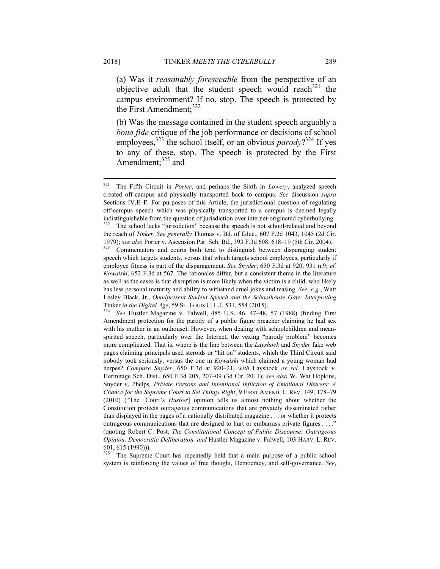(a) Was it *reasonably foreseeable* from the perspective of an objective adult that the student speech would reach<sup>321</sup> the campus environment? If no, stop. The speech is protected by the First Amendment;<sup>322</sup>

(b) Was the message contained in the student speech arguably a *bona fide* critique of the job performance or decisions of school employees,<sup>323</sup> the school itself, or an obvious *parody*?<sup>324</sup> If yes to any of these, stop. The speech is protected by the First Amendment; $325$  and

The Supreme Court has repeatedly held that a main purpose of a public school system is reinforcing the values of free thought, Democracy, and self-governance. *See*,

<sup>321</sup> 321 The Fifth Circuit in *Porter*, and perhaps the Sixth in *Lowery*, analyzed speech created off-campus and physically transported back to campus. *See* discussion *supra*  Sections IV.E–F. For purposes of this Article, the jurisdictional question of regulating off-campus speech which was physically transported to a campus is deemed legally indistinguishable from the question of jurisdiction over internet-originated cyberbullying. The school lacks "jurisdiction" because the speech is not school-related and beyond the reach of *Tinker*. *See generally* Thomas v. Bd. of Educ., 607 F.2d 1043, 1045 (2d Cir.

<sup>1979);</sup> *see also* Porter v. Ascension Par. Sch. Bd., 393 F.3d 608, 618–19 (5th Cir. 2004). 323 Commentators and courts both tend to distinguish between disparaging student speech which targets students, versus that which targets school employees, particularly if employee fitness is part of the disparagement. *See Snyder*, 650 F.3d at 920, 931 n.9; *cf. Kowalski*, 652 F.3d at 567. The rationales differ, but a consistent theme in the literature as well as the cases is that disruption is more likely when the victim is a child, who likely has less personal maturity and ability to withstand cruel jokes and teasing. *See, e.g.*, Watt Lesley Black, Jr., *Omnipresent Student Speech and the Schoolhouse Gate: Interpreting*  Tinker *in the Digital Age*, 59 ST. LOUIS U. L.J. 531, 554 (2015). 324 *See* Hustler Magazine v. Falwell, 485 U.S. 46, 47–48, 57 (1988) (finding First

Amendment protection for the parody of a public figure preacher claiming he had sex with his mother in an outhouse). However, when dealing with schoolchildren and meanspirited speech, particularly over the Internet, the vexing "parody problem" becomes more complicated. That is, where is the line between the *Layshock* and *Snyder* fake web pages claiming principals used steroids or "hit on" students, which the Third Circuit said nobody took seriously, versus the one in *Kowalski* which claimed a young woman had herpes? *Compare Snyder*, 650 F.3d at 920–21, *with* Layshock *ex rel.* Layshock v. Hermitage Sch. Dist., 650 F.3d 205, 207–09 (3d Cir. 2011); *see also* W. Wat Hopkins, Snyder v. Phelps*, Private Persons and Intentional Infliction of Emotional Distress: A Chance for the Supreme Court to Set Things Right*, 9 FIRST AMEND. L. REV. 149, 178–79 (2010) ("The [Court's *Hustler*] opinion tells us almost nothing about whether the Constitution protects outrageous communications that are privately disseminated rather than displayed in the pages of a nationally distributed magazine . . . or whether it protects outrageous communications that are designed to hurt or embarrass private figures . . . ." (quoting Robert C. Post, *The Constitutional Concept of Public Discourse: Outrageous Opinion, Democratic Deliberation, and* Hustler Magazine v. Falwell, 103 HARV. L. REV. 601, 615 (1990))).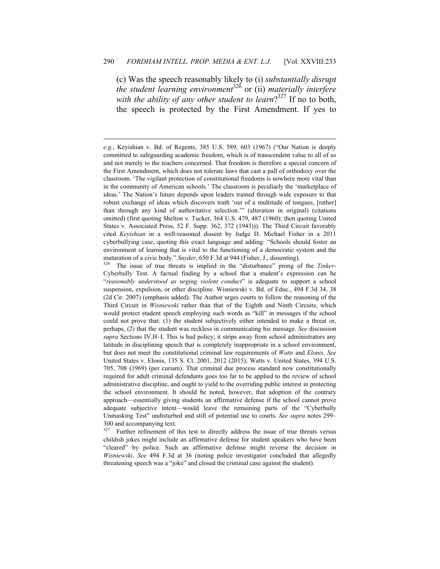(c) Was the speech reasonably likely to (i) *substantially disrupt the student learning environment*<sup>326</sup> or (ii) *materially interfere with the ability of any other student to learn*? 327 If no to both, the speech is protected by the First Amendment. If yes to

<u>.</u>

Further refinement of this test to directly address the issue of true threats versus childish jokes might include an affirmative defense for student speakers who have been "cleared" by police. Such an affirmative defense might reverse the decision in *Wisniewski*. *See* 494 F.3d at 36 (noting police investigator concluded that allegedly threatening speech was a "joke" and closed the criminal case against the student).

*e.g.*, Keyishian v. Bd. of Regents, 385 U.S. 589, 603 (1967) ("Our Nation is deeply committed to safeguarding academic freedom, which is of transcendent value to all of us and not merely to the teachers concerned. That freedom is therefore a special concern of the First Amendment, which does not tolerate laws that cast a pall of orthodoxy over the classroom. 'The vigilant protection of constitutional freedoms is nowhere more vital than in the community of American schools.' The classroom is peculiarly the 'marketplace of ideas.' The Nation's future depends upon leaders trained through wide exposure to that robust exchange of ideas which discovers truth 'out of a multitude of tongues, [rather] than through any kind of authoritative selection.'" (alteration in original) (citations omitted) (first quoting Shelton v. Tucker, 364 U.S. 479, 487 (1960); then quoting United States v. Associated Press, 52 F. Supp. 362, 372 (1943))). The Third Circuit favorably cited *Keyishian* in a well-reasoned dissent by Judge D. Michael Fisher in a 2011 cyberbullying case, quoting this exact language and adding: "Schools should foster an environment of learning that is vital to the functioning of a democratic system and the

maturation of a civic body." *Snyder*, 650 F.3d at 944 (Fisher, J., dissenting).<br><sup>326</sup> The issue of true threats is implied in the "disturbance" prong of the *Tinker*-Cyberbully Test. A factual finding by a school that a student's expression can be "*reasonably understood as urging violent conduct*" is adequate to support a school suspension, expulsion, or other discipline. Wisniewski v. Bd. of Educ., 494 F.3d 34, 38 (2d Cir. 2007) (emphasis added). The Author urges courts to follow the reasoning of the Third Circuit in *Wisniewski* rather than that of the Eighth and Ninth Circuits, which would protect student speech employing such words as "kill" in messages if the school could not prove that: (1) the student subjectively either intended to make a threat or, perhaps, (2) that the student was reckless in communicating his message. *See* discussion *supra* Sections IV.H–I. This is bad policy; it strips away from school administrators any latitude in disciplining speech that is completely inappropriate in a school environment, but does not meet the constitutional criminal law requirements of *Watts* and *Elonis*. *See*  United States v. Elonis, 135 S. Ct. 2001, 2012 (2015); Watts v. United States, 394 U.S. 705, 708 (1969) (per curiam). That criminal due process standard now constitutionally required for adult criminal defendants goes too far to be applied to the review of school administrative discipline, and ought to yield to the overriding public interest in protecting the school environment. It should be noted, however, that adoption of the contrary approach—essentially giving students an affirmative defense if the school cannot prove adequate subjective intent—would leave the remaining parts of the "Cyberbully Unmasking Test" undisturbed and still of potential use to courts. *See supra* notes 299– 300 and accompanying text.<br> $327$  Eurther refinement of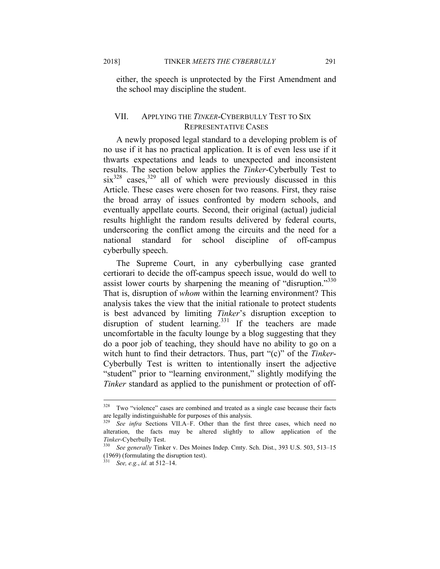either, the speech is unprotected by the First Amendment and the school may discipline the student.

## VII. APPLYING THE *TINKER*-CYBERBULLY TEST TO SIX REPRESENTATIVE CASES

A newly proposed legal standard to a developing problem is of no use if it has no practical application. It is of even less use if it thwarts expectations and leads to unexpected and inconsistent results. The section below applies the *Tinker*-Cyberbully Test to  $\sin^{328}$  cases,  $329$  all of which were previously discussed in this Article. These cases were chosen for two reasons. First, they raise the broad array of issues confronted by modern schools, and eventually appellate courts. Second, their original (actual) judicial results highlight the random results delivered by federal courts, underscoring the conflict among the circuits and the need for a national standard for school discipline of off-campus cyberbully speech.

The Supreme Court, in any cyberbullying case granted certiorari to decide the off-campus speech issue, would do well to assist lower courts by sharpening the meaning of "disruption."<sup>330</sup> That is, disruption of *whom* within the learning environment? This analysis takes the view that the initial rationale to protect students is best advanced by limiting *Tinker*'s disruption exception to disruption of student learning.<sup>331</sup> If the teachers are made uncomfortable in the faculty lounge by a blog suggesting that they do a poor job of teaching, they should have no ability to go on a witch hunt to find their detractors. Thus, part "(c)" of the *Tinker*-Cyberbully Test is written to intentionally insert the adjective "student" prior to "learning environment," slightly modifying the *Tinker* standard as applied to the punishment or protection of off-

<sup>328</sup> Two "violence" cases are combined and treated as a single case because their facts are legally indistinguishable for purposes of this analysis.

<sup>329</sup> *See infra* Sections VII.A–F. Other than the first three cases, which need no alteration, the facts may be altered slightly to allow application of the

*Tinker*-Cyberbully Test. 330 *See generally* Tinker v. Des Moines Indep. Cmty. Sch. Dist., 393 U.S. 503, 513–15 (1969) (formulating the disruption test).

<sup>331</sup> *See, e.g.*, *id.* at 512–14.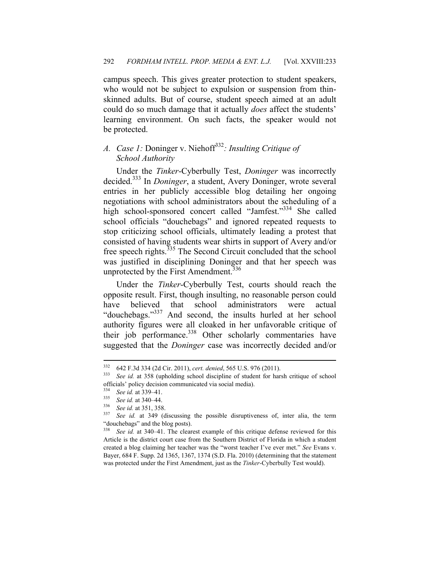campus speech. This gives greater protection to student speakers, who would not be subject to expulsion or suspension from thinskinned adults. But of course, student speech aimed at an adult could do so much damage that it actually *does* affect the students' learning environment. On such facts, the speaker would not be protected.

# *A. Case 1:* Doninger v. Niehoff<sup>332</sup>*: Insulting Critique of School Authority*

Under the *Tinker*-Cyberbully Test, *Doninger* was incorrectly decided.333 In *Doninger*, a student, Avery Doninger, wrote several entries in her publicly accessible blog detailing her ongoing negotiations with school administrators about the scheduling of a high school-sponsored concert called "Jamfest."<sup>334</sup> She called school officials "douchebags" and ignored repeated requests to stop criticizing school officials, ultimately leading a protest that consisted of having students wear shirts in support of Avery and/or free speech rights.<sup>335</sup> The Second Circuit concluded that the school was justified in disciplining Doninger and that her speech was unprotected by the First Amendment.<sup>336</sup>

Under the *Tinker*-Cyberbully Test, courts should reach the opposite result. First, though insulting, no reasonable person could have believed that school administrators were actual "douchebags."337 And second, the insults hurled at her school authority figures were all cloaked in her unfavorable critique of their job performance.<sup>338</sup> Other scholarly commentaries have suggested that the *Doninger* case was incorrectly decided and/or

<sup>332</sup> 

<sup>332 642</sup> F.3d 334 (2d Cir. 2011), *cert. denied*, 565 U.S. 976 (2011). 333 *See id.* at 358 (upholding school discipline of student for harsh critique of school officials' policy decision communicated via social media).

<sup>334</sup> *See id.* at 339–41. 335 *See id.* at 340–44. 336 *See id.* at 351, 358. 337 *See id.* at 349 (discussing the possible disruptiveness of, inter alia, the term "douchebags" and the blog posts).

<sup>338</sup> *See id.* at 340–41. The clearest example of this critique defense reviewed for this Article is the district court case from the Southern District of Florida in which a student created a blog claiming her teacher was the "worst teacher I've ever met." *See* Evans v. Bayer, 684 F. Supp. 2d 1365, 1367, 1374 (S.D. Fla. 2010) (determining that the statement was protected under the First Amendment, just as the *Tinker*-Cyberbully Test would).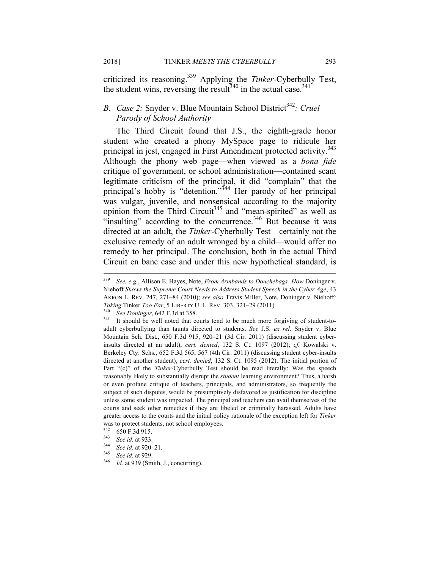criticized its reasoning.339 Applying the *Tinker*-Cyberbully Test, the student wins, reversing the result<sup>340</sup> in the actual case.<sup>341</sup>

## *B. Case 2:* Snyder v. Blue Mountain School District<sup>342</sup>: Cruel *Parody of School Authority*

The Third Circuit found that J.S., the eighth-grade honor student who created a phony MySpace page to ridicule her principal in jest, engaged in First Amendment protected activity.<sup>343</sup> Although the phony web page—when viewed as a *bona fide* critique of government, or school administration—contained scant legitimate criticism of the principal, it did "complain" that the principal's hobby is "detention."<sup>344</sup> Her parody of her principal was vulgar, juvenile, and nonsensical according to the majority opinion from the Third Circuit<sup>345</sup> and "mean-spirited" as well as "insulting" according to the concurrence.<sup>346</sup> But because it was directed at an adult, the *Tinker*-Cyberbully Test—certainly not the exclusive remedy of an adult wronged by a child—would offer no remedy to her principal. The conclusion, both in the actual Third Circuit en banc case and under this new hypothetical standard, is

<sup>339</sup> <sup>339</sup> *See, e.g.*, Allison E. Hayes, Note, *From Armbands to Douchebags: How* Doninger v. Niehoff *Shows the Supreme Court Needs to Address Student Speech in the Cyber Age*, 43 AKRON L. REV. 247, 271–84 (2010); *see also* Travis Miller, Note, Doninger v. Niehoff*: Taking* Tinker *Too Far*, 5 LIBERTY U. L. REV. 303, 321–29 (2011).<br><sup>340</sup> See Doninger, 642 F.3d at 358.<br><sup>341</sup> It should be well noted that courts tend to be much more forgiving of student-to-

adult cyberbullying than taunts directed to students. *See* J.S. *ex rel.* Snyder v. Blue Mountain Sch. Dist*.*, 650 F.3d 915, 920–21 (3d Cir. 2011) (discussing student cyberinsults directed at an adult), *cert. denied*, 132 S. Ct. 1097 (2012); *cf.* Kowalski v. Berkeley Cty. Schs., 652 F.3d 565, 567 (4th Cir. 2011) (discussing student cyber-insults directed at another student), *cert. denied*, 132 S. Ct. 1095 (2012). The initial portion of Part "(c)" of the *Tinker*-Cyberbully Test should be read literally: Was the speech reasonably likely to substantially disrupt the *student* learning environment? Thus, a harsh or even profane critique of teachers, principals, and administrators, so frequently the subject of such disputes, would be presumptively disfavored as justification for discipline unless some student was impacted. The principal and teachers can avail themselves of the courts and seek other remedies if they are libeled or criminally harassed. Adults have greater access to the courts and the initial policy rationale of the exception left for *Tinker* was to protect students, not school employees.<br> $342 \div 650 \text{ F}$  at  $0.121 \text{ F}$ .

<sup>342 650</sup> F.3d 915. 343 *See id.* at 933. 344 *See id.* at 920–21. 345 *See id.* at 929. 346 *Id.* at 939 (Smith, J., concurring).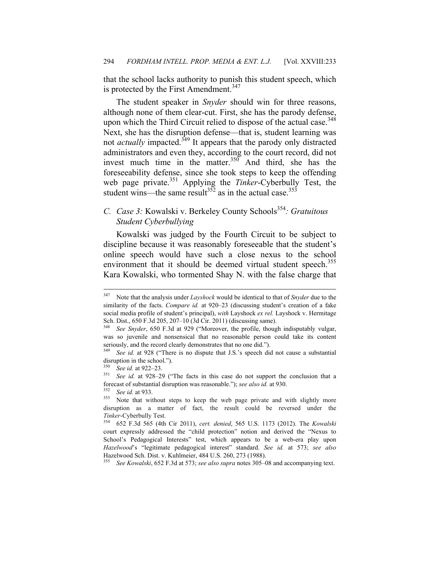that the school lacks authority to punish this student speech, which is protected by the First Amendment.<sup>347</sup>

The student speaker in *Snyder* should win for three reasons, although none of them clear-cut. First, she has the parody defense, upon which the Third Circuit relied to dispose of the actual case.<sup>348</sup> Next, she has the disruption defense—that is, student learning was not *actually* impacted.<sup>349</sup> It appears that the parody only distracted administrators and even they, according to the court record, did not invest much time in the matter.<sup>350</sup> And third, she has the foreseeability defense, since she took steps to keep the offending web page private.351 Applying the *Tinker*-Cyberbully Test, the student wins—the same result<sup>352</sup> as in the actual case.<sup>353</sup>

## *C. Case 3:* Kowalski v. Berkeley County Schools<sup>354</sup>: *Gratuitous Student Cyberbullying*

Kowalski was judged by the Fourth Circuit to be subject to discipline because it was reasonably foreseeable that the student's online speech would have such a close nexus to the school environment that it should be deemed virtual student speech.<sup>355</sup> Kara Kowalski, who tormented Shay N. with the false charge that

<sup>355</sup> *See Kowalski*, 652 F.3d at 573; *see also supra* notes 305–08 and accompanying text.

<sup>347</sup> 347 Note that the analysis under *Layshock* would be identical to that of *Snyder* due to the similarity of the facts. *Compare id.* at 920–23 (discussing student's creation of a fake social media profile of student's principal), *with* Layshock *ex rel.* Layshock v. Hermitage Sch. Dist., 650 F.3d 205, 207–10 (3d Cir. 2011) (discussing same).

See Snyder, 650 F.3d at 929 ("Moreover, the profile, though indisputably vulgar, was so juvenile and nonsensical that no reasonable person could take its content seriously, and the record clearly demonstrates that no one did.").

<sup>349</sup> *See id.* at 928 ("There is no dispute that J.S.'s speech did not cause a substantial disruption in the school.").<br> $\frac{350}{22}$  and  $\frac{1}{20}$  and  $\frac{22}{20}$ .

<sup>350</sup> *See id.* at 922–23. 351 *See id.* at 928–29 ("The facts in this case do not support the conclusion that a forecast of substantial disruption was reasonable."); *see also id.* at 930.<br><sup>352</sup> See id. at 933.<br><sup>353</sup> Note that without steps to keep the web page private and with slightly more

disruption as a matter of fact, the result could be reversed under the *Tinker*-Cyberbully Test.

<sup>354 652</sup> F.3d 565 (4th Cir 2011), *cert. denied*, 565 U.S. 1173 (2012). The *Kowalski* court expressly addressed the "child protection" notion and derived the "Nexus to School's Pedagogical Interests" test, which appears to be a web-era play upon *Hazelwood*'s "legitimate pedagogical interest" standard. *See id.* at 573; *see also*  Hazelwood Sch. Dist. v. Kuhlmeier, 484 U.S. 260, 273 (1988).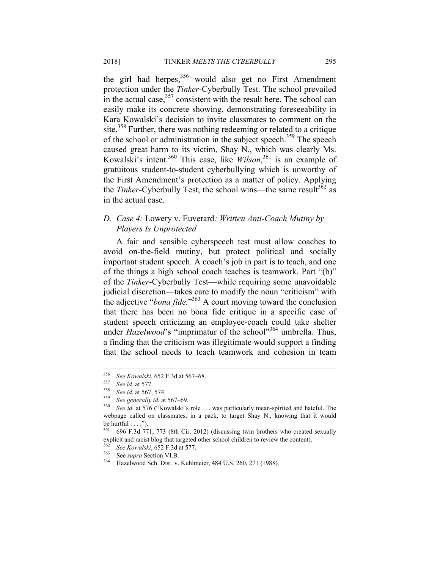the girl had herpes,  $356$  would also get no First Amendment protection under the *Tinker*-Cyberbully Test. The school prevailed in the actual case,  $357$  consistent with the result here. The school can easily make its concrete showing, demonstrating foreseeability in Kara Kowalski's decision to invite classmates to comment on the site.<sup>358</sup> Further, there was nothing redeeming or related to a critique of the school or administration in the subject speech.<sup>359</sup> The speech caused great harm to its victim, Shay N., which was clearly Ms. Kowalski's intent.360 This case, like *Wilson*, 361 is an example of gratuitous student-to-student cyberbullying which is unworthy of the First Amendment's protection as a matter of policy. Applying the *Tinker*-Cyberbully Test, the school wins—the same result<sup>362</sup> as in the actual case.

## *D. Case 4:* Lowery v. Euverard*: Written Anti-Coach Mutiny by Players Is Unprotected*

A fair and sensible cyberspeech test must allow coaches to avoid on-the-field mutiny, but protect political and socially important student speech. A coach's job in part is to teach, and one of the things a high school coach teaches is teamwork. Part "(b)" of the *Tinker*-Cyberbully Test—while requiring some unavoidable judicial discretion—takes care to modify the noun "criticism" with the adjective "*bona fide.*" 363 A court moving toward the conclusion that there has been no bona fide critique in a specific case of student speech criticizing an employee-coach could take shelter under *Hazelwood*'s "imprimatur of the school"<sup>364</sup> umbrella. Thus, a finding that the criticism was illegitimate would support a finding that the school needs to teach teamwork and cohesion in team

<sup>356</sup> 

<sup>&</sup>lt;sup>356</sup> See Kowalski, 652 F.3d at 567–68.<br><sup>357</sup> See id. at 577.<br><sup>358</sup> See id. at 567, 574.<br><sup>359</sup> See generally id. at 567–69.<br><sup>360</sup> See id. at 576 ("Kowalski's role . . . was particularly mean-spirited and hateful. The webpage called on classmates, in a pack, to target Shay N., knowing that it would be hurtful  $\dots$ ").

<sup>361 696</sup> F.3d 771, 773 (8th Cir. 2012) (discussing twin brothers who created sexually explicit and racist blog that targeted other school children to review the content).

<sup>362</sup> *See Kowalski*, 652 F.3d at 577. 363 See *supra* Section VI.B. 364 Hazelwood Sch. Dist. v. Kuhlmeier, 484 U.S. 260, 271 (1988).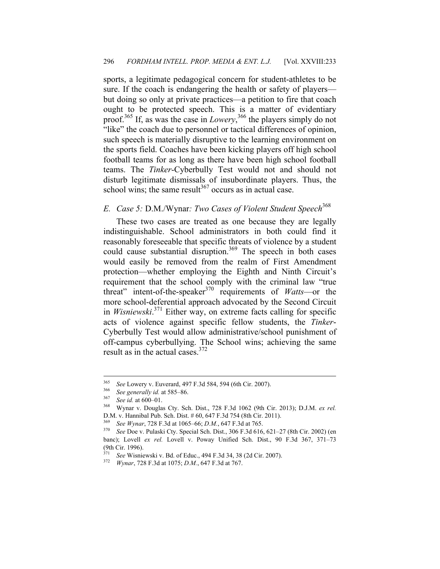sports, a legitimate pedagogical concern for student-athletes to be sure. If the coach is endangering the health or safety of players but doing so only at private practices—a petition to fire that coach ought to be protected speech. This is a matter of evidentiary proof.365 If, as was the case in *Lowery*, 366 the players simply do not "like" the coach due to personnel or tactical differences of opinion, such speech is materially disruptive to the learning environment on the sports field. Coaches have been kicking players off high school football teams for as long as there have been high school football teams. The *Tinker*-Cyberbully Test would not and should not disturb legitimate dismissals of insubordinate players. Thus, the school wins; the same result $367$  occurs as in actual case.

## *E. Case 5:* D.M./Wynar*: Two Cases of Violent Student Speech*<sup>368</sup>

These two cases are treated as one because they are legally indistinguishable. School administrators in both could find it reasonably foreseeable that specific threats of violence by a student could cause substantial disruption.<sup>369</sup> The speech in both cases would easily be removed from the realm of First Amendment protection—whether employing the Eighth and Ninth Circuit's requirement that the school comply with the criminal law "true threat" intent-of-the-speaker<sup>370</sup> requirements of *Watts*—or the more school-deferential approach advocated by the Second Circuit in *Wisniewski*. 371 Either way, on extreme facts calling for specific acts of violence against specific fellow students, the *Tinker*-Cyberbully Test would allow administrative/school punishment of off-campus cyberbullying. The School wins; achieving the same result as in the actual cases.<sup>372</sup>

<sup>&</sup>lt;sup>365</sup> See Lowery v. Euverard, 497 F.3d 584, 594 (6th Cir. 2007).<br><sup>366</sup> See generally id. at 585–86.<br><sup>367</sup> See id. at 600–01.<br><sup>368</sup> Wynar v. Douglas Cty. Sch. Dist., 728 F.3d 1062 (9th Cir. 2013); D.J.M. *ex rel.* D.M. v. Hannibal Pub. Sch. Dist. # 60, 647 F.3d 754 (8th Cir. 2011).

<sup>369</sup> *See Wynar*, 728 F.3d at 1065–66; *D.M.*, 647 F.3d at 765. 370 *See* Doe v. Pulaski Cty. Special Sch. Dist., 306 F.3d 616, 621–27 (8th Cir. 2002) (en banc); Lovell *ex rel.* Lovell v. Poway Unified Sch. Dist., 90 F.3d 367, 371–73 (9th Cir. 1996).

<sup>371</sup> *See* Wisniewski v. Bd. of Educ., 494 F.3d 34, 38 (2d Cir. 2007). 372 *Wynar*, 728 F.3d at 1075; *D.M.*, 647 F.3d at 767.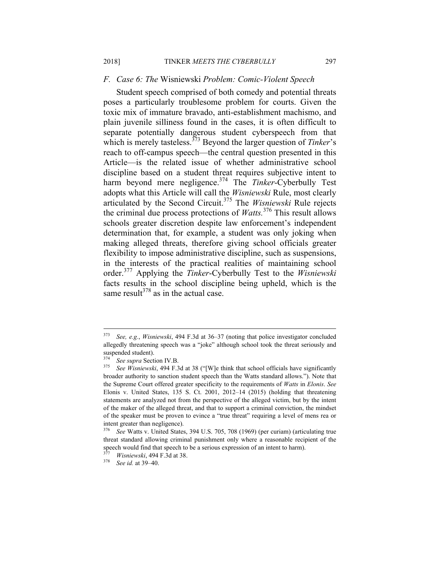#### *F. Case 6: The* Wisniewski *Problem: Comic-Violent Speech*

Student speech comprised of both comedy and potential threats poses a particularly troublesome problem for courts. Given the toxic mix of immature bravado, anti-establishment machismo, and plain juvenile silliness found in the cases, it is often difficult to separate potentially dangerous student cyberspeech from that which is merely tasteless.<sup>373</sup> Beyond the larger question of *Tinker's* reach to off-campus speech—the central question presented in this Article—is the related issue of whether administrative school discipline based on a student threat requires subjective intent to harm beyond mere negligence.<sup>374</sup> The *Tinker*-Cyberbully Test adopts what this Article will call the *Wisniewski* Rule, most clearly articulated by the Second Circuit.375 The *Wisniewski* Rule rejects the criminal due process protections of *Watts.*<sup>376</sup> This result allows schools greater discretion despite law enforcement's independent determination that, for example, a student was only joking when making alleged threats, therefore giving school officials greater flexibility to impose administrative discipline, such as suspensions, in the interests of the practical realities of maintaining school order.377 Applying the *Tinker*-Cyberbully Test to the *Wisniewski* facts results in the school discipline being upheld, which is the same result $378$  as in the actual case.

See, e.g., *Wisniewski*, 494 F.3d at 36–37 (noting that police investigator concluded allegedly threatening speech was a "joke" although school took the threat seriously and suspended student).

<sup>374</sup> *See supra* Section IV.B. 375 *See Wisniewski*, 494 F.3d at 38 ("[W]e think that school officials have significantly broader authority to sanction student speech than the Watts standard allows."). Note that the Supreme Court offered greater specificity to the requirements of *Watts* in *Elonis*. *See* Elonis v. United States, 135 S. Ct. 2001, 2012–14 (2015) (holding that threatening statements are analyzed not from the perspective of the alleged victim, but by the intent of the maker of the alleged threat, and that to support a criminal conviction, the mindset of the speaker must be proven to evince a "true threat" requiring a level of mens rea or intent greater than negligence).

<sup>376</sup> *See* Watts v. United States, 394 U.S. 705, 708 (1969) (per curiam) (articulating true threat standard allowing criminal punishment only where a reasonable recipient of the speech would find that speech to be a serious expression of an intent to harm).

<sup>377</sup> *Wisniewski*, 494 F.3d at 38. 378 *See id.* at 39–40.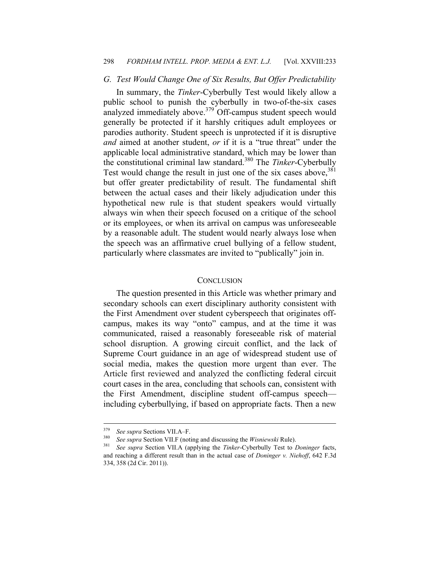#### 298 *FORDHAM INTELL. PROP. MEDIA & ENT. L.J.* [Vol. XXVIII:233

#### *G. Test Would Change One of Six Results, But Offer Predictability*

In summary, the *Tinker*-Cyberbully Test would likely allow a public school to punish the cyberbully in two-of-the-six cases analyzed immediately above. $379$  Off-campus student speech would generally be protected if it harshly critiques adult employees or parodies authority. Student speech is unprotected if it is disruptive *and* aimed at another student, *or* if it is a "true threat" under the applicable local administrative standard, which may be lower than the constitutional criminal law standard.380 The *Tinker*-Cyberbully Test would change the result in just one of the six cases above,  $381$ but offer greater predictability of result. The fundamental shift between the actual cases and their likely adjudication under this hypothetical new rule is that student speakers would virtually always win when their speech focused on a critique of the school or its employees, or when its arrival on campus was unforeseeable by a reasonable adult. The student would nearly always lose when the speech was an affirmative cruel bullying of a fellow student, particularly where classmates are invited to "publically" join in.

#### **CONCLUSION**

The question presented in this Article was whether primary and secondary schools can exert disciplinary authority consistent with the First Amendment over student cyberspeech that originates offcampus, makes its way "onto" campus, and at the time it was communicated, raised a reasonably foreseeable risk of material school disruption. A growing circuit conflict, and the lack of Supreme Court guidance in an age of widespread student use of social media, makes the question more urgent than ever. The Article first reviewed and analyzed the conflicting federal circuit court cases in the area, concluding that schools can, consistent with the First Amendment, discipline student off-campus speech including cyberbullying, if based on appropriate facts. Then a new

<sup>379</sup> 

<sup>&</sup>lt;sup>379</sup> See supra Sections VII.A–F.<br><sup>380</sup> See supra Section VII.F (noting and discussing the *Wisniewski* Rule).<br><sup>381</sup> See supra Section VII.A (applying the *Tinker*-Cyberbully Test to *Doninger* facts, and reaching a different result than in the actual case of *Doninger v. Niehoff*, 642 F.3d 334, 358 (2d Cir. 2011)).